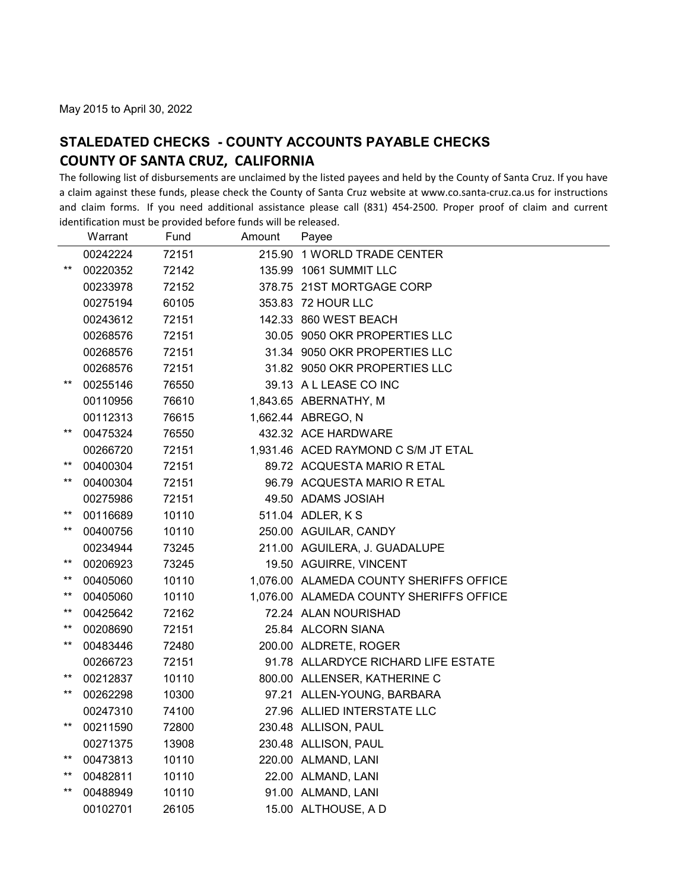The following list of disbursements are unclaimed by the listed payees and held by the County of Santa Cruz. If you have a claim against these funds, please check the County of Santa Cruz website at www.co.santa‐cruz.ca.us for instructions and claim forms. If you need additional assistance please call (831) 454‐2500. Proper proof of claim and current identification must be provided before funds will be released.

|                 | Warrant  | Fund  | Amount | Payee                                   |
|-----------------|----------|-------|--------|-----------------------------------------|
|                 | 00242224 | 72151 |        | 215.90 1 WORLD TRADE CENTER             |
| $***$           | 00220352 | 72142 |        | 135.99 1061 SUMMIT LLC                  |
|                 | 00233978 | 72152 |        | 378.75 21ST MORTGAGE CORP               |
|                 | 00275194 | 60105 |        | 353.83 72 HOUR LLC                      |
|                 | 00243612 | 72151 |        | 142.33 860 WEST BEACH                   |
|                 | 00268576 | 72151 |        | 30.05 9050 OKR PROPERTIES LLC           |
|                 | 00268576 | 72151 |        | 31.34 9050 OKR PROPERTIES LLC           |
|                 | 00268576 | 72151 |        | 31.82 9050 OKR PROPERTIES LLC           |
| $***$           | 00255146 | 76550 |        | 39.13 A L LEASE CO INC                  |
|                 | 00110956 | 76610 |        | 1,843.65 ABERNATHY, M                   |
|                 | 00112313 | 76615 |        | 1,662.44 ABREGO, N                      |
| $^{\star\star}$ | 00475324 | 76550 |        | 432.32 ACE HARDWARE                     |
|                 | 00266720 | 72151 |        | 1,931.46 ACED RAYMOND C S/M JT ETAL     |
| $***$           | 00400304 | 72151 |        | 89.72 ACQUESTA MARIO R ETAL             |
| $***$           | 00400304 | 72151 |        | 96.79 ACQUESTA MARIO R ETAL             |
|                 | 00275986 | 72151 |        | 49.50 ADAMS JOSIAH                      |
| $***$           | 00116689 | 10110 |        | 511.04 ADLER, K S                       |
| $***$           | 00400756 | 10110 |        | 250.00 AGUILAR, CANDY                   |
|                 | 00234944 | 73245 |        | 211.00 AGUILERA, J. GUADALUPE           |
| $***$           | 00206923 | 73245 |        | 19.50 AGUIRRE, VINCENT                  |
| $***$           | 00405060 | 10110 |        | 1,076.00 ALAMEDA COUNTY SHERIFFS OFFICE |
| $***$           | 00405060 | 10110 |        | 1.076.00 ALAMEDA COUNTY SHERIFFS OFFICE |
| $^{\star\star}$ | 00425642 | 72162 |        | 72.24 ALAN NOURISHAD                    |
| $***$           | 00208690 | 72151 |        | 25.84 ALCORN SIANA                      |
| $***$           | 00483446 | 72480 |        | 200.00 ALDRETE, ROGER                   |
|                 | 00266723 | 72151 |        | 91.78 ALLARDYCE RICHARD LIFE ESTATE     |
| $***$           | 00212837 | 10110 |        | 800.00 ALLENSER, KATHERINE C            |
| $***$           | 00262298 | 10300 |        | 97.21 ALLEN-YOUNG, BARBARA              |
|                 | 00247310 | 74100 |        | 27.96 ALLIED INTERSTATE LLC             |
| $***$           | 00211590 | 72800 |        | 230.48 ALLISON, PAUL                    |
|                 | 00271375 | 13908 |        | 230.48 ALLISON, PAUL                    |
| $***$           | 00473813 | 10110 |        | 220.00 ALMAND, LANI                     |
| $***$           | 00482811 | 10110 |        | 22.00 ALMAND, LANI                      |
| $***$           | 00488949 | 10110 |        | 91.00 ALMAND, LANI                      |
|                 | 00102701 | 26105 |        | 15.00 ALTHOUSE, A D                     |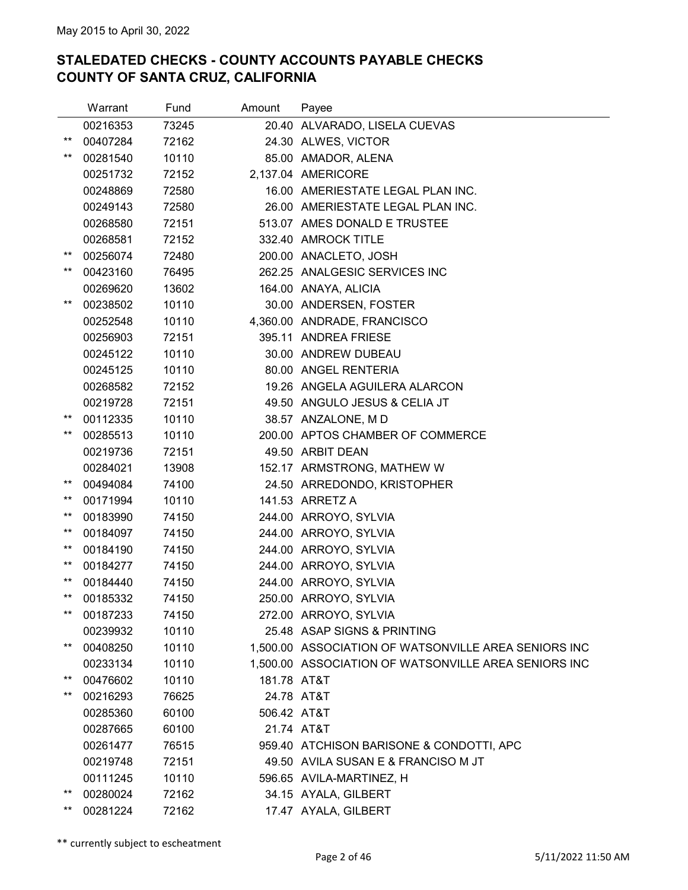|                 | Warrant  | Fund  | Amount      | Payee                                                |
|-----------------|----------|-------|-------------|------------------------------------------------------|
|                 | 00216353 | 73245 |             | 20.40 ALVARADO, LISELA CUEVAS                        |
| $***$           | 00407284 | 72162 |             | 24.30 ALWES, VICTOR                                  |
| $^{\star\star}$ | 00281540 | 10110 |             | 85.00 AMADOR, ALENA                                  |
|                 | 00251732 | 72152 |             | 2,137.04 AMERICORE                                   |
|                 | 00248869 | 72580 |             | 16.00 AMERIESTATE LEGAL PLAN INC.                    |
|                 | 00249143 | 72580 |             | 26.00 AMERIESTATE LEGAL PLAN INC.                    |
|                 | 00268580 | 72151 |             | 513.07 AMES DONALD E TRUSTEE                         |
|                 | 00268581 | 72152 |             | 332.40 AMROCK TITLE                                  |
| $***$           | 00256074 | 72480 |             | 200.00 ANACLETO, JOSH                                |
| $^{\star\star}$ | 00423160 | 76495 |             | 262.25 ANALGESIC SERVICES INC                        |
|                 | 00269620 | 13602 |             | 164.00 ANAYA, ALICIA                                 |
| $***$           | 00238502 | 10110 |             | 30.00 ANDERSEN, FOSTER                               |
|                 | 00252548 | 10110 |             | 4,360.00 ANDRADE, FRANCISCO                          |
|                 | 00256903 | 72151 |             | 395.11 ANDREA FRIESE                                 |
|                 | 00245122 | 10110 |             | 30.00 ANDREW DUBEAU                                  |
|                 | 00245125 | 10110 |             | 80.00 ANGEL RENTERIA                                 |
|                 | 00268582 | 72152 |             | 19.26 ANGELA AGUILERA ALARCON                        |
|                 | 00219728 | 72151 |             | 49.50 ANGULO JESUS & CELIA JT                        |
| $^{\star\star}$ | 00112335 | 10110 |             | 38.57 ANZALONE, M D                                  |
| $***$           | 00285513 | 10110 |             | 200.00 APTOS CHAMBER OF COMMERCE                     |
|                 | 00219736 | 72151 |             | 49.50 ARBIT DEAN                                     |
|                 | 00284021 | 13908 |             | 152.17 ARMSTRONG, MATHEW W                           |
| $^{\star\star}$ | 00494084 | 74100 |             | 24.50 ARREDONDO, KRISTOPHER                          |
| **              | 00171994 | 10110 |             | 141.53 ARRETZ A                                      |
| $***$           | 00183990 | 74150 |             | 244.00 ARROYO, SYLVIA                                |
| $^{\star\star}$ | 00184097 | 74150 |             | 244.00 ARROYO, SYLVIA                                |
| $^{\star\star}$ | 00184190 | 74150 |             | 244.00 ARROYO, SYLVIA                                |
| $^{\star\star}$ | 00184277 | 74150 |             | 244.00 ARROYO, SYLVIA                                |
| $^{\star\star}$ | 00184440 | 74150 |             | 244.00 ARROYO, SYLVIA                                |
| $***$           | 00185332 | 74150 |             | 250.00 ARROYO, SYLVIA                                |
| **              | 00187233 | 74150 |             | 272.00 ARROYO, SYLVIA                                |
|                 | 00239932 | 10110 |             | 25.48 ASAP SIGNS & PRINTING                          |
| **              | 00408250 | 10110 |             | 1,500.00 ASSOCIATION OF WATSONVILLE AREA SENIORS INC |
|                 | 00233134 | 10110 |             | 1,500.00 ASSOCIATION OF WATSONVILLE AREA SENIORS INC |
| $***$           | 00476602 | 10110 | 181.78 AT&T |                                                      |
| $^{\star\star}$ | 00216293 | 76625 |             | 24.78 AT&T                                           |
|                 | 00285360 | 60100 | 506.42 AT&T |                                                      |
|                 | 00287665 | 60100 |             | 21.74 AT&T                                           |
|                 | 00261477 | 76515 |             | 959.40 ATCHISON BARISONE & CONDOTTI, APC             |
|                 | 00219748 | 72151 |             | 49.50 AVILA SUSAN E & FRANCISO M JT                  |
|                 | 00111245 | 10110 |             | 596.65 AVILA-MARTINEZ, H                             |
| **              | 00280024 | 72162 |             | 34.15 AYALA, GILBERT                                 |
|                 | 00281224 | 72162 |             | 17.47 AYALA, GILBERT                                 |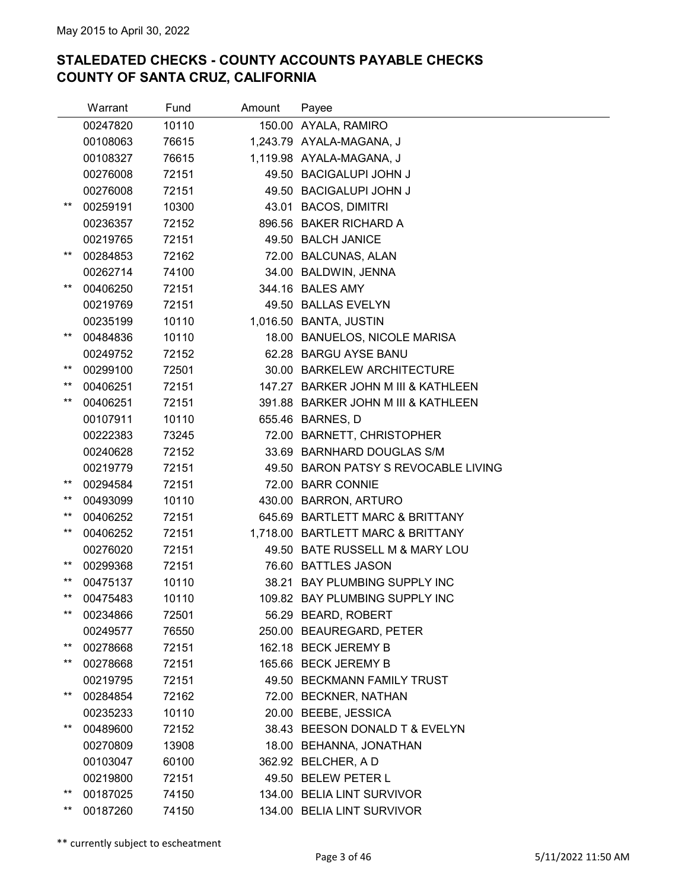|                 | Warrant  | Fund  | Amount | Payee                                |
|-----------------|----------|-------|--------|--------------------------------------|
|                 | 00247820 | 10110 |        | 150.00 AYALA, RAMIRO                 |
|                 | 00108063 | 76615 |        | 1,243.79 AYALA-MAGANA, J             |
|                 | 00108327 | 76615 |        | 1,119.98 AYALA-MAGANA, J             |
|                 | 00276008 | 72151 |        | 49.50 BACIGALUPI JOHN J              |
|                 | 00276008 | 72151 |        | 49.50 BACIGALUPI JOHN J              |
| **              | 00259191 | 10300 |        | 43.01 BACOS, DIMITRI                 |
|                 | 00236357 | 72152 |        | 896.56 BAKER RICHARD A               |
|                 | 00219765 | 72151 |        | 49.50 BALCH JANICE                   |
| **              | 00284853 | 72162 |        | 72.00 BALCUNAS, ALAN                 |
|                 | 00262714 | 74100 |        | 34.00 BALDWIN, JENNA                 |
| **              | 00406250 | 72151 |        | 344.16 BALES AMY                     |
|                 | 00219769 | 72151 |        | 49.50 BALLAS EVELYN                  |
|                 | 00235199 | 10110 |        | 1,016.50 BANTA, JUSTIN               |
| $***$           | 00484836 | 10110 |        | 18.00 BANUELOS, NICOLE MARISA        |
|                 | 00249752 | 72152 |        | 62.28 BARGU AYSE BANU                |
| $***$           | 00299100 | 72501 |        | 30.00 BARKELEW ARCHITECTURE          |
| $^{\star\star}$ | 00406251 | 72151 |        | 147.27 BARKER JOHN M III & KATHLEEN  |
| $^{\star\star}$ | 00406251 | 72151 |        | 391.88 BARKER JOHN M III & KATHLEEN  |
|                 | 00107911 | 10110 |        | 655.46 BARNES, D                     |
|                 | 00222383 | 73245 |        | 72.00 BARNETT, CHRISTOPHER           |
|                 | 00240628 | 72152 |        | 33.69 BARNHARD DOUGLAS S/M           |
|                 | 00219779 | 72151 |        | 49.50 BARON PATSY S REVOCABLE LIVING |
| $***$           | 00294584 | 72151 |        | 72.00 BARR CONNIE                    |
| $^{\star\star}$ | 00493099 | 10110 |        | 430.00 BARRON, ARTURO                |
| $***$           | 00406252 | 72151 |        | 645.69 BARTLETT MARC & BRITTANY      |
| $***$           | 00406252 | 72151 |        | 1,718.00 BARTLETT MARC & BRITTANY    |
|                 | 00276020 | 72151 |        | 49.50 BATE RUSSELL M & MARY LOU      |
| $***$           | 00299368 | 72151 |        | 76.60 BATTLES JASON                  |
| $***$           | 00475137 | 10110 |        | 38.21 BAY PLUMBING SUPPLY INC        |
| $***$           | 00475483 | 10110 |        | 109.82 BAY PLUMBING SUPPLY INC       |
| $^{\star\star}$ | 00234866 | 72501 |        | 56.29 BEARD, ROBERT                  |
|                 | 00249577 | 76550 |        | 250.00 BEAUREGARD, PETER             |
| $***$           | 00278668 | 72151 |        | 162.18 BECK JEREMY B                 |
| $^{\star\star}$ | 00278668 | 72151 |        | 165.66 BECK JEREMY B                 |
|                 | 00219795 | 72151 |        | 49.50 BECKMANN FAMILY TRUST          |
| $^{\star\star}$ | 00284854 | 72162 |        | 72.00 BECKNER, NATHAN                |
|                 | 00235233 | 10110 |        | 20.00 BEEBE, JESSICA                 |
| $^{\star\star}$ | 00489600 | 72152 |        | 38.43 BEESON DONALD T & EVELYN       |
|                 | 00270809 | 13908 |        | 18.00 BEHANNA, JONATHAN              |
|                 | 00103047 | 60100 |        | 362.92 BELCHER, A D                  |
|                 | 00219800 | 72151 |        | 49.50 BELEW PETER L                  |
| $***$           | 00187025 | 74150 |        | 134.00 BELIA LINT SURVIVOR           |
| $^{\star\star}$ | 00187260 | 74150 |        | 134.00 BELIA LINT SURVIVOR           |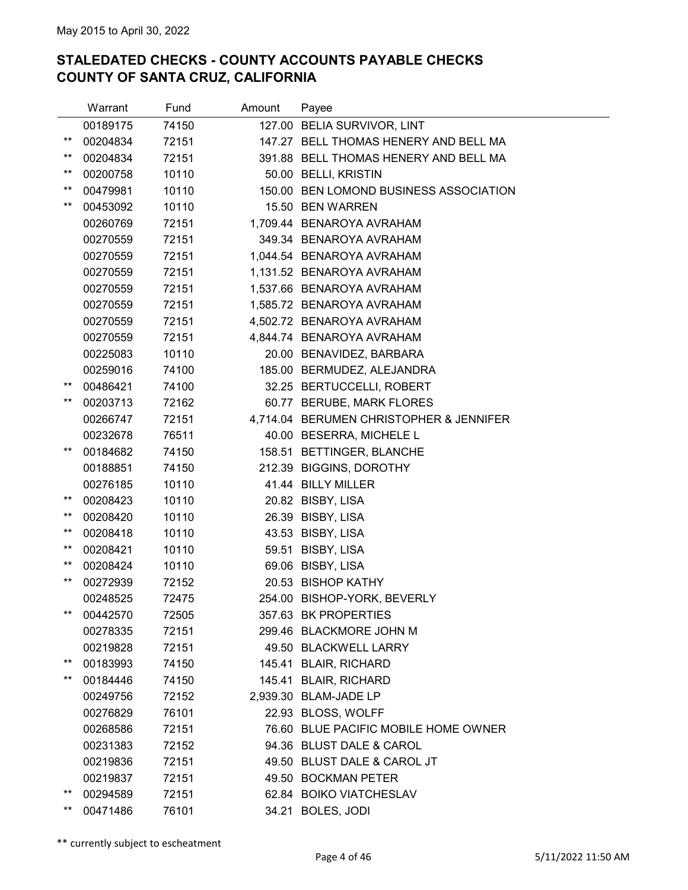|                 | Warrant  | Fund  | Amount | Payee                                   |
|-----------------|----------|-------|--------|-----------------------------------------|
|                 | 00189175 | 74150 |        | 127.00 BELIA SURVIVOR, LINT             |
| $^{\star\star}$ | 00204834 | 72151 |        | 147.27 BELL THOMAS HENERY AND BELL MA   |
| $^{\star\star}$ | 00204834 | 72151 |        | 391.88 BELL THOMAS HENERY AND BELL MA   |
| $***$           | 00200758 | 10110 |        | 50.00 BELLI, KRISTIN                    |
| $^{\star\star}$ | 00479981 | 10110 |        | 150.00 BEN LOMOND BUSINESS ASSOCIATION  |
| $***$           | 00453092 | 10110 |        | 15.50 BEN WARREN                        |
|                 | 00260769 | 72151 |        | 1,709.44 BENAROYA AVRAHAM               |
|                 | 00270559 | 72151 |        | 349.34 BENAROYA AVRAHAM                 |
|                 | 00270559 | 72151 |        | 1,044.54 BENAROYA AVRAHAM               |
|                 | 00270559 | 72151 |        | 1,131.52 BENAROYA AVRAHAM               |
|                 | 00270559 | 72151 |        | 1,537.66 BENAROYA AVRAHAM               |
|                 | 00270559 | 72151 |        | 1,585.72 BENAROYA AVRAHAM               |
|                 | 00270559 | 72151 |        | 4,502.72 BENAROYA AVRAHAM               |
|                 | 00270559 | 72151 |        | 4,844.74 BENAROYA AVRAHAM               |
|                 | 00225083 | 10110 |        | 20.00 BENAVIDEZ, BARBARA                |
|                 | 00259016 | 74100 |        | 185.00 BERMUDEZ, ALEJANDRA              |
| **              | 00486421 | 74100 |        | 32.25 BERTUCCELLI, ROBERT               |
| $***$           | 00203713 | 72162 |        | 60.77 BERUBE, MARK FLORES               |
|                 | 00266747 | 72151 |        | 4,714.04 BERUMEN CHRISTOPHER & JENNIFER |
|                 | 00232678 | 76511 |        | 40.00 BESERRA, MICHELE L                |
| $^{\star\star}$ | 00184682 | 74150 |        | 158.51 BETTINGER, BLANCHE               |
|                 | 00188851 | 74150 |        | 212.39 BIGGINS, DOROTHY                 |
|                 | 00276185 | 10110 |        | 41.44 BILLY MILLER                      |
| $^{\star\star}$ | 00208423 | 10110 |        | 20.82 BISBY, LISA                       |
| $***$           | 00208420 | 10110 |        | 26.39 BISBY, LISA                       |
| $***$           | 00208418 | 10110 |        | 43.53 BISBY, LISA                       |
| $***$           | 00208421 | 10110 |        | 59.51 BISBY, LISA                       |
| $***$           | 00208424 | 10110 |        | 69.06 BISBY, LISA                       |
| $***$           | 00272939 | 72152 |        | 20.53 BISHOP KATHY                      |
|                 | 00248525 | 72475 |        | 254.00 BISHOP-YORK, BEVERLY             |
| $***$           | 00442570 | 72505 |        | 357.63 BK PROPERTIES                    |
|                 | 00278335 | 72151 |        | 299.46 BLACKMORE JOHN M                 |
|                 | 00219828 | 72151 |        | 49.50 BLACKWELL LARRY                   |
| **              | 00183993 | 74150 |        | 145.41 BLAIR, RICHARD                   |
| $***$           | 00184446 | 74150 |        | 145.41 BLAIR, RICHARD                   |
|                 | 00249756 | 72152 |        | 2,939.30 BLAM-JADE LP                   |
|                 | 00276829 | 76101 |        | 22.93 BLOSS, WOLFF                      |
|                 | 00268586 | 72151 |        | 76.60 BLUE PACIFIC MOBILE HOME OWNER    |
|                 | 00231383 | 72152 |        | 94.36 BLUST DALE & CAROL                |
|                 | 00219836 | 72151 |        | 49.50 BLUST DALE & CAROL JT             |
|                 | 00219837 | 72151 |        | 49.50 BOCKMAN PETER                     |
| $^{\star\star}$ | 00294589 | 72151 |        | 62.84 BOIKO VIATCHESLAV                 |
| $^{\star\star}$ | 00471486 | 76101 |        | 34.21 BOLES, JODI                       |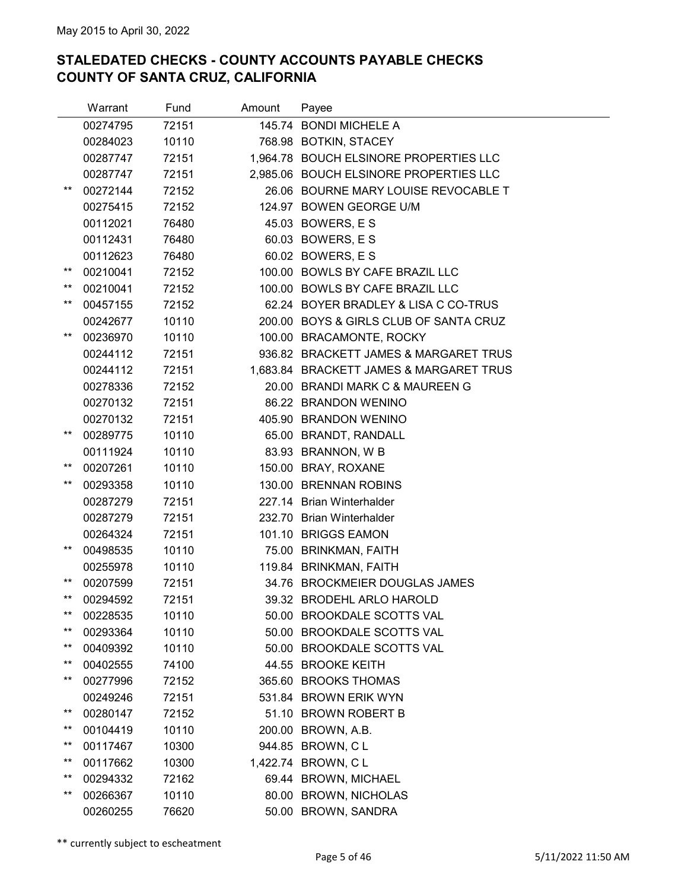|                          | Warrant  | Fund  | Amount | Payee                                   |
|--------------------------|----------|-------|--------|-----------------------------------------|
|                          | 00274795 | 72151 |        | 145.74 BONDI MICHELE A                  |
|                          | 00284023 | 10110 |        | 768.98 BOTKIN, STACEY                   |
|                          | 00287747 | 72151 |        | 1,964.78 BOUCH ELSINORE PROPERTIES LLC  |
|                          | 00287747 | 72151 |        | 2,985.06 BOUCH ELSINORE PROPERTIES LLC  |
| $^{\star\star}$          | 00272144 | 72152 |        | 26.06 BOURNE MARY LOUISE REVOCABLE T    |
|                          | 00275415 | 72152 |        | 124.97 BOWEN GEORGE U/M                 |
|                          | 00112021 | 76480 |        | 45.03 BOWERS, E S                       |
|                          | 00112431 | 76480 |        | 60.03 BOWERS, E S                       |
|                          | 00112623 | 76480 |        | 60.02 BOWERS, E S                       |
| $^{\star\star}$          | 00210041 | 72152 |        | 100.00 BOWLS BY CAFE BRAZIL LLC         |
| $^{\star\star}$          | 00210041 | 72152 |        | 100.00 BOWLS BY CAFE BRAZIL LLC         |
| $***$                    | 00457155 | 72152 |        | 62.24 BOYER BRADLEY & LISA C CO-TRUS    |
|                          | 00242677 | 10110 |        | 200.00 BOYS & GIRLS CLUB OF SANTA CRUZ  |
| $^{\star\star}$          | 00236970 | 10110 |        | 100.00 BRACAMONTE, ROCKY                |
|                          | 00244112 | 72151 |        | 936.82 BRACKETT JAMES & MARGARET TRUS   |
|                          | 00244112 | 72151 |        | 1,683.84 BRACKETT JAMES & MARGARET TRUS |
|                          | 00278336 | 72152 |        | 20.00 BRANDI MARK C & MAUREEN G         |
|                          | 00270132 | 72151 |        | 86.22 BRANDON WENINO                    |
|                          | 00270132 | 72151 |        | 405.90 BRANDON WENINO                   |
| $^{\star\star}$          | 00289775 | 10110 |        | 65.00 BRANDT, RANDALL                   |
|                          | 00111924 | 10110 |        | 83.93 BRANNON, W B                      |
| $***$                    | 00207261 | 10110 |        | 150.00 BRAY, ROXANE                     |
| $***$                    | 00293358 | 10110 |        | 130.00 BRENNAN ROBINS                   |
|                          | 00287279 | 72151 |        | 227.14 Brian Winterhalder               |
|                          | 00287279 | 72151 |        | 232.70 Brian Winterhalder               |
|                          | 00264324 | 72151 |        | 101.10 BRIGGS EAMON                     |
| $***$                    | 00498535 | 10110 |        | 75.00 BRINKMAN, FAITH                   |
|                          | 00255978 | 10110 |        | 119.84 BRINKMAN, FAITH                  |
| $***$                    | 00207599 | 72151 |        | 34.76 BROCKMEIER DOUGLAS JAMES          |
| $***$                    | 00294592 | 72151 |        | 39.32 BRODEHL ARLO HAROLD               |
| $^{\star\star}$          | 00228535 | 10110 |        | 50.00 BROOKDALE SCOTTS VAL              |
| $***$                    | 00293364 | 10110 |        | 50.00 BROOKDALE SCOTTS VAL              |
| $^{\star\star}$          | 00409392 | 10110 |        | 50.00 BROOKDALE SCOTTS VAL              |
| $^{\star\star}$          | 00402555 | 74100 |        | 44.55 BROOKE KEITH                      |
| $^{\star\star}$          | 00277996 | 72152 |        | 365.60 BROOKS THOMAS                    |
|                          | 00249246 | 72151 |        | 531.84 BROWN ERIK WYN                   |
| $***$                    | 00280147 | 72152 |        | 51.10 BROWN ROBERT B                    |
| $^{\star\star}$<br>$***$ | 00104419 | 10110 |        | 200.00 BROWN, A.B.                      |
|                          | 00117467 | 10300 |        | 944.85 BROWN, C L                       |
| $***$                    | 00117662 | 10300 |        | 1,422.74 BROWN, C L                     |
| $^{\star\star}$          | 00294332 | 72162 |        | 69.44 BROWN, MICHAEL                    |
| $^{\star\star}$          | 00266367 | 10110 |        | 80.00 BROWN, NICHOLAS                   |
|                          | 00260255 | 76620 |        | 50.00 BROWN, SANDRA                     |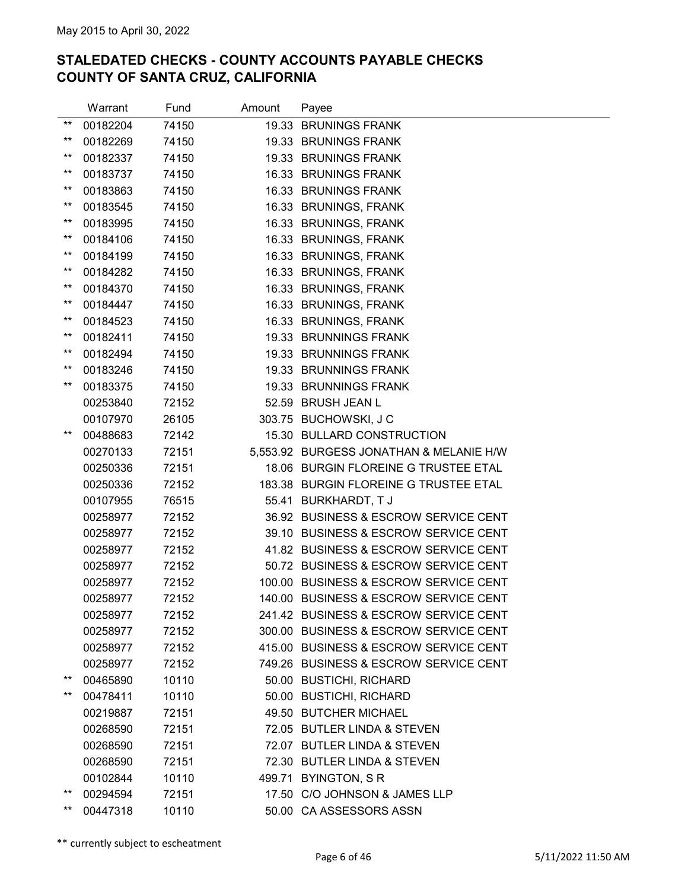|                 | Warrant  | Fund  | Amount | Payee                                   |
|-----------------|----------|-------|--------|-----------------------------------------|
| $***$           | 00182204 | 74150 |        | 19.33 BRUNINGS FRANK                    |
| $***$           | 00182269 | 74150 |        | 19.33 BRUNINGS FRANK                    |
| $***$           | 00182337 | 74150 |        | 19.33 BRUNINGS FRANK                    |
| $***$           | 00183737 | 74150 |        | 16.33 BRUNINGS FRANK                    |
| $***$           | 00183863 | 74150 |        | 16.33 BRUNINGS FRANK                    |
| $***$           | 00183545 | 74150 |        | 16.33 BRUNINGS, FRANK                   |
| $***$           | 00183995 | 74150 |        | 16.33 BRUNINGS, FRANK                   |
| $***$           | 00184106 | 74150 |        | 16.33 BRUNINGS, FRANK                   |
| $***$           | 00184199 | 74150 |        | 16.33 BRUNINGS, FRANK                   |
| $***$           | 00184282 | 74150 |        | 16.33 BRUNINGS, FRANK                   |
| $***$           | 00184370 | 74150 |        | 16.33 BRUNINGS, FRANK                   |
| $***$           | 00184447 | 74150 |        | 16.33 BRUNINGS, FRANK                   |
| $***$           | 00184523 | 74150 |        | 16.33 BRUNINGS, FRANK                   |
| $***$           | 00182411 | 74150 |        | 19.33 BRUNNINGS FRANK                   |
| $***$           | 00182494 | 74150 |        | 19.33 BRUNNINGS FRANK                   |
| $***$           | 00183246 | 74150 |        | 19.33 BRUNNINGS FRANK                   |
| $***$           | 00183375 | 74150 |        | 19.33 BRUNNINGS FRANK                   |
|                 | 00253840 | 72152 |        | 52.59 BRUSH JEAN L                      |
|                 | 00107970 | 26105 |        | 303.75 BUCHOWSKI, J C                   |
| $***$           | 00488683 | 72142 |        | 15.30 BULLARD CONSTRUCTION              |
|                 | 00270133 | 72151 |        | 5,553.92 BURGESS JONATHAN & MELANIE H/W |
|                 | 00250336 | 72151 |        | 18.06 BURGIN FLOREINE G TRUSTEE ETAL    |
|                 | 00250336 | 72152 |        | 183.38 BURGIN FLOREINE G TRUSTEE ETAL   |
|                 | 00107955 | 76515 |        | 55.41 BURKHARDT, TJ                     |
|                 | 00258977 | 72152 |        | 36.92 BUSINESS & ESCROW SERVICE CENT    |
|                 | 00258977 | 72152 |        | 39.10 BUSINESS & ESCROW SERVICE CENT    |
|                 | 00258977 | 72152 |        | 41.82 BUSINESS & ESCROW SERVICE CENT    |
|                 | 00258977 | 72152 |        | 50.72 BUSINESS & ESCROW SERVICE CENT    |
|                 | 00258977 | 72152 |        | 100.00 BUSINESS & ESCROW SERVICE CENT   |
|                 | 00258977 | 72152 |        | 140.00 BUSINESS & ESCROW SERVICE CENT   |
|                 | 00258977 | 72152 |        | 241.42 BUSINESS & ESCROW SERVICE CENT   |
|                 | 00258977 | 72152 |        | 300.00 BUSINESS & ESCROW SERVICE CENT   |
|                 | 00258977 | 72152 |        | 415.00 BUSINESS & ESCROW SERVICE CENT   |
|                 | 00258977 | 72152 |        | 749.26 BUSINESS & ESCROW SERVICE CENT   |
| $***$           | 00465890 | 10110 |        | 50.00 BUSTICHI, RICHARD                 |
| $^{\star\star}$ | 00478411 | 10110 |        | 50.00 BUSTICHI, RICHARD                 |
|                 | 00219887 | 72151 |        | 49.50 BUTCHER MICHAEL                   |
|                 | 00268590 | 72151 |        | 72.05 BUTLER LINDA & STEVEN             |
|                 | 00268590 | 72151 |        | 72.07 BUTLER LINDA & STEVEN             |
|                 | 00268590 | 72151 |        | 72.30 BUTLER LINDA & STEVEN             |
|                 | 00102844 | 10110 |        | 499.71 BYINGTON, SR                     |
| $***$           | 00294594 | 72151 |        | 17.50 C/O JOHNSON & JAMES LLP           |
| $***$           | 00447318 | 10110 |        | 50.00 CA ASSESSORS ASSN                 |

\*\* currently subject to escheatment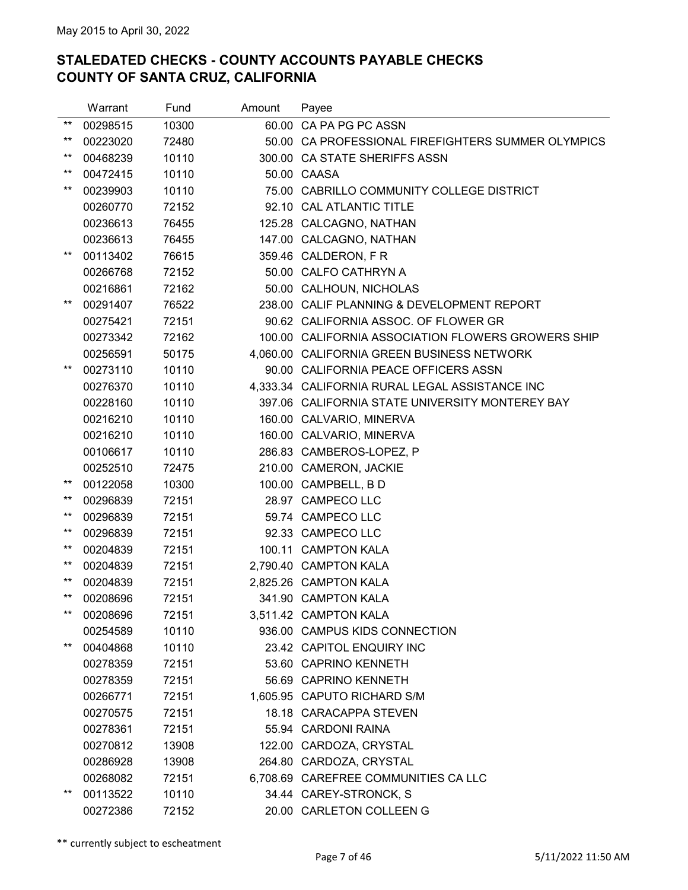|                 | Warrant  | Fund  | Amount | Payee                                              |
|-----------------|----------|-------|--------|----------------------------------------------------|
| $***$           | 00298515 | 10300 |        | 60.00 CA PA PG PC ASSN                             |
| $***$           | 00223020 | 72480 |        | 50.00 CA PROFESSIONAL FIREFIGHTERS SUMMER OLYMPICS |
| $***$           | 00468239 | 10110 |        | 300.00 CA STATE SHERIFFS ASSN                      |
| $***$           | 00472415 | 10110 |        | 50.00 CAASA                                        |
| $***$           | 00239903 | 10110 |        | 75.00 CABRILLO COMMUNITY COLLEGE DISTRICT          |
|                 | 00260770 | 72152 |        | 92.10 CAL ATLANTIC TITLE                           |
|                 | 00236613 | 76455 |        | 125.28 CALCAGNO, NATHAN                            |
|                 | 00236613 | 76455 |        | 147.00 CALCAGNO, NATHAN                            |
| $***$           | 00113402 | 76615 |        | 359.46 CALDERON, FR                                |
|                 | 00266768 | 72152 |        | 50.00 CALFO CATHRYN A                              |
|                 | 00216861 | 72162 |        | 50.00 CALHOUN, NICHOLAS                            |
| $***$           | 00291407 | 76522 |        | 238.00 CALIF PLANNING & DEVELOPMENT REPORT         |
|                 | 00275421 | 72151 |        | 90.62 CALIFORNIA ASSOC. OF FLOWER GR               |
|                 | 00273342 | 72162 |        | 100.00 CALIFORNIA ASSOCIATION FLOWERS GROWERS SHIP |
|                 | 00256591 | 50175 |        | 4,060.00 CALIFORNIA GREEN BUSINESS NETWORK         |
| $***$           | 00273110 | 10110 |        | 90.00 CALIFORNIA PEACE OFFICERS ASSN               |
|                 | 00276370 | 10110 |        | 4,333.34 CALIFORNIA RURAL LEGAL ASSISTANCE INC     |
|                 | 00228160 | 10110 |        | 397.06 CALIFORNIA STATE UNIVERSITY MONTEREY BAY    |
|                 | 00216210 | 10110 |        | 160.00 CALVARIO, MINERVA                           |
|                 | 00216210 | 10110 |        | 160.00 CALVARIO, MINERVA                           |
|                 | 00106617 | 10110 |        | 286.83 CAMBEROS-LOPEZ, P                           |
|                 | 00252510 | 72475 |        | 210.00 CAMERON, JACKIE                             |
| $***$           | 00122058 | 10300 |        | 100.00 CAMPBELL, BD                                |
| $^{\star\star}$ | 00296839 | 72151 |        | 28.97 CAMPECO LLC                                  |
| $***$           | 00296839 | 72151 |        | 59.74 CAMPECO LLC                                  |
| $***$           | 00296839 | 72151 |        | 92.33 CAMPECO LLC                                  |
| $***$           | 00204839 | 72151 |        | 100.11 CAMPTON KALA                                |
| $***$           | 00204839 | 72151 |        | 2,790.40 CAMPTON KALA                              |
| $***$           | 00204839 | 72151 |        | 2,825.26 CAMPTON KALA                              |
| $***$           | 00208696 | 72151 |        | 341.90 CAMPTON KALA                                |
| $***$           | 00208696 | 72151 |        | 3,511.42 CAMPTON KALA                              |
|                 | 00254589 | 10110 |        | 936.00 CAMPUS KIDS CONNECTION                      |
| $***$           | 00404868 | 10110 |        | 23.42 CAPITOL ENQUIRY INC                          |
|                 | 00278359 | 72151 |        | 53.60 CAPRINO KENNETH                              |
|                 | 00278359 | 72151 |        | 56.69 CAPRINO KENNETH                              |
|                 | 00266771 | 72151 |        | 1,605.95 CAPUTO RICHARD S/M                        |
|                 | 00270575 | 72151 |        | 18.18 CARACAPPA STEVEN                             |
|                 | 00278361 | 72151 |        | 55.94 CARDONI RAINA                                |
|                 | 00270812 | 13908 |        | 122.00 CARDOZA, CRYSTAL                            |
|                 | 00286928 | 13908 |        | 264.80 CARDOZA, CRYSTAL                            |
|                 | 00268082 | 72151 |        | 6,708.69 CAREFREE COMMUNITIES CA LLC               |
| $***$           | 00113522 | 10110 |        | 34.44 CAREY-STRONCK, S                             |
|                 | 00272386 | 72152 |        | 20.00 CARLETON COLLEEN G                           |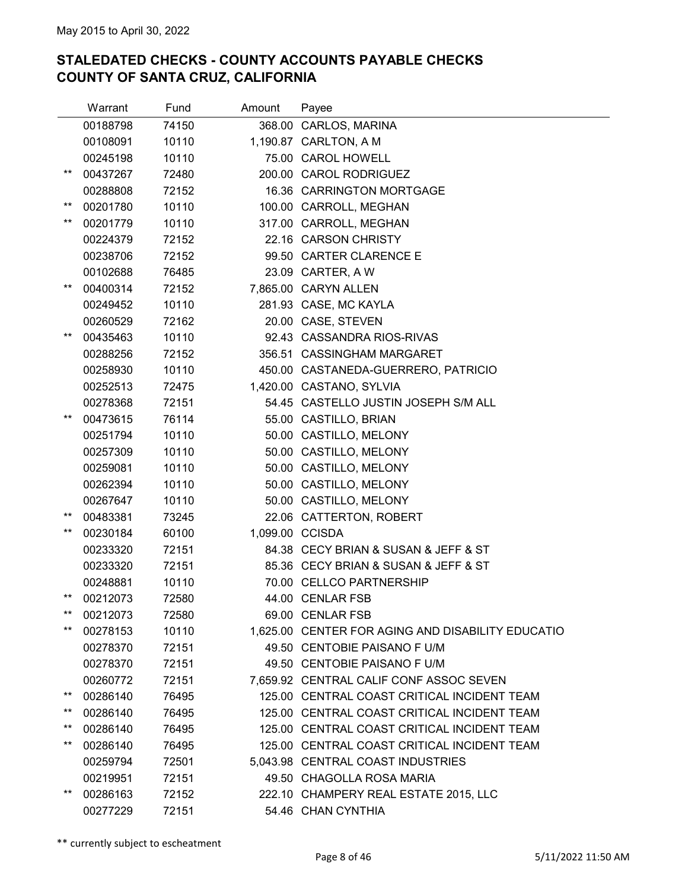|                                    | Warrant  | Fund  | Amount | Payee                                             |
|------------------------------------|----------|-------|--------|---------------------------------------------------|
|                                    | 00188798 | 74150 |        | 368.00 CARLOS, MARINA                             |
|                                    | 00108091 | 10110 |        | 1,190.87 CARLTON, A M                             |
|                                    | 00245198 | 10110 |        | 75.00 CAROL HOWELL                                |
| $^{\star\star}$                    | 00437267 | 72480 |        | 200.00 CAROL RODRIGUEZ                            |
|                                    | 00288808 | 72152 |        | 16.36 CARRINGTON MORTGAGE                         |
| $***$                              | 00201780 | 10110 |        | 100.00 CARROLL, MEGHAN                            |
| $***$                              | 00201779 | 10110 |        | 317.00 CARROLL, MEGHAN                            |
|                                    | 00224379 | 72152 |        | 22.16 CARSON CHRISTY                              |
|                                    | 00238706 | 72152 |        | 99.50 CARTER CLARENCE E                           |
|                                    | 00102688 | 76485 |        | 23.09 CARTER, A W                                 |
| $***$                              | 00400314 | 72152 |        | 7,865.00 CARYN ALLEN                              |
|                                    | 00249452 | 10110 |        | 281.93 CASE, MC KAYLA                             |
|                                    | 00260529 | 72162 |        | 20.00 CASE, STEVEN                                |
| $^{\star\star}$                    | 00435463 | 10110 |        | 92.43 CASSANDRA RIOS-RIVAS                        |
|                                    | 00288256 | 72152 |        | 356.51 CASSINGHAM MARGARET                        |
|                                    | 00258930 | 10110 |        | 450.00 CASTANEDA-GUERRERO, PATRICIO               |
|                                    | 00252513 | 72475 |        | 1,420.00 CASTANO, SYLVIA                          |
|                                    | 00278368 | 72151 |        | 54.45 CASTELLO JUSTIN JOSEPH S/M ALL              |
| $***$                              | 00473615 | 76114 |        | 55.00 CASTILLO, BRIAN                             |
|                                    | 00251794 | 10110 |        | 50.00 CASTILLO, MELONY                            |
|                                    | 00257309 | 10110 |        | 50.00 CASTILLO, MELONY                            |
|                                    | 00259081 | 10110 |        | 50.00 CASTILLO, MELONY                            |
|                                    | 00262394 | 10110 |        | 50.00 CASTILLO, MELONY                            |
|                                    | 00267647 | 10110 |        | 50.00 CASTILLO, MELONY                            |
| $^{\star\star}$                    | 00483381 | 73245 |        | 22.06 CATTERTON, ROBERT                           |
| $^{\star\star}$                    | 00230184 | 60100 |        | 1,099.00 CCISDA                                   |
|                                    | 00233320 | 72151 |        | 84.38 CECY BRIAN & SUSAN & JEFF & ST              |
|                                    | 00233320 | 72151 |        | 85.36 CECY BRIAN & SUSAN & JEFF & ST              |
|                                    | 00248881 | 10110 |        | 70.00 CELLCO PARTNERSHIP                          |
| $^{\star\star}$                    | 00212073 | 72580 |        | 44.00 CENLAR FSB                                  |
| $^{\star\star}$                    | 00212073 | 72580 |        | 69.00 CENLAR FSB                                  |
| $^{\star\star}$                    | 00278153 | 10110 |        | 1,625.00 CENTER FOR AGING AND DISABILITY EDUCATIO |
|                                    | 00278370 | 72151 |        | 49.50 CENTOBIE PAISANO F U/M                      |
|                                    | 00278370 | 72151 |        | 49.50 CENTOBIE PAISANO F U/M                      |
|                                    | 00260772 | 72151 |        | 7,659.92 CENTRAL CALIF CONF ASSOC SEVEN           |
| **                                 | 00286140 | 76495 |        | 125.00 CENTRAL COAST CRITICAL INCIDENT TEAM       |
| $^{\star\star}$                    | 00286140 | 76495 |        | 125.00 CENTRAL COAST CRITICAL INCIDENT TEAM       |
| $^{\star\star}$<br>$^{\star\star}$ | 00286140 | 76495 |        | 125.00 CENTRAL COAST CRITICAL INCIDENT TEAM       |
|                                    | 00286140 | 76495 |        | 125.00 CENTRAL COAST CRITICAL INCIDENT TEAM       |
|                                    | 00259794 | 72501 |        | 5,043.98 CENTRAL COAST INDUSTRIES                 |
|                                    | 00219951 | 72151 |        | 49.50 CHAGOLLA ROSA MARIA                         |
| **                                 | 00286163 | 72152 |        | 222.10 CHAMPERY REAL ESTATE 2015, LLC             |
|                                    | 00277229 | 72151 |        | 54.46 CHAN CYNTHIA                                |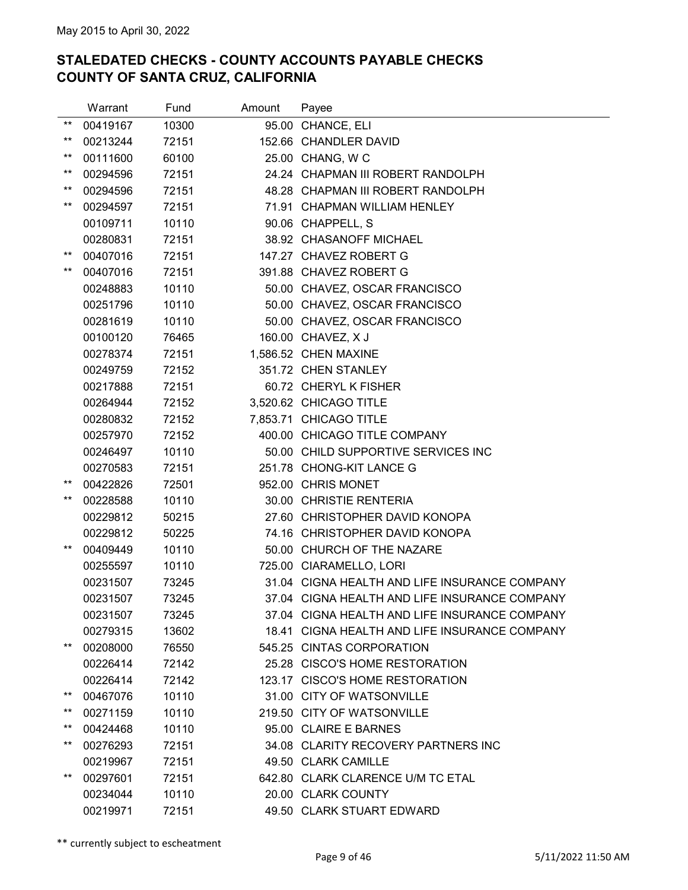|                 | Warrant  | Fund  | Amount | Payee                                         |
|-----------------|----------|-------|--------|-----------------------------------------------|
| $***$           | 00419167 | 10300 |        | 95.00 CHANCE, ELI                             |
| $***$           | 00213244 | 72151 |        | 152.66 CHANDLER DAVID                         |
| $***$           | 00111600 | 60100 |        | 25.00 CHANG, W C                              |
| $***$           | 00294596 | 72151 |        | 24.24 CHAPMAN III ROBERT RANDOLPH             |
| $***$           | 00294596 | 72151 |        | 48.28 CHAPMAN III ROBERT RANDOLPH             |
| $***$           | 00294597 | 72151 |        | 71.91 CHAPMAN WILLIAM HENLEY                  |
|                 | 00109711 | 10110 |        | 90.06 CHAPPELL, S                             |
|                 | 00280831 | 72151 |        | 38.92 CHASANOFF MICHAEL                       |
| $***$           | 00407016 | 72151 |        | 147.27 CHAVEZ ROBERT G                        |
| $***$           | 00407016 | 72151 |        | 391.88 CHAVEZ ROBERT G                        |
|                 | 00248883 | 10110 |        | 50.00 CHAVEZ, OSCAR FRANCISCO                 |
|                 | 00251796 | 10110 |        | 50.00 CHAVEZ, OSCAR FRANCISCO                 |
|                 | 00281619 | 10110 |        | 50.00 CHAVEZ, OSCAR FRANCISCO                 |
|                 | 00100120 | 76465 |        | 160.00 CHAVEZ, X J                            |
|                 | 00278374 | 72151 |        | 1,586.52 CHEN MAXINE                          |
|                 | 00249759 | 72152 |        | 351.72 CHEN STANLEY                           |
|                 | 00217888 | 72151 |        | 60.72 CHERYL K FISHER                         |
|                 | 00264944 | 72152 |        | 3,520.62 CHICAGO TITLE                        |
|                 | 00280832 | 72152 |        | 7,853.71 CHICAGO TITLE                        |
|                 | 00257970 | 72152 |        | 400.00 CHICAGO TITLE COMPANY                  |
|                 | 00246497 | 10110 |        | 50.00 CHILD SUPPORTIVE SERVICES INC           |
|                 | 00270583 | 72151 |        | 251.78 CHONG-KIT LANCE G                      |
| $***$           | 00422826 | 72501 |        | 952.00 CHRIS MONET                            |
| $***$           | 00228588 | 10110 |        | 30.00 CHRISTIE RENTERIA                       |
|                 | 00229812 | 50215 |        | 27.60 CHRISTOPHER DAVID KONOPA                |
|                 | 00229812 | 50225 |        | 74.16 CHRISTOPHER DAVID KONOPA                |
| $***$           | 00409449 | 10110 |        | 50.00 CHURCH OF THE NAZARE                    |
|                 | 00255597 | 10110 |        | 725.00 CIARAMELLO, LORI                       |
|                 | 00231507 | 73245 |        | 31.04 CIGNA HEALTH AND LIFE INSURANCE COMPANY |
|                 | 00231507 | 73245 |        | 37.04 CIGNA HEALTH AND LIFE INSURANCE COMPANY |
|                 | 00231507 | 73245 |        | 37.04 CIGNA HEALTH AND LIFE INSURANCE COMPANY |
|                 | 00279315 | 13602 |        | 18.41 CIGNA HEALTH AND LIFE INSURANCE COMPANY |
| $^{\star\star}$ | 00208000 | 76550 |        | 545.25 CINTAS CORPORATION                     |
|                 | 00226414 | 72142 |        | 25.28 CISCO'S HOME RESTORATION                |
|                 | 00226414 | 72142 |        | 123.17 CISCO'S HOME RESTORATION               |
| $^{\star\star}$ | 00467076 | 10110 |        | 31.00 CITY OF WATSONVILLE                     |
| $^{\star\star}$ | 00271159 | 10110 |        | 219.50 CITY OF WATSONVILLE                    |
| $^{\star\star}$ | 00424468 | 10110 |        | 95.00 CLAIRE E BARNES                         |
| $***$           | 00276293 | 72151 |        | 34.08 CLARITY RECOVERY PARTNERS INC           |
|                 | 00219967 | 72151 |        | 49.50 CLARK CAMILLE                           |
| $***$           | 00297601 | 72151 |        | 642.80 CLARK CLARENCE U/M TC ETAL             |
|                 | 00234044 | 10110 |        | 20.00 CLARK COUNTY                            |
|                 | 00219971 | 72151 |        | 49.50 CLARK STUART EDWARD                     |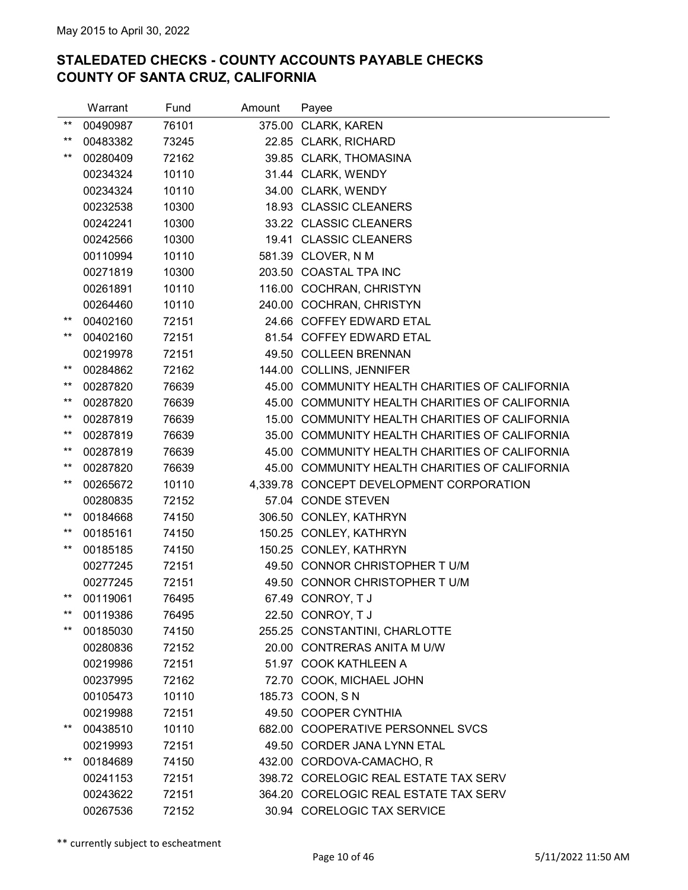|                 | Warrant  | Fund  | Amount | Payee                                          |
|-----------------|----------|-------|--------|------------------------------------------------|
| $***$           | 00490987 | 76101 |        | 375.00 CLARK, KAREN                            |
| $***$           | 00483382 | 73245 |        | 22.85 CLARK, RICHARD                           |
| $***$           | 00280409 | 72162 |        | 39.85 CLARK, THOMASINA                         |
|                 | 00234324 | 10110 |        | 31.44 CLARK, WENDY                             |
|                 | 00234324 | 10110 |        | 34.00 CLARK, WENDY                             |
|                 | 00232538 | 10300 |        | 18.93 CLASSIC CLEANERS                         |
|                 | 00242241 | 10300 |        | 33.22 CLASSIC CLEANERS                         |
|                 | 00242566 | 10300 |        | 19.41 CLASSIC CLEANERS                         |
|                 | 00110994 | 10110 |        | 581.39 CLOVER, N M                             |
|                 | 00271819 | 10300 |        | 203.50 COASTAL TPA INC                         |
|                 | 00261891 | 10110 |        | 116.00 COCHRAN, CHRISTYN                       |
|                 | 00264460 | 10110 |        | 240.00 COCHRAN, CHRISTYN                       |
| $***$           | 00402160 | 72151 |        | 24.66 COFFEY EDWARD ETAL                       |
| $***$           | 00402160 | 72151 |        | 81.54 COFFEY EDWARD ETAL                       |
|                 | 00219978 | 72151 |        | 49.50 COLLEEN BRENNAN                          |
| $***$           | 00284862 | 72162 |        | 144.00 COLLINS, JENNIFER                       |
| $***$           | 00287820 | 76639 |        | 45.00 COMMUNITY HEALTH CHARITIES OF CALIFORNIA |
| $^{\star\star}$ | 00287820 | 76639 |        | 45.00 COMMUNITY HEALTH CHARITIES OF CALIFORNIA |
| $***$           | 00287819 | 76639 |        | 15.00 COMMUNITY HEALTH CHARITIES OF CALIFORNIA |
| $^{\star\star}$ | 00287819 | 76639 |        | 35.00 COMMUNITY HEALTH CHARITIES OF CALIFORNIA |
| $^{\star\star}$ | 00287819 | 76639 |        | 45.00 COMMUNITY HEALTH CHARITIES OF CALIFORNIA |
| $***$           | 00287820 | 76639 |        | 45.00 COMMUNITY HEALTH CHARITIES OF CALIFORNIA |
| $***$           | 00265672 | 10110 |        | 4,339.78 CONCEPT DEVELOPMENT CORPORATION       |
|                 | 00280835 | 72152 |        | 57.04 CONDE STEVEN                             |
| $^{\star\star}$ | 00184668 | 74150 |        | 306.50 CONLEY, KATHRYN                         |
| $***$           | 00185161 | 74150 |        | 150.25 CONLEY, KATHRYN                         |
| $^{\star\star}$ | 00185185 | 74150 |        | 150.25 CONLEY, KATHRYN                         |
|                 | 00277245 | 72151 |        | 49.50 CONNOR CHRISTOPHER TU/M                  |
|                 | 00277245 | 72151 |        | 49.50 CONNOR CHRISTOPHER TU/M                  |
| $^{\star\star}$ | 00119061 | 76495 |        | 67.49 CONROY, T J                              |
| $***$           | 00119386 | 76495 |        | 22.50 CONROY, T J                              |
| $***$           | 00185030 | 74150 |        | 255.25 CONSTANTINI, CHARLOTTE                  |
|                 | 00280836 | 72152 |        | 20.00 CONTRERAS ANITA M U/W                    |
|                 | 00219986 | 72151 |        | 51.97 COOK KATHLEEN A                          |
|                 | 00237995 | 72162 |        | 72.70 COOK, MICHAEL JOHN                       |
|                 | 00105473 | 10110 |        | 185.73 COON, SN                                |
|                 | 00219988 | 72151 |        | 49.50 COOPER CYNTHIA                           |
| $***$           | 00438510 | 10110 |        | 682.00 COOPERATIVE PERSONNEL SVCS              |
|                 | 00219993 | 72151 |        | 49.50 CORDER JANA LYNN ETAL                    |
| $***$           | 00184689 | 74150 |        | 432.00 CORDOVA-CAMACHO, R                      |
|                 | 00241153 | 72151 |        | 398.72 CORELOGIC REAL ESTATE TAX SERV          |
|                 | 00243622 | 72151 |        | 364.20 CORELOGIC REAL ESTATE TAX SERV          |
|                 | 00267536 | 72152 |        | 30.94 CORELOGIC TAX SERVICE                    |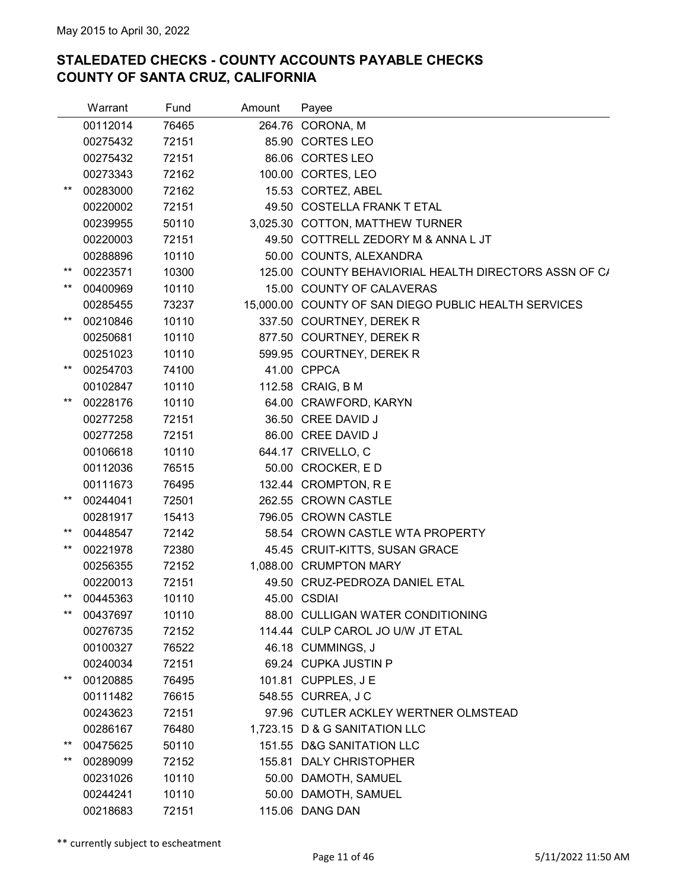|                 | Warrant  | Fund  | Amount | Payee                                                 |
|-----------------|----------|-------|--------|-------------------------------------------------------|
|                 | 00112014 | 76465 |        | 264.76 CORONA, M                                      |
|                 | 00275432 | 72151 |        | 85.90 CORTES LEO                                      |
|                 | 00275432 | 72151 |        | 86.06 CORTES LEO                                      |
|                 | 00273343 | 72162 |        | 100.00 CORTES, LEO                                    |
| $^{\star\star}$ | 00283000 | 72162 |        | 15.53 CORTEZ, ABEL                                    |
|                 | 00220002 | 72151 |        | 49.50 COSTELLA FRANK T ETAL                           |
|                 | 00239955 | 50110 |        | 3,025.30 COTTON, MATTHEW TURNER                       |
|                 | 00220003 | 72151 |        | 49.50 COTTRELL ZEDORY M & ANNA L JT                   |
|                 | 00288896 | 10110 |        | 50.00 COUNTS, ALEXANDRA                               |
| $^{\star\star}$ | 00223571 | 10300 |        | 125.00 COUNTY BEHAVIORIAL HEALTH DIRECTORS ASSN OF C/ |
| $^{\star\star}$ | 00400969 | 10110 |        | 15.00 COUNTY OF CALAVERAS                             |
|                 | 00285455 | 73237 |        | 15,000.00 COUNTY OF SAN DIEGO PUBLIC HEALTH SERVICES  |
| $***$           | 00210846 | 10110 |        | 337.50 COURTNEY, DEREK R                              |
|                 | 00250681 | 10110 |        | 877.50 COURTNEY, DEREK R                              |
|                 | 00251023 | 10110 |        | 599.95 COURTNEY, DEREK R                              |
| $***$           | 00254703 | 74100 |        | 41.00 CPPCA                                           |
|                 | 00102847 | 10110 |        | 112.58 CRAIG, B M                                     |
| $***$           | 00228176 | 10110 |        | 64.00 CRAWFORD, KARYN                                 |
|                 | 00277258 | 72151 |        | 36.50 CREE DAVID J                                    |
|                 | 00277258 | 72151 |        | 86.00 CREE DAVID J                                    |
|                 | 00106618 | 10110 |        | 644.17 CRIVELLO, C                                    |
|                 | 00112036 | 76515 |        | 50.00 CROCKER, ED                                     |
|                 | 00111673 | 76495 |        | 132.44 CROMPTON, R E                                  |
| $^{\star\star}$ | 00244041 | 72501 |        | 262.55 CROWN CASTLE                                   |
|                 | 00281917 | 15413 |        | 796.05 CROWN CASTLE                                   |
| $^{\star\star}$ | 00448547 | 72142 |        | 58.54 CROWN CASTLE WTA PROPERTY                       |
| $^{\star\star}$ | 00221978 | 72380 |        | 45.45 CRUIT-KITTS, SUSAN GRACE                        |
|                 | 00256355 | 72152 |        | 1,088.00 CRUMPTON MARY                                |
|                 | 00220013 | 72151 |        | 49.50 CRUZ-PEDROZA DANIEL ETAL                        |
| $***$           | 00445363 | 10110 |        | 45.00 CSDIAI                                          |
| $***$           | 00437697 | 10110 |        | 88.00 CULLIGAN WATER CONDITIONING                     |
|                 | 00276735 | 72152 |        | 114.44 CULP CAROL JO U/W JT ETAL                      |
|                 | 00100327 | 76522 |        | 46.18 CUMMINGS, J                                     |
|                 | 00240034 | 72151 |        | 69.24 CUPKA JUSTIN P                                  |
| $***$           | 00120885 | 76495 |        | 101.81 CUPPLES, J E                                   |
|                 | 00111482 | 76615 |        | 548.55 CURREA, J C                                    |
|                 | 00243623 | 72151 |        | 97.96 CUTLER ACKLEY WERTNER OLMSTEAD                  |
|                 | 00286167 | 76480 |        | 1,723.15 D & G SANITATION LLC                         |
| $***$           | 00475625 | 50110 |        | 151.55 D&G SANITATION LLC                             |
| **              | 00289099 | 72152 |        | 155.81 DALY CHRISTOPHER                               |
|                 | 00231026 | 10110 |        | 50.00 DAMOTH, SAMUEL                                  |
|                 | 00244241 | 10110 |        | 50.00 DAMOTH, SAMUEL                                  |
|                 | 00218683 | 72151 |        | 115.06 DANG DAN                                       |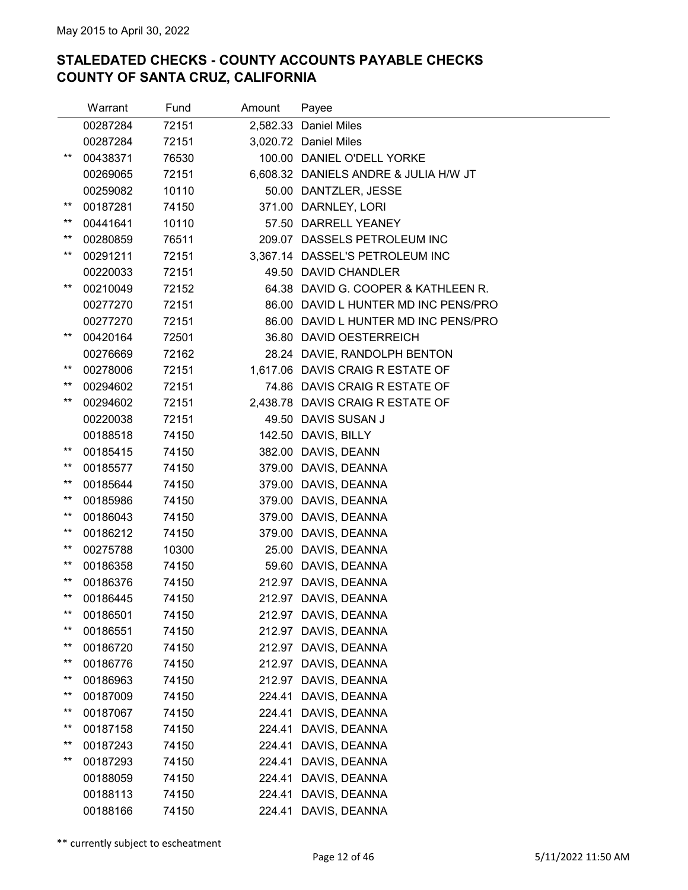|                 | Warrant  | Fund  | Amount | Payee                                 |
|-----------------|----------|-------|--------|---------------------------------------|
|                 | 00287284 | 72151 |        | 2,582.33 Daniel Miles                 |
|                 | 00287284 | 72151 |        | 3,020.72 Daniel Miles                 |
| $^{\star\star}$ | 00438371 | 76530 |        | 100.00 DANIEL O'DELL YORKE            |
|                 | 00269065 | 72151 |        | 6,608.32 DANIELS ANDRE & JULIA H/W JT |
|                 | 00259082 | 10110 |        | 50.00 DANTZLER, JESSE                 |
| $^{\star\star}$ | 00187281 | 74150 |        | 371.00 DARNLEY, LORI                  |
| $^{\star\star}$ | 00441641 | 10110 |        | 57.50 DARRELL YEANEY                  |
| $^{\star\star}$ | 00280859 | 76511 |        | 209.07 DASSELS PETROLEUM INC          |
| $^{\star\star}$ | 00291211 | 72151 |        | 3,367.14 DASSEL'S PETROLEUM INC       |
|                 | 00220033 | 72151 |        | 49.50 DAVID CHANDLER                  |
| $***$           | 00210049 | 72152 |        | 64.38 DAVID G. COOPER & KATHLEEN R.   |
|                 | 00277270 | 72151 |        | 86.00 DAVID L HUNTER MD INC PENS/PRO  |
|                 | 00277270 | 72151 |        | 86.00 DAVID L HUNTER MD INC PENS/PRO  |
| $***$           | 00420164 | 72501 |        | 36.80 DAVID OESTERREICH               |
|                 | 00276669 | 72162 |        | 28.24 DAVIE, RANDOLPH BENTON          |
| $^{\star\star}$ | 00278006 | 72151 |        | 1,617.06 DAVIS CRAIG R ESTATE OF      |
| $***$           | 00294602 | 72151 |        | 74.86 DAVIS CRAIG R ESTATE OF         |
| $^{\star\star}$ | 00294602 | 72151 |        | 2,438.78 DAVIS CRAIG R ESTATE OF      |
|                 | 00220038 | 72151 |        | 49.50 DAVIS SUSAN J                   |
|                 | 00188518 | 74150 |        | 142.50 DAVIS, BILLY                   |
| $^{\star\star}$ | 00185415 | 74150 |        | 382.00 DAVIS, DEANN                   |
| **              | 00185577 | 74150 |        | 379.00 DAVIS, DEANNA                  |
| $***$           | 00185644 | 74150 |        | 379.00 DAVIS, DEANNA                  |
| $^{\star\star}$ | 00185986 | 74150 |        | 379.00 DAVIS, DEANNA                  |
| $^{\star\star}$ | 00186043 | 74150 |        | 379.00 DAVIS, DEANNA                  |
| $***$           | 00186212 | 74150 |        | 379.00 DAVIS, DEANNA                  |
| $^{\star\star}$ | 00275788 | 10300 |        | 25.00 DAVIS, DEANNA                   |
| $^{\star\star}$ | 00186358 | 74150 |        | 59.60 DAVIS, DEANNA                   |
| $***$           | 00186376 | 74150 |        | 212.97 DAVIS, DEANNA                  |
| $***$           | 00186445 | 74150 |        | 212.97 DAVIS, DEANNA                  |
| $***$           | 00186501 | 74150 |        | 212.97 DAVIS, DEANNA                  |
| $***$           | 00186551 | 74150 |        | 212.97 DAVIS, DEANNA                  |
| $^{\star\star}$ | 00186720 | 74150 |        | 212.97 DAVIS, DEANNA                  |
| $^{\star\star}$ | 00186776 | 74150 | 212.97 | DAVIS, DEANNA                         |
| $^{\star\star}$ | 00186963 | 74150 | 212.97 | DAVIS, DEANNA                         |
| $^{\star\star}$ | 00187009 | 74150 | 224.41 | DAVIS, DEANNA                         |
| $^{\star\star}$ | 00187067 | 74150 | 224.41 | DAVIS, DEANNA                         |
| $^{\star\star}$ | 00187158 | 74150 | 224.41 | DAVIS, DEANNA                         |
| $***$           | 00187243 | 74150 | 224.41 | DAVIS, DEANNA                         |
| $^{\star\star}$ | 00187293 | 74150 | 224.41 | DAVIS, DEANNA                         |
|                 | 00188059 | 74150 | 224.41 | DAVIS, DEANNA                         |
|                 | 00188113 | 74150 | 224.41 | DAVIS, DEANNA                         |
|                 | 00188166 | 74150 | 224.41 | DAVIS, DEANNA                         |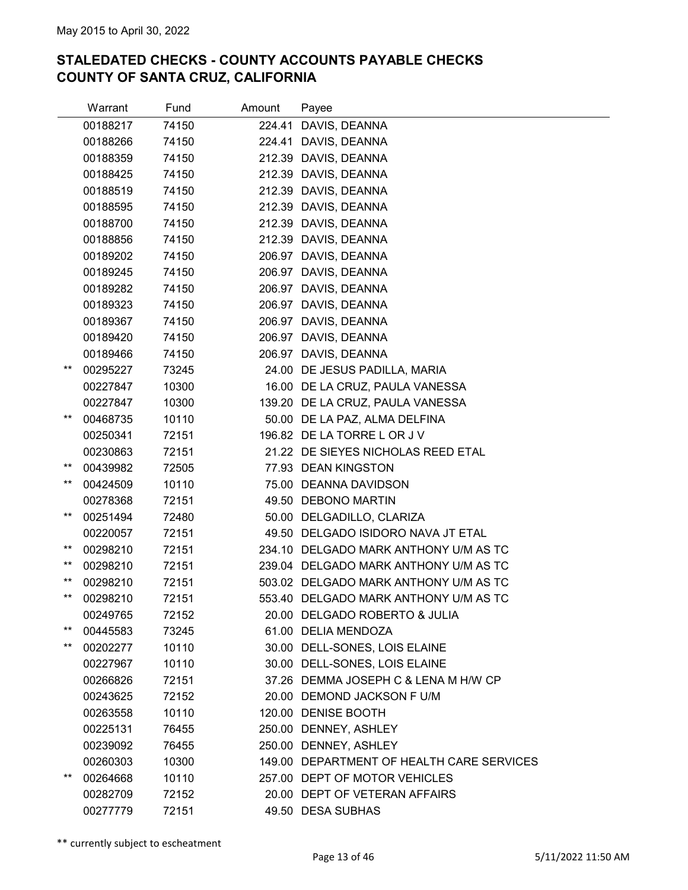|                 | Warrant  | Fund  | Amount | Payee                                     |
|-----------------|----------|-------|--------|-------------------------------------------|
|                 | 00188217 | 74150 |        | 224.41 DAVIS, DEANNA                      |
|                 | 00188266 | 74150 |        | 224.41 DAVIS, DEANNA                      |
|                 | 00188359 | 74150 |        | 212.39 DAVIS, DEANNA                      |
|                 | 00188425 | 74150 |        | 212.39 DAVIS, DEANNA                      |
|                 | 00188519 | 74150 |        | 212.39 DAVIS, DEANNA                      |
|                 | 00188595 | 74150 |        | 212.39 DAVIS, DEANNA                      |
|                 | 00188700 | 74150 |        | 212.39 DAVIS, DEANNA                      |
|                 | 00188856 | 74150 |        | 212.39 DAVIS, DEANNA                      |
|                 | 00189202 | 74150 |        | 206.97 DAVIS, DEANNA                      |
|                 | 00189245 | 74150 |        | 206.97 DAVIS, DEANNA                      |
|                 | 00189282 | 74150 |        | 206.97 DAVIS, DEANNA                      |
|                 | 00189323 | 74150 |        | 206.97 DAVIS, DEANNA                      |
|                 | 00189367 | 74150 |        | 206.97 DAVIS, DEANNA                      |
|                 | 00189420 | 74150 |        | 206.97 DAVIS, DEANNA                      |
|                 | 00189466 | 74150 |        | 206.97 DAVIS, DEANNA                      |
| $***$           | 00295227 | 73245 |        | 24.00 DE JESUS PADILLA, MARIA             |
|                 | 00227847 | 10300 |        | 16.00 DE LA CRUZ, PAULA VANESSA           |
|                 | 00227847 | 10300 |        | 139.20 DE LA CRUZ, PAULA VANESSA          |
| $***$           | 00468735 | 10110 |        | 50.00 DE LA PAZ, ALMA DELFINA             |
|                 | 00250341 | 72151 |        | 196.82 DE LA TORRE L OR J V               |
|                 | 00230863 | 72151 |        | 21.22 DE SIEYES NICHOLAS REED ETAL        |
| $***$           | 00439982 | 72505 |        | 77.93 DEAN KINGSTON                       |
| $^{\star\star}$ | 00424509 | 10110 |        | 75.00 DEANNA DAVIDSON                     |
|                 | 00278368 | 72151 |        | 49.50 DEBONO MARTIN                       |
| $***$           | 00251494 | 72480 |        | 50.00 DELGADILLO, CLARIZA                 |
|                 | 00220057 | 72151 |        | 49.50 DELGADO ISIDORO NAVA JT ETAL        |
| $^{\star\star}$ | 00298210 | 72151 |        | 234.10 DELGADO MARK ANTHONY U/M AS TC     |
| $***$           | 00298210 | 72151 |        | 239.04 DELGADO MARK ANTHONY U/M AS TC     |
| $^{\star\star}$ | 00298210 | 72151 |        | 503.02 DELGADO MARK ANTHONY U/M AS TC     |
| $***$           | 00298210 | 72151 |        | 553.40 DELGADO MARK ANTHONY U/M AS TC     |
|                 | 00249765 | 72152 |        | 20.00 DELGADO ROBERTO & JULIA             |
| $***$           | 00445583 | 73245 |        | 61.00 DELIA MENDOZA                       |
| $^{\star\star}$ | 00202277 | 10110 |        | 30.00 DELL-SONES, LOIS ELAINE             |
|                 | 00227967 | 10110 |        | 30.00 DELL-SONES, LOIS ELAINE             |
|                 | 00266826 | 72151 |        | 37.26 DEMMA JOSEPH C & LENA M H/W CP      |
|                 | 00243625 | 72152 |        | 20.00 DEMOND JACKSON F U/M                |
|                 | 00263558 | 10110 |        | 120.00 DENISE BOOTH                       |
|                 | 00225131 | 76455 |        | 250.00 DENNEY, ASHLEY                     |
|                 | 00239092 | 76455 |        | 250.00 DENNEY, ASHLEY                     |
|                 | 00260303 | 10300 |        | 149.00 DEPARTMENT OF HEALTH CARE SERVICES |
| $^{\star\star}$ | 00264668 | 10110 |        | 257.00 DEPT OF MOTOR VEHICLES             |
|                 | 00282709 | 72152 |        | 20.00 DEPT OF VETERAN AFFAIRS             |
|                 | 00277779 | 72151 |        | 49.50 DESA SUBHAS                         |
|                 |          |       |        |                                           |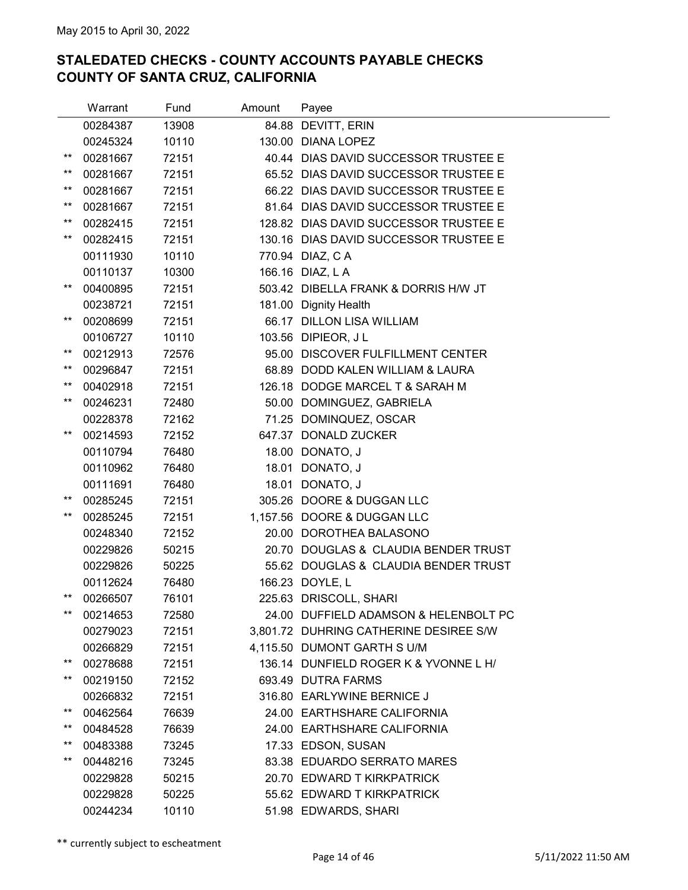|                 | Warrant  | Fund  | Amount | Payee                                  |
|-----------------|----------|-------|--------|----------------------------------------|
|                 | 00284387 | 13908 |        | 84.88 DEVITT, ERIN                     |
|                 | 00245324 | 10110 |        | 130.00 DIANA LOPEZ                     |
| **              | 00281667 | 72151 |        | 40.44 DIAS DAVID SUCCESSOR TRUSTEE E   |
| $***$           | 00281667 | 72151 |        | 65.52 DIAS DAVID SUCCESSOR TRUSTEE E   |
| $^{\star\star}$ | 00281667 | 72151 |        | 66.22 DIAS DAVID SUCCESSOR TRUSTEE E   |
| $***$           | 00281667 | 72151 |        | 81.64 DIAS DAVID SUCCESSOR TRUSTEE E   |
| $***$           | 00282415 | 72151 |        | 128.82 DIAS DAVID SUCCESSOR TRUSTEE E  |
| $***$           | 00282415 | 72151 |        | 130.16 DIAS DAVID SUCCESSOR TRUSTEE E  |
|                 | 00111930 | 10110 |        | 770.94 DIAZ, CA                        |
|                 | 00110137 | 10300 |        | 166.16 DIAZ, L A                       |
| $***$           | 00400895 | 72151 |        | 503.42 DIBELLA FRANK & DORRIS H/W JT   |
|                 | 00238721 | 72151 |        | 181.00 Dignity Health                  |
| $***$           | 00208699 | 72151 |        | 66.17 DILLON LISA WILLIAM              |
|                 | 00106727 | 10110 |        | 103.56 DIPIEOR, J L                    |
| $***$           | 00212913 | 72576 |        | 95.00 DISCOVER FULFILLMENT CENTER      |
| $***$           | 00296847 | 72151 |        | 68.89 DODD KALEN WILLIAM & LAURA       |
| $^{\star\star}$ | 00402918 | 72151 |        | 126.18 DODGE MARCEL T & SARAH M        |
| $***$           | 00246231 | 72480 |        | 50.00 DOMINGUEZ, GABRIELA              |
|                 | 00228378 | 72162 |        | 71.25 DOMINQUEZ, OSCAR                 |
| $***$           | 00214593 | 72152 |        | 647.37 DONALD ZUCKER                   |
|                 | 00110794 | 76480 |        | 18.00 DONATO, J                        |
|                 | 00110962 | 76480 |        | 18.01 DONATO, J                        |
|                 | 00111691 | 76480 |        | 18.01 DONATO, J                        |
| $^{\star\star}$ | 00285245 | 72151 |        | 305.26 DOORE & DUGGAN LLC              |
| $***$           | 00285245 | 72151 |        | 1,157.56 DOORE & DUGGAN LLC            |
|                 | 00248340 | 72152 |        | 20.00 DOROTHEA BALASONO                |
|                 | 00229826 | 50215 |        | 20.70 DOUGLAS & CLAUDIA BENDER TRUST   |
|                 | 00229826 | 50225 |        | 55.62 DOUGLAS & CLAUDIA BENDER TRUST   |
|                 | 00112624 | 76480 |        | 166.23 DOYLE, L                        |
| $***$           | 00266507 | 76101 |        | 225.63 DRISCOLL, SHARI                 |
| $***$           | 00214653 | 72580 |        | 24.00 DUFFIELD ADAMSON & HELENBOLT PC  |
|                 | 00279023 | 72151 |        | 3,801.72 DUHRING CATHERINE DESIREE S/W |
|                 | 00266829 | 72151 |        | 4,115.50 DUMONT GARTH S U/M            |
| $^{\star\star}$ | 00278688 | 72151 |        | 136.14 DUNFIELD ROGER K & YVONNE L H/  |
| $^{\star\star}$ | 00219150 | 72152 |        | 693.49 DUTRA FARMS                     |
|                 | 00266832 | 72151 |        | 316.80 EARLYWINE BERNICE J             |
| $***$<br>$***$  | 00462564 | 76639 |        | 24.00 EARTHSHARE CALIFORNIA            |
| $***$           | 00484528 | 76639 |        | 24.00 EARTHSHARE CALIFORNIA            |
| $^{\star\star}$ | 00483388 | 73245 |        | 17.33 EDSON, SUSAN                     |
|                 | 00448216 | 73245 |        | 83.38 EDUARDO SERRATO MARES            |
|                 | 00229828 | 50215 |        | 20.70 EDWARD T KIRKPATRICK             |
|                 | 00229828 | 50225 |        | 55.62 EDWARD T KIRKPATRICK             |
|                 | 00244234 | 10110 |        | 51.98 EDWARDS, SHARI                   |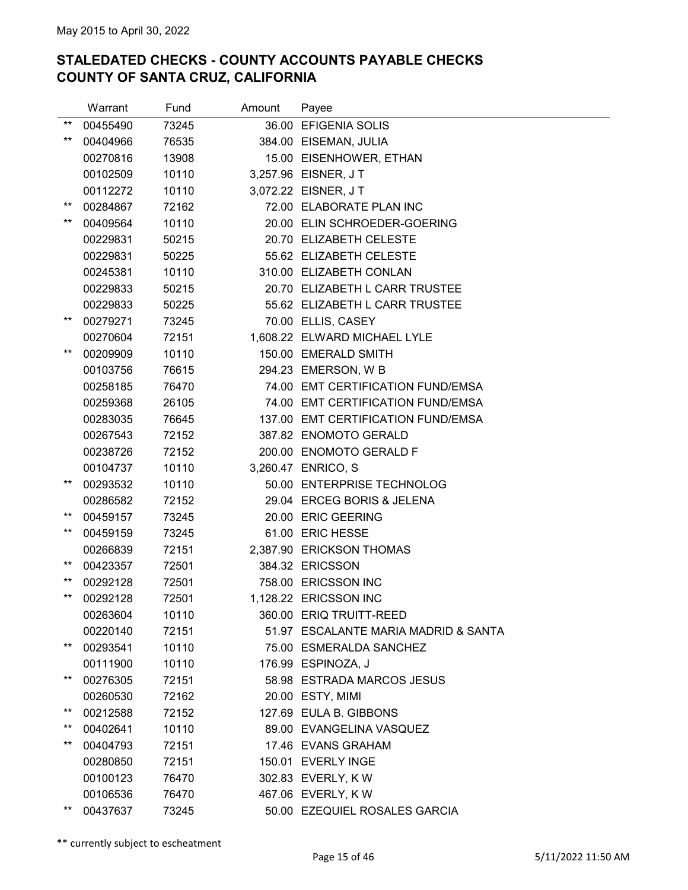|                 | Warrant  | Fund  | Amount | Payee                                |
|-----------------|----------|-------|--------|--------------------------------------|
| $***$           | 00455490 | 73245 |        | 36.00 EFIGENIA SOLIS                 |
| $***$           | 00404966 | 76535 |        | 384.00 EISEMAN, JULIA                |
|                 | 00270816 | 13908 |        | 15.00 EISENHOWER, ETHAN              |
|                 | 00102509 | 10110 |        | 3,257.96 EISNER, JT                  |
|                 | 00112272 | 10110 |        | 3,072.22 EISNER, JT                  |
| $***$           | 00284867 | 72162 |        | 72.00 ELABORATE PLAN INC             |
| $***$           | 00409564 | 10110 |        | 20.00 ELIN SCHROEDER-GOERING         |
|                 | 00229831 | 50215 |        | 20.70 ELIZABETH CELESTE              |
|                 | 00229831 | 50225 |        | 55.62 ELIZABETH CELESTE              |
|                 | 00245381 | 10110 |        | 310.00 ELIZABETH CONLAN              |
|                 | 00229833 | 50215 |        | 20.70 ELIZABETH L CARR TRUSTEE       |
|                 | 00229833 | 50225 |        | 55.62 ELIZABETH L CARR TRUSTEE       |
| $***$           | 00279271 | 73245 |        | 70.00 ELLIS, CASEY                   |
|                 | 00270604 | 72151 |        | 1,608.22 ELWARD MICHAEL LYLE         |
| $***$           | 00209909 | 10110 |        | 150.00 EMERALD SMITH                 |
|                 | 00103756 | 76615 |        | 294.23 EMERSON, W B                  |
|                 | 00258185 | 76470 |        | 74.00 EMT CERTIFICATION FUND/EMSA    |
|                 | 00259368 | 26105 |        | 74.00 EMT CERTIFICATION FUND/EMSA    |
|                 | 00283035 | 76645 |        | 137.00 EMT CERTIFICATION FUND/EMSA   |
|                 | 00267543 | 72152 |        | 387.82 ENOMOTO GERALD                |
|                 | 00238726 | 72152 |        | 200.00 ENOMOTO GERALD F              |
|                 | 00104737 | 10110 |        | 3,260.47 ENRICO, S                   |
| $***$           | 00293532 | 10110 |        | 50.00 ENTERPRISE TECHNOLOG           |
|                 | 00286582 | 72152 |        | 29.04 ERCEG BORIS & JELENA           |
| $***$           | 00459157 | 73245 |        | 20.00 ERIC GEERING                   |
| $***$           | 00459159 | 73245 |        | 61.00 ERIC HESSE                     |
|                 | 00266839 | 72151 |        | 2,387.90 ERICKSON THOMAS             |
| $^{\star\star}$ | 00423357 | 72501 |        | 384.32 ERICSSON                      |
| $***$           | 00292128 | 72501 |        | 758.00 ERICSSON INC                  |
| $***$           | 00292128 | 72501 |        | 1,128.22 ERICSSON INC                |
|                 | 00263604 | 10110 |        | 360.00 ERIQ TRUITT-REED              |
|                 | 00220140 | 72151 |        | 51.97 ESCALANTE MARIA MADRID & SANTA |
| $***$           | 00293541 | 10110 |        | 75.00 ESMERALDA SANCHEZ              |
|                 | 00111900 | 10110 |        | 176.99 ESPINOZA, J                   |
| $***$           | 00276305 | 72151 |        | 58.98 ESTRADA MARCOS JESUS           |
|                 | 00260530 | 72162 |        | 20.00 ESTY, MIMI                     |
| $***$           | 00212588 | 72152 |        | 127.69 EULA B. GIBBONS               |
| $***$           | 00402641 | 10110 |        | 89.00 EVANGELINA VASQUEZ             |
| $^{\star\star}$ | 00404793 | 72151 |        | 17.46 EVANS GRAHAM                   |
|                 | 00280850 | 72151 |        | 150.01 EVERLY INGE                   |
|                 | 00100123 | 76470 |        | 302.83 EVERLY, KW                    |
|                 | 00106536 | 76470 |        | 467.06 EVERLY, KW                    |
| $***$           | 00437637 | 73245 |        | 50.00 EZEQUIEL ROSALES GARCIA        |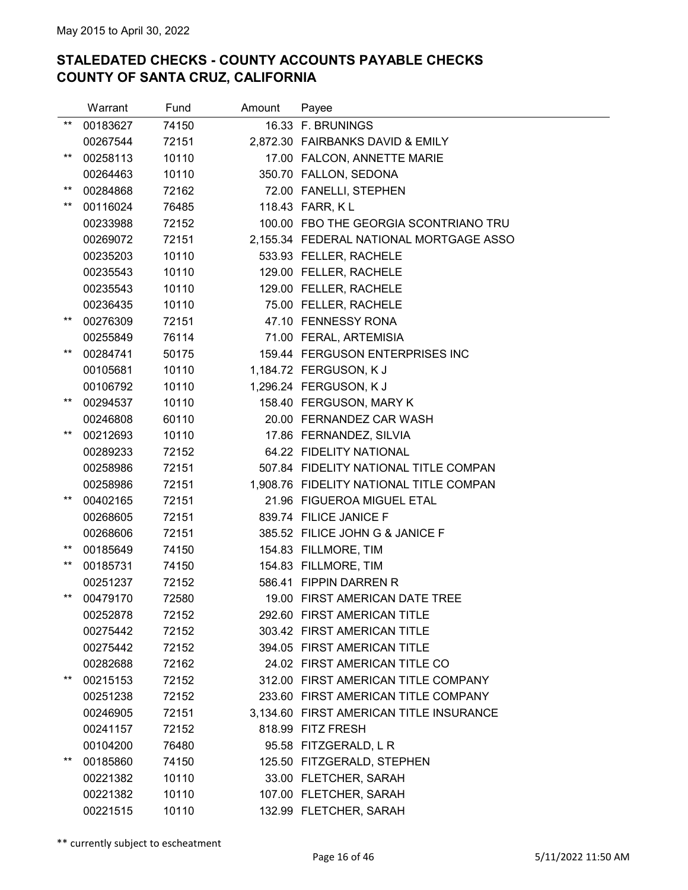|                 | Warrant  | Fund  | Amount | Payee                                   |
|-----------------|----------|-------|--------|-----------------------------------------|
| $***$           | 00183627 | 74150 |        | 16.33 F. BRUNINGS                       |
|                 | 00267544 | 72151 |        | 2,872.30 FAIRBANKS DAVID & EMILY        |
| $***$           | 00258113 | 10110 |        | 17.00 FALCON, ANNETTE MARIE             |
|                 | 00264463 | 10110 |        | 350.70 FALLON, SEDONA                   |
| $^{\star\star}$ | 00284868 | 72162 |        | 72.00 FANELLI, STEPHEN                  |
| $***$           | 00116024 | 76485 |        | 118.43 FARR, KL                         |
|                 | 00233988 | 72152 |        | 100.00 FBO THE GEORGIA SCONTRIANO TRU   |
|                 | 00269072 | 72151 |        | 2,155.34 FEDERAL NATIONAL MORTGAGE ASSO |
|                 | 00235203 | 10110 |        | 533.93 FELLER, RACHELE                  |
|                 | 00235543 | 10110 |        | 129.00 FELLER, RACHELE                  |
|                 | 00235543 | 10110 |        | 129.00 FELLER, RACHELE                  |
|                 | 00236435 | 10110 |        | 75.00 FELLER, RACHELE                   |
| $***$           | 00276309 | 72151 |        | 47.10 FENNESSY RONA                     |
|                 | 00255849 | 76114 |        | 71.00 FERAL, ARTEMISIA                  |
| $***$           | 00284741 | 50175 |        | 159.44 FERGUSON ENTERPRISES INC         |
|                 | 00105681 | 10110 |        | 1,184.72 FERGUSON, K J                  |
|                 | 00106792 | 10110 |        | 1,296.24 FERGUSON, K J                  |
| $***$           | 00294537 | 10110 |        | 158.40 FERGUSON, MARY K                 |
|                 | 00246808 | 60110 |        | 20.00 FERNANDEZ CAR WASH                |
| $***$           | 00212693 | 10110 |        | 17.86 FERNANDEZ, SILVIA                 |
|                 | 00289233 | 72152 |        | 64.22 FIDELITY NATIONAL                 |
|                 | 00258986 | 72151 |        | 507.84 FIDELITY NATIONAL TITLE COMPAN   |
|                 | 00258986 | 72151 |        | 1,908.76 FIDELITY NATIONAL TITLE COMPAN |
| **              | 00402165 | 72151 |        | 21.96 FIGUEROA MIGUEL ETAL              |
|                 | 00268605 | 72151 |        | 839.74 FILICE JANICE F                  |
|                 | 00268606 | 72151 |        | 385.52 FILICE JOHN G & JANICE F         |
| $^{\star\star}$ | 00185649 | 74150 |        | 154.83 FILLMORE, TIM                    |
| $***$           | 00185731 | 74150 |        | 154.83 FILLMORE, TIM                    |
|                 | 00251237 | 72152 |        | 586.41 FIPPIN DARREN R                  |
| $^{\star\star}$ | 00479170 | 72580 |        | 19.00 FIRST AMERICAN DATE TREE          |
|                 | 00252878 | 72152 |        | 292.60 FIRST AMERICAN TITLE             |
|                 | 00275442 | 72152 |        | 303.42 FIRST AMERICAN TITLE             |
|                 | 00275442 | 72152 |        | 394.05 FIRST AMERICAN TITLE             |
|                 | 00282688 | 72162 |        | 24.02 FIRST AMERICAN TITLE CO           |
| $***$           | 00215153 | 72152 |        | 312.00 FIRST AMERICAN TITLE COMPANY     |
|                 | 00251238 | 72152 |        | 233.60 FIRST AMERICAN TITLE COMPANY     |
|                 | 00246905 | 72151 |        | 3,134.60 FIRST AMERICAN TITLE INSURANCE |
|                 | 00241157 | 72152 |        | 818.99 FITZ FRESH                       |
|                 | 00104200 | 76480 |        | 95.58 FITZGERALD, L R                   |
| $^{\star\star}$ | 00185860 | 74150 |        | 125.50 FITZGERALD, STEPHEN              |
|                 | 00221382 | 10110 |        | 33.00 FLETCHER, SARAH                   |
|                 | 00221382 | 10110 |        | 107.00 FLETCHER, SARAH                  |
|                 | 00221515 | 10110 |        | 132.99 FLETCHER, SARAH                  |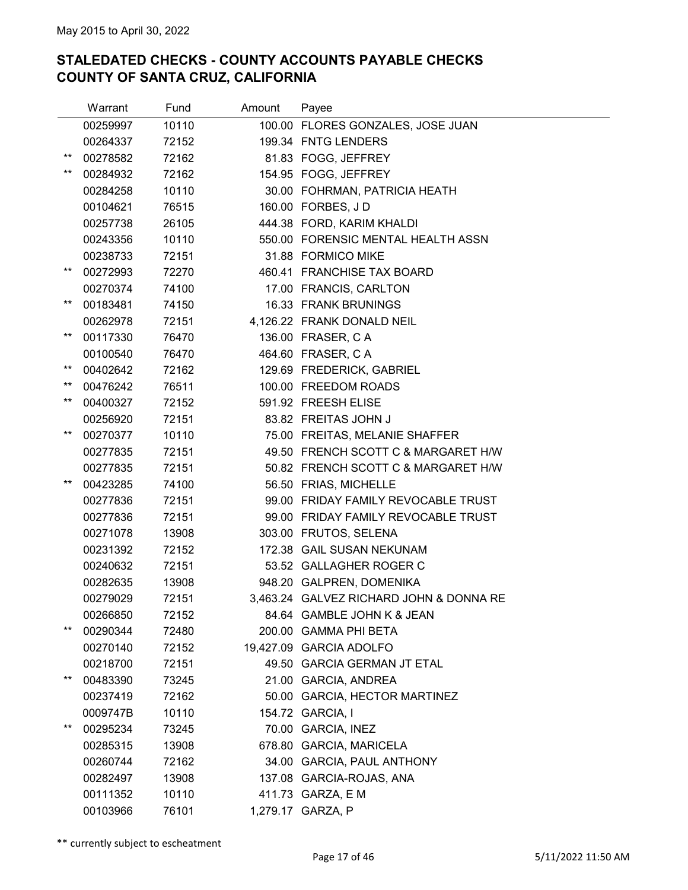|                 | Warrant  | Fund  | Amount | Payee                                   |
|-----------------|----------|-------|--------|-----------------------------------------|
|                 | 00259997 | 10110 |        | 100.00 FLORES GONZALES, JOSE JUAN       |
|                 | 00264337 | 72152 |        | 199.34 FNTG LENDERS                     |
| $***$           | 00278582 | 72162 |        | 81.83 FOGG, JEFFREY                     |
| $***$           | 00284932 | 72162 |        | 154.95 FOGG, JEFFREY                    |
|                 | 00284258 | 10110 |        | 30.00 FOHRMAN, PATRICIA HEATH           |
|                 | 00104621 | 76515 |        | 160.00 FORBES, J D                      |
|                 | 00257738 | 26105 |        | 444.38 FORD, KARIM KHALDI               |
|                 | 00243356 | 10110 |        | 550.00 FORENSIC MENTAL HEALTH ASSN      |
|                 | 00238733 | 72151 |        | 31.88 FORMICO MIKE                      |
| $***$           | 00272993 | 72270 |        | 460.41 FRANCHISE TAX BOARD              |
|                 | 00270374 | 74100 |        | 17.00 FRANCIS, CARLTON                  |
| $^{\star\star}$ | 00183481 | 74150 |        | 16.33 FRANK BRUNINGS                    |
|                 | 00262978 | 72151 |        | 4,126.22 FRANK DONALD NEIL              |
| $***$           | 00117330 | 76470 |        | 136.00 FRASER, C A                      |
|                 | 00100540 | 76470 |        | 464.60 FRASER, C A                      |
| $***$           | 00402642 | 72162 |        | 129.69 FREDERICK, GABRIEL               |
| $***$           | 00476242 | 76511 |        | 100.00 FREEDOM ROADS                    |
| $***$           | 00400327 | 72152 |        | 591.92 FREESH ELISE                     |
|                 | 00256920 | 72151 |        | 83.82 FREITAS JOHN J                    |
| $***$           | 00270377 | 10110 |        | 75.00 FREITAS, MELANIE SHAFFER          |
|                 | 00277835 | 72151 |        | 49.50 FRENCH SCOTT C & MARGARET H/W     |
|                 | 00277835 | 72151 |        | 50.82 FRENCH SCOTT C & MARGARET H/W     |
| $***$           | 00423285 | 74100 |        | 56.50 FRIAS, MICHELLE                   |
|                 | 00277836 | 72151 |        | 99.00 FRIDAY FAMILY REVOCABLE TRUST     |
|                 | 00277836 | 72151 |        | 99.00 FRIDAY FAMILY REVOCABLE TRUST     |
|                 | 00271078 | 13908 |        | 303.00 FRUTOS, SELENA                   |
|                 | 00231392 | 72152 |        | 172.38 GAIL SUSAN NEKUNAM               |
|                 | 00240632 | 72151 |        | 53.52 GALLAGHER ROGER C                 |
|                 | 00282635 | 13908 |        | 948.20 GALPREN, DOMENIKA                |
|                 | 00279029 | 72151 |        | 3,463.24 GALVEZ RICHARD JOHN & DONNA RE |
|                 | 00266850 | 72152 |        | 84.64 GAMBLE JOHN K & JEAN              |
| $***$           | 00290344 | 72480 |        | 200.00 GAMMA PHI BETA                   |
|                 | 00270140 | 72152 |        | 19,427.09 GARCIA ADOLFO                 |
|                 | 00218700 | 72151 |        | 49.50 GARCIA GERMAN JT ETAL             |
| $^{\star\star}$ | 00483390 | 73245 |        | 21.00 GARCIA, ANDREA                    |
|                 | 00237419 | 72162 |        | 50.00 GARCIA, HECTOR MARTINEZ           |
|                 | 0009747B | 10110 |        | 154.72 GARCIA, I                        |
| $***$           | 00295234 | 73245 |        | 70.00 GARCIA, INEZ                      |
|                 | 00285315 | 13908 |        | 678.80 GARCIA, MARICELA                 |
|                 | 00260744 | 72162 |        | 34.00 GARCIA, PAUL ANTHONY              |
|                 | 00282497 | 13908 |        | 137.08 GARCIA-ROJAS, ANA                |
|                 | 00111352 | 10110 |        | 411.73 GARZA, E M                       |
|                 | 00103966 | 76101 |        | 1,279.17 GARZA, P                       |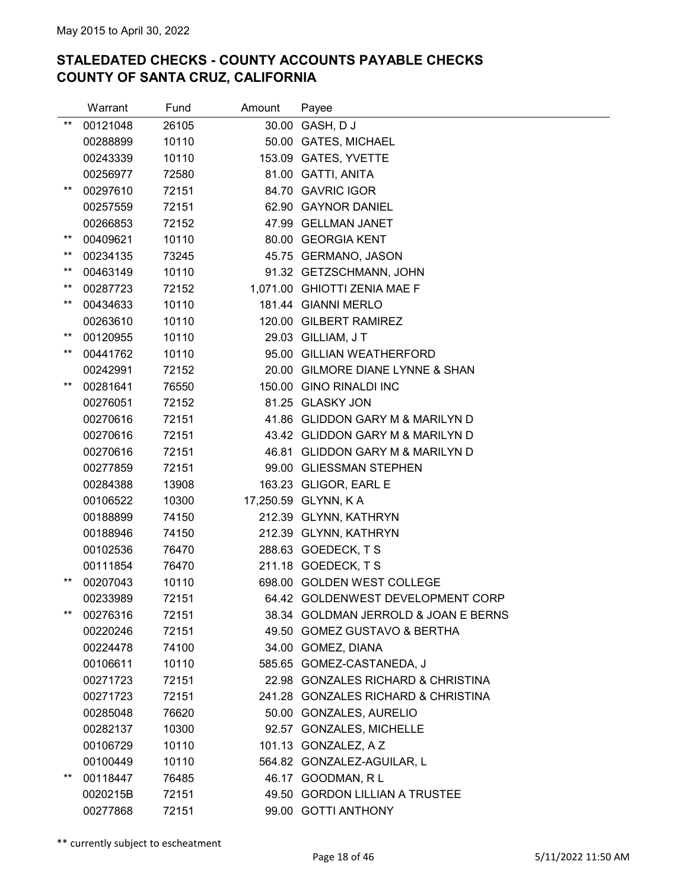|       | Warrant  | Fund  | Amount | Payee                                |
|-------|----------|-------|--------|--------------------------------------|
| $***$ | 00121048 | 26105 |        | 30.00 GASH, D J                      |
|       | 00288899 | 10110 |        | 50.00 GATES, MICHAEL                 |
|       | 00243339 | 10110 |        | 153.09 GATES, YVETTE                 |
|       | 00256977 | 72580 |        | 81.00 GATTI, ANITA                   |
| $***$ | 00297610 | 72151 |        | 84.70 GAVRIC IGOR                    |
|       | 00257559 | 72151 |        | 62.90 GAYNOR DANIEL                  |
|       | 00266853 | 72152 |        | 47.99 GELLMAN JANET                  |
| $***$ | 00409621 | 10110 |        | 80.00 GEORGIA KENT                   |
| $***$ | 00234135 | 73245 |        | 45.75 GERMANO, JASON                 |
| $***$ | 00463149 | 10110 |        | 91.32 GETZSCHMANN, JOHN              |
| $***$ | 00287723 | 72152 |        | 1,071.00 GHIOTTI ZENIA MAE F         |
| $***$ | 00434633 | 10110 |        | 181.44 GIANNI MERLO                  |
|       | 00263610 | 10110 |        | 120.00 GILBERT RAMIREZ               |
| $***$ | 00120955 | 10110 |        | 29.03 GILLIAM, JT                    |
| $***$ | 00441762 | 10110 |        | 95.00 GILLIAN WEATHERFORD            |
|       | 00242991 | 72152 |        | 20.00 GILMORE DIANE LYNNE & SHAN     |
| $***$ | 00281641 | 76550 |        | 150.00 GINO RINALDI INC              |
|       | 00276051 | 72152 |        | 81.25 GLASKY JON                     |
|       | 00270616 | 72151 |        | 41.86 GLIDDON GARY M & MARILYN D     |
|       | 00270616 | 72151 |        | 43.42 GLIDDON GARY M & MARILYN D     |
|       | 00270616 | 72151 |        | 46.81 GLIDDON GARY M & MARILYN D     |
|       | 00277859 | 72151 |        | 99.00 GLIESSMAN STEPHEN              |
|       | 00284388 | 13908 |        | 163.23 GLIGOR, EARL E                |
|       | 00106522 | 10300 |        | 17,250.59 GLYNN, KA                  |
|       | 00188899 | 74150 |        | 212.39 GLYNN, KATHRYN                |
|       | 00188946 | 74150 |        | 212.39 GLYNN, KATHRYN                |
|       | 00102536 | 76470 |        | 288.63 GOEDECK, T S                  |
|       | 00111854 | 76470 |        | 211.18 GOEDECK, TS                   |
| $***$ | 00207043 | 10110 |        | 698.00 GOLDEN WEST COLLEGE           |
|       | 00233989 | 72151 |        | 64.42 GOLDENWEST DEVELOPMENT CORP    |
| $***$ | 00276316 | 72151 |        | 38.34 GOLDMAN JERROLD & JOAN E BERNS |
|       | 00220246 | 72151 |        | 49.50 GOMEZ GUSTAVO & BERTHA         |
|       | 00224478 | 74100 |        | 34.00 GOMEZ, DIANA                   |
|       | 00106611 | 10110 |        | 585.65 GOMEZ-CASTANEDA, J            |
|       | 00271723 | 72151 |        | 22.98 GONZALES RICHARD & CHRISTINA   |
|       | 00271723 | 72151 |        | 241.28 GONZALES RICHARD & CHRISTINA  |
|       | 00285048 | 76620 |        | 50.00 GONZALES, AURELIO              |
|       | 00282137 | 10300 |        | 92.57 GONZALES, MICHELLE             |
|       | 00106729 | 10110 |        | 101.13 GONZALEZ, A Z                 |
|       | 00100449 | 10110 |        | 564.82 GONZALEZ-AGUILAR, L           |
| $***$ | 00118447 | 76485 |        | 46.17 GOODMAN, RL                    |
|       | 0020215B | 72151 |        | 49.50 GORDON LILLIAN A TRUSTEE       |
|       | 00277868 | 72151 |        | 99.00 GOTTI ANTHONY                  |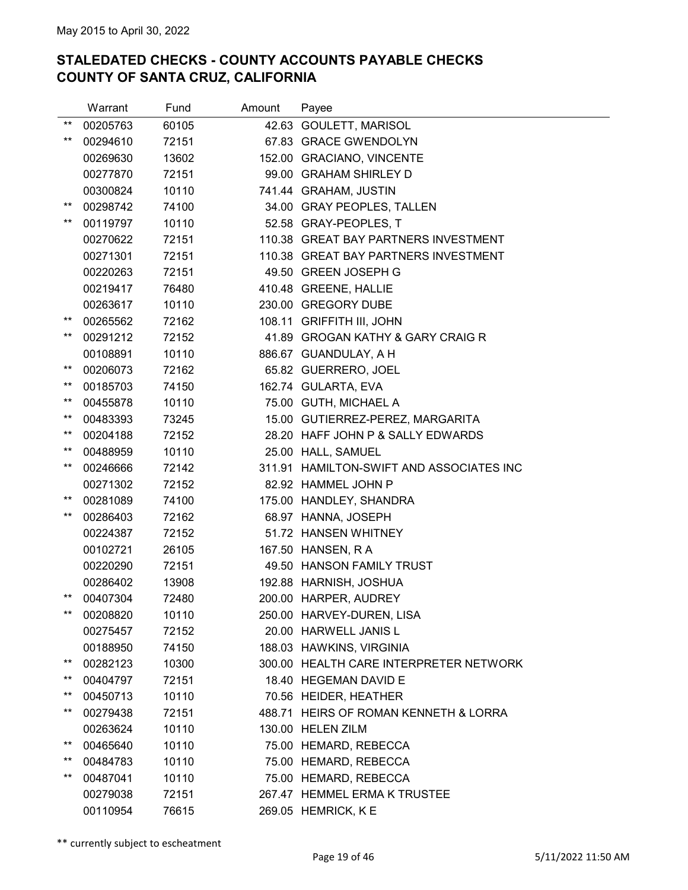|                 | Warrant  | Fund  | Amount | Payee                                    |
|-----------------|----------|-------|--------|------------------------------------------|
| $***$           | 00205763 | 60105 |        | 42.63 GOULETT, MARISOL                   |
| $***$           | 00294610 | 72151 |        | 67.83 GRACE GWENDOLYN                    |
|                 | 00269630 | 13602 |        | 152.00 GRACIANO, VINCENTE                |
|                 | 00277870 | 72151 |        | 99.00 GRAHAM SHIRLEY D                   |
|                 | 00300824 | 10110 |        | 741.44 GRAHAM, JUSTIN                    |
| $^{\star\star}$ | 00298742 | 74100 |        | 34.00 GRAY PEOPLES, TALLEN               |
| $***$           | 00119797 | 10110 |        | 52.58 GRAY-PEOPLES, T                    |
|                 | 00270622 | 72151 |        | 110.38 GREAT BAY PARTNERS INVESTMENT     |
|                 | 00271301 | 72151 |        | 110.38 GREAT BAY PARTNERS INVESTMENT     |
|                 | 00220263 | 72151 |        | 49.50 GREEN JOSEPH G                     |
|                 | 00219417 | 76480 |        | 410.48 GREENE, HALLIE                    |
|                 | 00263617 | 10110 |        | 230.00 GREGORY DUBE                      |
| $^{\star\star}$ | 00265562 | 72162 |        | 108.11 GRIFFITH III, JOHN                |
| **              | 00291212 | 72152 |        | 41.89 GROGAN KATHY & GARY CRAIG R        |
|                 | 00108891 | 10110 |        | 886.67 GUANDULAY, A H                    |
| **              | 00206073 | 72162 |        | 65.82 GUERRERO, JOEL                     |
| $^{\star\star}$ | 00185703 | 74150 |        | 162.74 GULARTA, EVA                      |
| $^{\star\star}$ | 00455878 | 10110 |        | 75.00 GUTH, MICHAEL A                    |
| $***$           | 00483393 | 73245 |        | 15.00 GUTIERREZ-PEREZ, MARGARITA         |
| $^{\star\star}$ | 00204188 | 72152 |        | 28.20 HAFF JOHN P & SALLY EDWARDS        |
| $^{\star\star}$ | 00488959 | 10110 |        | 25.00 HALL, SAMUEL                       |
| $***$           | 00246666 | 72142 |        | 311.91 HAMILTON-SWIFT AND ASSOCIATES INC |
|                 | 00271302 | 72152 |        | 82.92 HAMMEL JOHN P                      |
| $^{\star\star}$ | 00281089 | 74100 |        | 175.00 HANDLEY, SHANDRA                  |
| $***$           | 00286403 | 72162 |        | 68.97 HANNA, JOSEPH                      |
|                 | 00224387 | 72152 |        | 51.72 HANSEN WHITNEY                     |
|                 | 00102721 | 26105 |        | 167.50 HANSEN, R A                       |
|                 | 00220290 | 72151 |        | 49.50 HANSON FAMILY TRUST                |
|                 | 00286402 | 13908 |        | 192.88 HARNISH, JOSHUA                   |
| $^{\star\star}$ | 00407304 | 72480 |        | 200.00 HARPER, AUDREY                    |
| $***$           | 00208820 | 10110 |        | 250.00 HARVEY-DUREN, LISA                |
|                 | 00275457 | 72152 |        | 20.00 HARWELL JANIS L                    |
|                 | 00188950 | 74150 |        | 188.03 HAWKINS, VIRGINIA                 |
| **              | 00282123 | 10300 |        | 300.00 HEALTH CARE INTERPRETER NETWORK   |
| $^{\star\star}$ | 00404797 | 72151 |        | 18.40 HEGEMAN DAVID E                    |
| **              | 00450713 | 10110 |        | 70.56 HEIDER, HEATHER                    |
| $^{\star\star}$ | 00279438 | 72151 |        | 488.71 HEIRS OF ROMAN KENNETH & LORRA    |
|                 | 00263624 | 10110 |        | 130.00 HELEN ZILM                        |
| $^{\star\star}$ | 00465640 | 10110 |        | 75.00 HEMARD, REBECCA                    |
| $^{\star\star}$ | 00484783 | 10110 |        | 75.00 HEMARD, REBECCA                    |
| $***$           | 00487041 | 10110 |        | 75.00 HEMARD, REBECCA                    |
|                 | 00279038 | 72151 |        | 267.47 HEMMEL ERMA K TRUSTEE             |
|                 | 00110954 | 76615 |        | 269.05 HEMRICK, KE                       |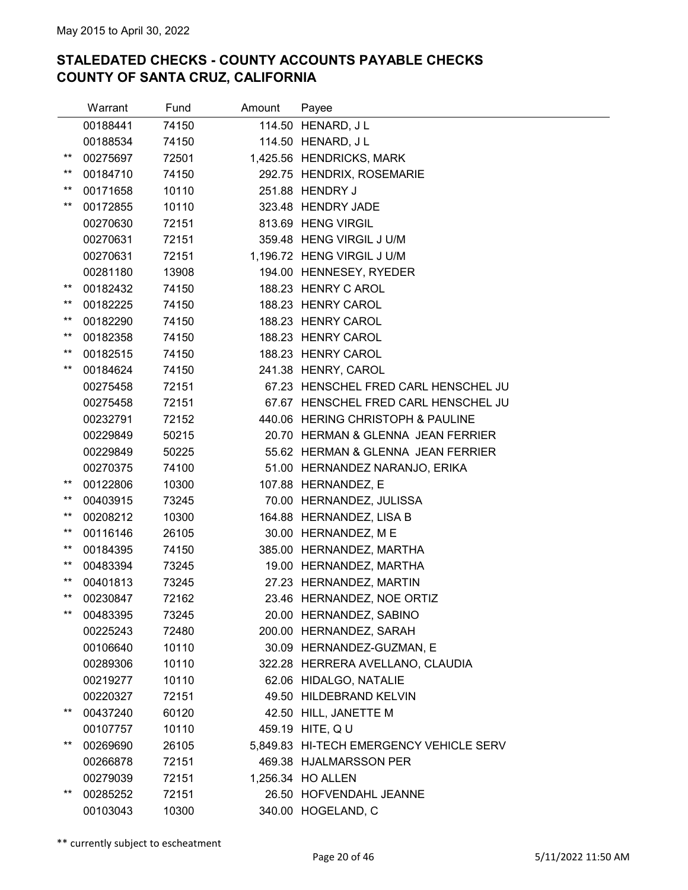|                 | Warrant  | Fund  | Amount | Payee                                   |
|-----------------|----------|-------|--------|-----------------------------------------|
|                 | 00188441 | 74150 |        | 114.50 HENARD, J L                      |
|                 | 00188534 | 74150 |        | 114.50 HENARD, J L                      |
| $***$           | 00275697 | 72501 |        | 1,425.56 HENDRICKS, MARK                |
| $^{\star\star}$ | 00184710 | 74150 |        | 292.75 HENDRIX, ROSEMARIE               |
| $^{\star\star}$ | 00171658 | 10110 |        | 251.88 HENDRY J                         |
| $***$           | 00172855 | 10110 |        | 323.48 HENDRY JADE                      |
|                 | 00270630 | 72151 |        | 813.69 HENG VIRGIL                      |
|                 | 00270631 | 72151 |        | 359.48 HENG VIRGIL J U/M                |
|                 | 00270631 | 72151 |        | 1,196.72 HENG VIRGIL J U/M              |
|                 | 00281180 | 13908 |        | 194.00 HENNESEY, RYEDER                 |
| $***$           | 00182432 | 74150 |        | 188.23 HENRY C AROL                     |
| **              | 00182225 | 74150 |        | 188.23 HENRY CAROL                      |
| $***$           | 00182290 | 74150 |        | 188.23 HENRY CAROL                      |
| $***$           | 00182358 | 74150 |        | 188.23 HENRY CAROL                      |
| $^{\star\star}$ | 00182515 | 74150 |        | 188.23 HENRY CAROL                      |
| $***$           | 00184624 | 74150 |        | 241.38 HENRY, CAROL                     |
|                 | 00275458 | 72151 |        | 67.23 HENSCHEL FRED CARL HENSCHEL JU    |
|                 | 00275458 | 72151 |        | 67.67 HENSCHEL FRED CARL HENSCHEL JU    |
|                 | 00232791 | 72152 |        | 440.06 HERING CHRISTOPH & PAULINE       |
|                 | 00229849 | 50215 |        | 20.70 HERMAN & GLENNA JEAN FERRIER      |
|                 | 00229849 | 50225 |        | 55.62 HERMAN & GLENNA JEAN FERRIER      |
|                 | 00270375 | 74100 |        | 51.00 HERNANDEZ NARANJO, ERIKA          |
| $^{\star\star}$ | 00122806 | 10300 |        | 107.88 HERNANDEZ, E                     |
| $^{\star\star}$ | 00403915 | 73245 |        | 70.00 HERNANDEZ, JULISSA                |
| $***$           | 00208212 | 10300 |        | 164.88 HERNANDEZ, LISA B                |
| $^{\star\star}$ | 00116146 | 26105 |        | 30.00 HERNANDEZ, ME                     |
| $^{\star\star}$ | 00184395 | 74150 |        | 385.00 HERNANDEZ, MARTHA                |
| $***$           | 00483394 | 73245 |        | 19.00 HERNANDEZ, MARTHA                 |
| $^{\star\star}$ | 00401813 | 73245 |        | 27.23 HERNANDEZ, MARTIN                 |
| $***$           | 00230847 | 72162 |        | 23.46 HERNANDEZ, NOE ORTIZ              |
| $***$           | 00483395 | 73245 |        | 20.00 HERNANDEZ, SABINO                 |
|                 | 00225243 | 72480 |        | 200.00 HERNANDEZ, SARAH                 |
|                 | 00106640 | 10110 |        | 30.09 HERNANDEZ-GUZMAN, E               |
|                 | 00289306 | 10110 |        | 322.28 HERRERA AVELLANO, CLAUDIA        |
|                 | 00219277 | 10110 |        | 62.06 HIDALGO, NATALIE                  |
|                 | 00220327 | 72151 |        | 49.50 HILDEBRAND KELVIN                 |
| $***$           | 00437240 | 60120 |        | 42.50 HILL, JANETTE M                   |
|                 | 00107757 | 10110 |        | 459.19 HITE, Q U                        |
| $***$           | 00269690 | 26105 |        | 5,849.83 HI-TECH EMERGENCY VEHICLE SERV |
|                 | 00266878 | 72151 |        | 469.38 HJALMARSSON PER                  |
|                 | 00279039 | 72151 |        | 1,256.34 HO ALLEN                       |
| **              | 00285252 | 72151 |        | 26.50 HOFVENDAHL JEANNE                 |
|                 | 00103043 | 10300 |        | 340.00 HOGELAND, C                      |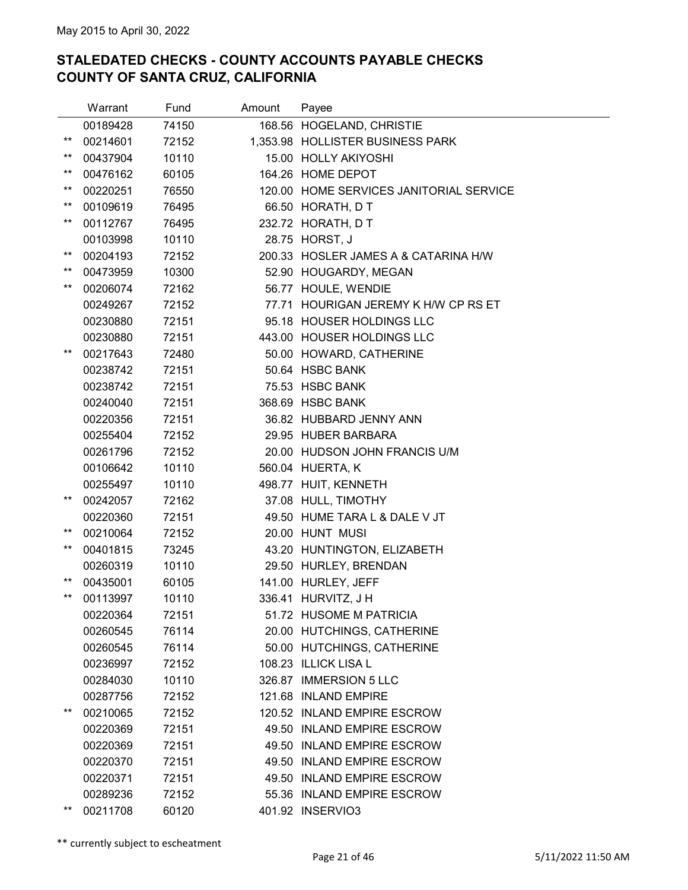|                 | Warrant  | Fund  | Amount | Payee                                   |
|-----------------|----------|-------|--------|-----------------------------------------|
|                 | 00189428 | 74150 |        | 168.56 HOGELAND, CHRISTIE               |
| $^{\star\star}$ | 00214601 | 72152 |        | 1,353.98 HOLLISTER BUSINESS PARK        |
| $***$           | 00437904 | 10110 |        | 15.00 HOLLY AKIYOSHI                    |
| **              | 00476162 | 60105 |        | 164.26 HOME DEPOT                       |
| $^{\star\star}$ | 00220251 | 76550 |        | 120.00 HOME SERVICES JANITORIAL SERVICE |
| $***$           | 00109619 | 76495 |        | 66.50 HORATH, D T                       |
| $***$           | 00112767 | 76495 |        | 232.72 HORATH, D T                      |
|                 | 00103998 | 10110 |        | 28.75 HORST, J                          |
| $^{\star\star}$ | 00204193 | 72152 |        | 200.33 HOSLER JAMES A & CATARINA H/W    |
| $***$           | 00473959 | 10300 |        | 52.90 HOUGARDY, MEGAN                   |
| $***$           | 00206074 | 72162 |        | 56.77 HOULE, WENDIE                     |
|                 | 00249267 | 72152 |        | 77.71 HOURIGAN JEREMY K H/W CP RS ET    |
|                 | 00230880 | 72151 |        | 95.18 HOUSER HOLDINGS LLC               |
|                 | 00230880 | 72151 |        | 443.00 HOUSER HOLDINGS LLC              |
| $^{\star\star}$ | 00217643 | 72480 |        | 50.00 HOWARD, CATHERINE                 |
|                 | 00238742 | 72151 |        | 50.64 HSBC BANK                         |
|                 | 00238742 | 72151 |        | 75.53 HSBC BANK                         |
|                 | 00240040 | 72151 |        | 368.69 HSBC BANK                        |
|                 | 00220356 | 72151 |        | 36.82 HUBBARD JENNY ANN                 |
|                 | 00255404 | 72152 |        | 29.95 HUBER BARBARA                     |
|                 | 00261796 | 72152 |        | 20.00 HUDSON JOHN FRANCIS U/M           |
|                 | 00106642 | 10110 |        | 560.04 HUERTA, K                        |
|                 | 00255497 | 10110 |        | 498.77 HUIT, KENNETH                    |
| $^{\star\star}$ | 00242057 | 72162 |        | 37.08 HULL, TIMOTHY                     |
|                 | 00220360 | 72151 |        | 49.50 HUME TARA L & DALE V JT           |
| $^{\star\star}$ | 00210064 | 72152 |        | 20.00 HUNT MUSI                         |
| $***$           | 00401815 | 73245 |        | 43.20 HUNTINGTON, ELIZABETH             |
|                 | 00260319 | 10110 |        | 29.50 HURLEY, BRENDAN                   |
| $^{\star\star}$ | 00435001 | 60105 |        | 141.00 HURLEY, JEFF                     |
| $***$           | 00113997 | 10110 |        | 336.41 HURVITZ, J H                     |
|                 | 00220364 | 72151 |        | 51.72 HUSOME M PATRICIA                 |
|                 | 00260545 | 76114 |        | 20.00 HUTCHINGS, CATHERINE              |
|                 | 00260545 | 76114 |        | 50.00 HUTCHINGS, CATHERINE              |
|                 | 00236997 | 72152 |        | 108.23 ILLICK LISA L                    |
|                 | 00284030 | 10110 |        | 326.87 IMMERSION 5 LLC                  |
|                 | 00287756 | 72152 |        | 121.68 INLAND EMPIRE                    |
| $^{\star\star}$ | 00210065 | 72152 |        | 120.52 INLAND EMPIRE ESCROW             |
|                 | 00220369 | 72151 |        | 49.50 INLAND EMPIRE ESCROW              |
|                 | 00220369 | 72151 |        | 49.50 INLAND EMPIRE ESCROW              |
|                 | 00220370 | 72151 |        | 49.50 INLAND EMPIRE ESCROW              |
|                 | 00220371 | 72151 |        | 49.50 INLAND EMPIRE ESCROW              |
|                 | 00289236 | 72152 |        | 55.36 INLAND EMPIRE ESCROW              |
| $^{\star\star}$ | 00211708 | 60120 |        | 401.92 INSERVIO3                        |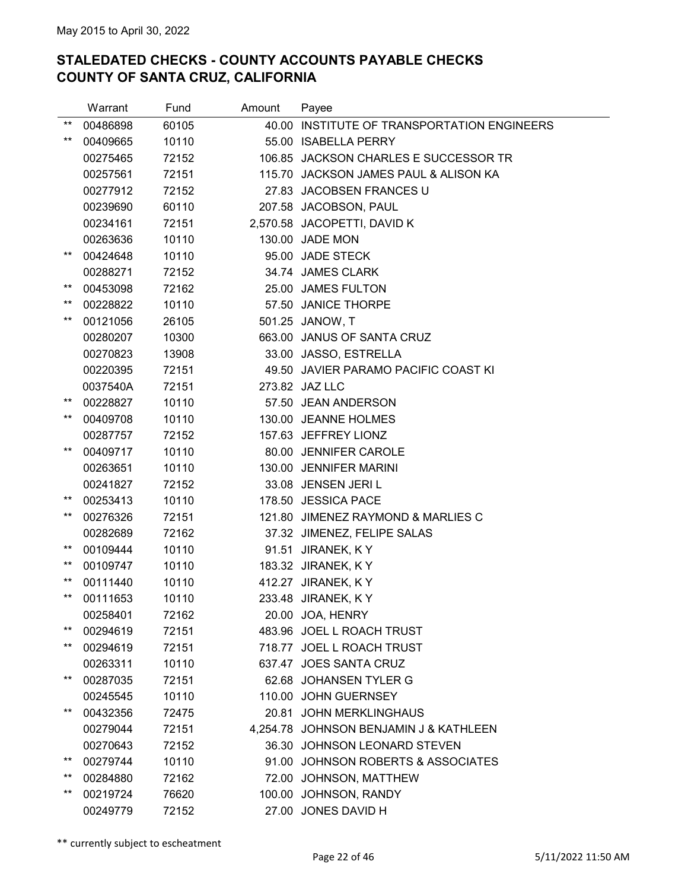|                 | Warrant  | Fund  | Amount | Payee                                  |
|-----------------|----------|-------|--------|----------------------------------------|
| $***$           | 00486898 | 60105 | 40.00  | INSTITUTE OF TRANSPORTATION ENGINEERS  |
| $***$           | 00409665 | 10110 |        | 55.00 ISABELLA PERRY                   |
|                 | 00275465 | 72152 |        | 106.85 JACKSON CHARLES E SUCCESSOR TR  |
|                 | 00257561 | 72151 |        | 115.70 JACKSON JAMES PAUL & ALISON KA  |
|                 | 00277912 | 72152 |        | 27.83 JACOBSEN FRANCES U               |
|                 | 00239690 | 60110 |        | 207.58 JACOBSON, PAUL                  |
|                 | 00234161 | 72151 |        | 2,570.58 JACOPETTI, DAVID K            |
|                 | 00263636 | 10110 |        | 130.00 JADE MON                        |
| $***$           | 00424648 | 10110 |        | 95.00 JADE STECK                       |
|                 | 00288271 | 72152 |        | 34.74 JAMES CLARK                      |
| $***$           | 00453098 | 72162 |        | 25.00 JAMES FULTON                     |
| $***$           | 00228822 | 10110 |        | 57.50 JANICE THORPE                    |
| $***$           | 00121056 | 26105 |        | 501.25 JANOW, T                        |
|                 | 00280207 | 10300 |        | 663.00 JANUS OF SANTA CRUZ             |
|                 | 00270823 | 13908 |        | 33.00 JASSO, ESTRELLA                  |
|                 | 00220395 | 72151 |        | 49.50 JAVIER PARAMO PACIFIC COAST KI   |
|                 | 0037540A | 72151 |        | 273.82 JAZ LLC                         |
| $^{\star\star}$ | 00228827 | 10110 |        | 57.50 JEAN ANDERSON                    |
| $***$           | 00409708 | 10110 |        | 130.00 JEANNE HOLMES                   |
|                 | 00287757 | 72152 |        | 157.63 JEFFREY LIONZ                   |
| $***$           | 00409717 | 10110 |        | 80.00 JENNIFER CAROLE                  |
|                 | 00263651 | 10110 |        | 130.00 JENNIFER MARINI                 |
|                 | 00241827 | 72152 |        | 33.08 JENSEN JERIL                     |
| $^{\star\star}$ | 00253413 | 10110 |        | 178.50 JESSICA PACE                    |
| $***$           | 00276326 | 72151 |        | 121.80 JIMENEZ RAYMOND & MARLIES C     |
|                 | 00282689 | 72162 |        | 37.32 JIMENEZ, FELIPE SALAS            |
| $^{\star\star}$ | 00109444 | 10110 |        | 91.51 JIRANEK, KY                      |
| $^{\star\star}$ | 00109747 | 10110 |        | 183.32 JIRANEK, K Y                    |
| $***$           | 00111440 | 10110 |        | 412.27 JIRANEK, K Y                    |
| $***$           | 00111653 | 10110 |        | 233.48 JIRANEK, KY                     |
|                 | 00258401 | 72162 |        | 20.00 JOA, HENRY                       |
| $***$           | 00294619 | 72151 |        | 483.96 JOEL L ROACH TRUST              |
| $***$           | 00294619 | 72151 |        | 718.77 JOEL L ROACH TRUST              |
|                 | 00263311 | 10110 |        | 637.47 JOES SANTA CRUZ                 |
| $***$           | 00287035 | 72151 |        | 62.68 JOHANSEN TYLER G                 |
|                 | 00245545 | 10110 |        | 110.00 JOHN GUERNSEY                   |
| $***$           | 00432356 | 72475 |        | 20.81 JOHN MERKLINGHAUS                |
|                 | 00279044 | 72151 |        | 4,254.78 JOHNSON BENJAMIN J & KATHLEEN |
|                 | 00270643 | 72152 |        | 36.30 JOHNSON LEONARD STEVEN           |
| $***$           | 00279744 | 10110 |        | 91.00 JOHNSON ROBERTS & ASSOCIATES     |
| $^{\star\star}$ | 00284880 | 72162 |        | 72.00 JOHNSON, MATTHEW                 |
| $***$           | 00219724 | 76620 |        | 100.00 JOHNSON, RANDY                  |
|                 | 00249779 | 72152 |        | 27.00 JONES DAVID H                    |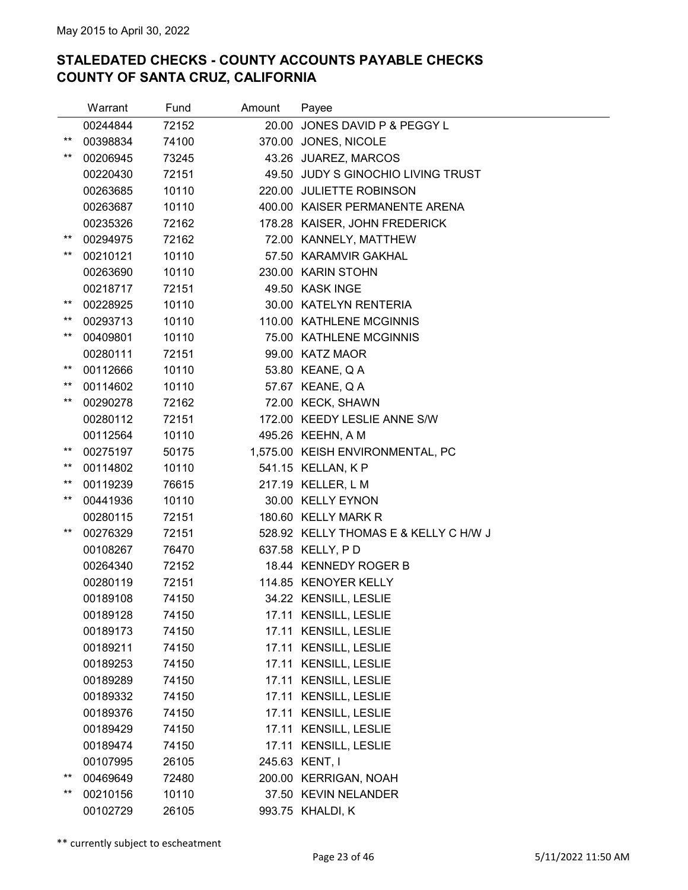|                 | Warrant  | Fund  | Amount | Payee                                 |
|-----------------|----------|-------|--------|---------------------------------------|
|                 | 00244844 | 72152 |        | 20.00 JONES DAVID P & PEGGY L         |
| $^{\star\star}$ | 00398834 | 74100 |        | 370.00 JONES, NICOLE                  |
| $***$           | 00206945 | 73245 |        | 43.26 JUAREZ, MARCOS                  |
|                 | 00220430 | 72151 |        | 49.50 JUDY S GINOCHIO LIVING TRUST    |
|                 | 00263685 | 10110 |        | 220.00 JULIETTE ROBINSON              |
|                 | 00263687 | 10110 |        | 400.00 KAISER PERMANENTE ARENA        |
|                 | 00235326 | 72162 |        | 178.28 KAISER, JOHN FREDERICK         |
| $***$           | 00294975 | 72162 |        | 72.00 KANNELY, MATTHEW                |
| $^{\star\star}$ | 00210121 | 10110 |        | 57.50 KARAMVIR GAKHAL                 |
|                 | 00263690 | 10110 |        | 230.00 KARIN STOHN                    |
|                 | 00218717 | 72151 |        | 49.50 KASK INGE                       |
| $^{\star\star}$ | 00228925 | 10110 |        | 30.00 KATELYN RENTERIA                |
| $***$           | 00293713 | 10110 |        | 110.00 KATHLENE MCGINNIS              |
| $***$           | 00409801 | 10110 |        | 75.00 KATHLENE MCGINNIS               |
|                 | 00280111 | 72151 |        | 99.00 KATZ MAOR                       |
| $^{\star\star}$ | 00112666 | 10110 |        | 53.80 KEANE, Q A                      |
| $***$           | 00114602 | 10110 |        | 57.67 KEANE, Q A                      |
| $***$           | 00290278 | 72162 |        | 72.00 KECK, SHAWN                     |
|                 | 00280112 | 72151 |        | 172.00 KEEDY LESLIE ANNE S/W          |
|                 | 00112564 | 10110 |        | 495.26 KEEHN, A M                     |
| $^{\star\star}$ | 00275197 | 50175 |        | 1,575.00 KEISH ENVIRONMENTAL, PC      |
| $***$           | 00114802 | 10110 |        | 541.15 KELLAN, K P                    |
| $***$           | 00119239 | 76615 |        | 217.19 KELLER, L M                    |
| $^{\star\star}$ | 00441936 | 10110 |        | 30.00 KELLY EYNON                     |
|                 | 00280115 | 72151 |        | 180.60 KELLY MARK R                   |
| $***$           | 00276329 | 72151 |        | 528.92 KELLY THOMAS E & KELLY C H/W J |
|                 | 00108267 | 76470 |        | 637.58 KELLY, PD                      |
|                 | 00264340 | 72152 |        | 18.44 KENNEDY ROGER B                 |
|                 | 00280119 | 72151 |        | 114.85 KENOYER KELLY                  |
|                 | 00189108 | 74150 |        | 34.22 KENSILL, LESLIE                 |
|                 | 00189128 | 74150 |        | 17.11 KENSILL, LESLIE                 |
|                 | 00189173 | 74150 |        | 17.11 KENSILL, LESLIE                 |
|                 | 00189211 | 74150 |        | 17.11 KENSILL, LESLIE                 |
|                 | 00189253 | 74150 |        | 17.11 KENSILL, LESLIE                 |
|                 | 00189289 | 74150 |        | 17.11 KENSILL, LESLIE                 |
|                 | 00189332 | 74150 |        | 17.11 KENSILL, LESLIE                 |
|                 | 00189376 | 74150 |        | 17.11 KENSILL, LESLIE                 |
|                 | 00189429 | 74150 |        | 17.11 KENSILL, LESLIE                 |
|                 | 00189474 | 74150 |        | 17.11 KENSILL, LESLIE                 |
|                 | 00107995 | 26105 |        | 245.63 KENT, I                        |
| $^{\star\star}$ | 00469649 | 72480 |        | 200.00 KERRIGAN, NOAH                 |
| $^{\star\star}$ | 00210156 | 10110 |        | 37.50 KEVIN NELANDER                  |
|                 | 00102729 | 26105 |        | 993.75 KHALDI, K                      |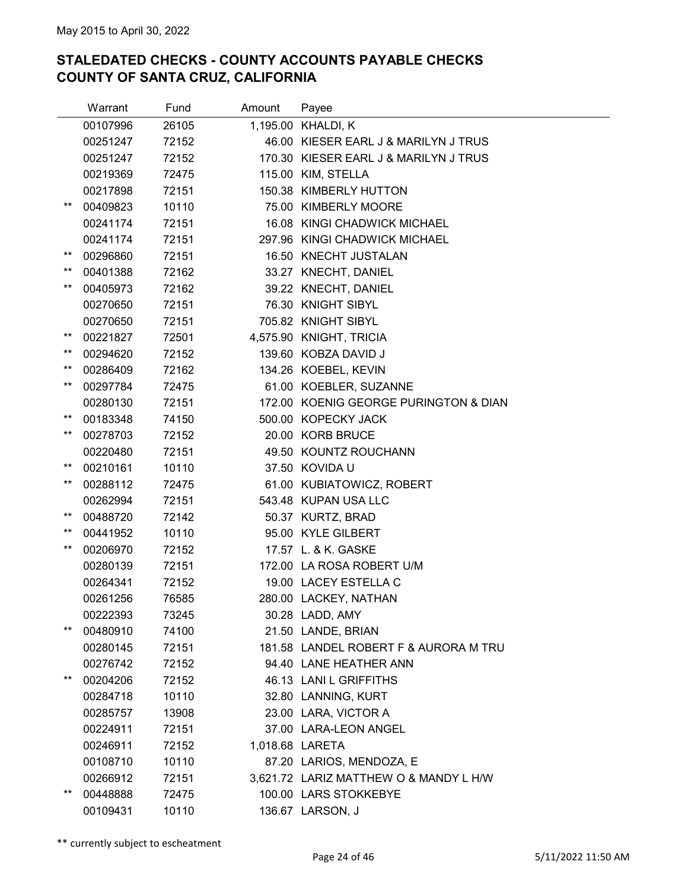|                 | Warrant  | Fund  | Amount | Payee                                  |
|-----------------|----------|-------|--------|----------------------------------------|
|                 | 00107996 | 26105 |        | 1,195.00 KHALDI, K                     |
|                 | 00251247 | 72152 |        | 46.00 KIESER EARL J & MARILYN J TRUS   |
|                 | 00251247 | 72152 |        | 170.30 KIESER EARL J & MARILYN J TRUS  |
|                 | 00219369 | 72475 |        | 115.00 KIM, STELLA                     |
|                 | 00217898 | 72151 |        | 150.38 KIMBERLY HUTTON                 |
| $***$           | 00409823 | 10110 |        | 75.00 KIMBERLY MOORE                   |
|                 | 00241174 | 72151 |        | 16.08 KINGI CHADWICK MICHAEL           |
|                 | 00241174 | 72151 |        | 297.96 KINGI CHADWICK MICHAEL          |
| $***$           | 00296860 | 72151 |        | 16.50 KNECHT JUSTALAN                  |
| $***$           | 00401388 | 72162 |        | 33.27 KNECHT, DANIEL                   |
| **              | 00405973 | 72162 |        | 39.22 KNECHT, DANIEL                   |
|                 | 00270650 | 72151 |        | 76.30 KNIGHT SIBYL                     |
|                 | 00270650 | 72151 |        | 705.82 KNIGHT SIBYL                    |
| $***$           | 00221827 | 72501 |        | 4,575.90 KNIGHT, TRICIA                |
| **              | 00294620 | 72152 |        | 139.60 KOBZA DAVID J                   |
| $^{\star\star}$ | 00286409 | 72162 |        | 134.26 KOEBEL, KEVIN                   |
| $^{\star\star}$ | 00297784 | 72475 |        | 61.00 KOEBLER, SUZANNE                 |
|                 | 00280130 | 72151 |        | 172.00 KOENIG GEORGE PURINGTON & DIAN  |
| $***$           | 00183348 | 74150 |        | 500.00 KOPECKY JACK                    |
| $***$           | 00278703 | 72152 |        | 20.00 KORB BRUCE                       |
|                 | 00220480 | 72151 |        | 49.50 KOUNTZ ROUCHANN                  |
| $***$           | 00210161 | 10110 |        | 37.50 KOVIDA U                         |
| **              | 00288112 | 72475 |        | 61.00 KUBIATOWICZ, ROBERT              |
|                 | 00262994 | 72151 |        | 543.48 KUPAN USA LLC                   |
| $^{\star\star}$ | 00488720 | 72142 |        | 50.37 KURTZ, BRAD                      |
| $^{\star\star}$ | 00441952 | 10110 |        | 95.00 KYLE GILBERT                     |
| **              | 00206970 | 72152 |        | 17.57 L. & K. GASKE                    |
|                 | 00280139 | 72151 |        | 172.00 LA ROSA ROBERT U/M              |
|                 | 00264341 | 72152 |        | 19.00 LACEY ESTELLA C                  |
|                 | 00261256 | 76585 |        | 280.00 LACKEY, NATHAN                  |
|                 | 00222393 | 73245 |        | 30.28 LADD, AMY                        |
| **              | 00480910 | 74100 |        | 21.50 LANDE, BRIAN                     |
|                 | 00280145 | 72151 |        | 181.58 LANDEL ROBERT F & AURORA M TRU  |
|                 | 00276742 | 72152 |        | 94.40 LANE HEATHER ANN                 |
| $***$           | 00204206 | 72152 |        | 46.13 LANI L GRIFFITHS                 |
|                 | 00284718 | 10110 |        | 32.80 LANNING, KURT                    |
|                 | 00285757 | 13908 |        | 23.00 LARA, VICTOR A                   |
|                 | 00224911 | 72151 |        | 37.00 LARA-LEON ANGEL                  |
|                 | 00246911 | 72152 |        | 1,018.68 LARETA                        |
|                 | 00108710 | 10110 |        | 87.20 LARIOS, MENDOZA, E               |
|                 | 00266912 | 72151 |        | 3,621.72 LARIZ MATTHEW O & MANDY L H/W |
| **              | 00448888 | 72475 |        | 100.00 LARS STOKKEBYE                  |
|                 | 00109431 | 10110 |        | 136.67 LARSON, J                       |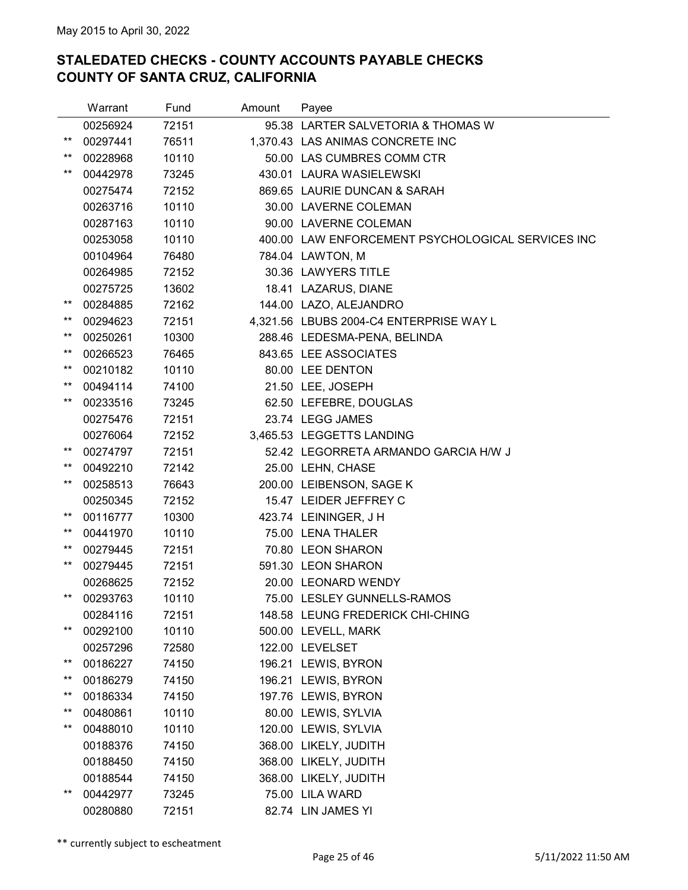|                 | Warrant  | Fund  | Amount | Payee                                             |
|-----------------|----------|-------|--------|---------------------------------------------------|
|                 | 00256924 | 72151 |        | 95.38 LARTER SALVETORIA & THOMAS W                |
| $***$           | 00297441 | 76511 |        | 1,370.43 LAS ANIMAS CONCRETE INC                  |
| $^{\star\star}$ | 00228968 | 10110 |        | 50.00 LAS CUMBRES COMM CTR                        |
| $***$           | 00442978 | 73245 |        | 430.01 LAURA WASIELEWSKI                          |
|                 | 00275474 | 72152 |        | 869.65 LAURIE DUNCAN & SARAH                      |
|                 | 00263716 | 10110 |        | 30.00 LAVERNE COLEMAN                             |
|                 | 00287163 | 10110 |        | 90.00 LAVERNE COLEMAN                             |
|                 | 00253058 | 10110 |        | 400.00 LAW ENFORCEMENT PSYCHOLOGICAL SERVICES INC |
|                 | 00104964 | 76480 |        | 784.04 LAWTON, M                                  |
|                 | 00264985 | 72152 |        | 30.36 LAWYERS TITLE                               |
|                 | 00275725 | 13602 |        | 18.41 LAZARUS, DIANE                              |
| $^{\star\star}$ | 00284885 | 72162 |        | 144.00 LAZO, ALEJANDRO                            |
| $^{\star\star}$ | 00294623 | 72151 |        | 4,321.56 LBUBS 2004-C4 ENTERPRISE WAY L           |
| $***$           | 00250261 | 10300 |        | 288.46 LEDESMA-PENA, BELINDA                      |
| $^{\star\star}$ | 00266523 | 76465 |        | 843.65 LEE ASSOCIATES                             |
| $^{\star\star}$ | 00210182 | 10110 |        | 80.00 LEE DENTON                                  |
| $***$           | 00494114 | 74100 |        | 21.50 LEE, JOSEPH                                 |
| $***$           | 00233516 | 73245 |        | 62.50 LEFEBRE, DOUGLAS                            |
|                 | 00275476 | 72151 |        | 23.74 LEGG JAMES                                  |
|                 | 00276064 | 72152 |        | 3,465.53 LEGGETTS LANDING                         |
| $^{\star\star}$ | 00274797 | 72151 |        | 52.42 LEGORRETA ARMANDO GARCIA H/W J              |
| **              | 00492210 | 72142 |        | 25.00 LEHN, CHASE                                 |
| $***$           | 00258513 | 76643 |        | 200.00 LEIBENSON, SAGE K                          |
|                 | 00250345 | 72152 |        | 15.47 LEIDER JEFFREY C                            |
| $^{\star\star}$ | 00116777 | 10300 |        | 423.74 LEININGER, J H                             |
| $^{\star\star}$ | 00441970 | 10110 |        | 75.00 LENA THALER                                 |
| $***$           | 00279445 | 72151 |        | 70.80 LEON SHARON                                 |
| $^{\star\star}$ | 00279445 | 72151 |        | 591.30 LEON SHARON                                |
|                 | 00268625 | 72152 |        | 20.00 LEONARD WENDY                               |
| $^{\star\star}$ | 00293763 | 10110 |        | 75.00 LESLEY GUNNELLS-RAMOS                       |
|                 | 00284116 | 72151 |        | 148.58 LEUNG FREDERICK CHI-CHING                  |
| $***$           | 00292100 | 10110 |        | 500.00 LEVELL, MARK                               |
|                 | 00257296 | 72580 |        | 122.00 LEVELSET                                   |
| $^{\star\star}$ | 00186227 | 74150 |        | 196.21 LEWIS, BYRON                               |
| **              | 00186279 | 74150 |        | 196.21 LEWIS, BYRON                               |
| **              | 00186334 | 74150 |        | 197.76 LEWIS, BYRON                               |
| $^{\star\star}$ | 00480861 | 10110 |        | 80.00 LEWIS, SYLVIA                               |
| $^{\star\star}$ | 00488010 | 10110 |        | 120.00 LEWIS, SYLVIA                              |
|                 | 00188376 | 74150 |        | 368.00 LIKELY, JUDITH                             |
|                 | 00188450 | 74150 |        | 368.00 LIKELY, JUDITH                             |
|                 | 00188544 | 74150 |        | 368.00 LIKELY, JUDITH                             |
| **              | 00442977 | 73245 |        | 75.00 LILA WARD                                   |
|                 | 00280880 | 72151 |        | 82.74 LIN JAMES YI                                |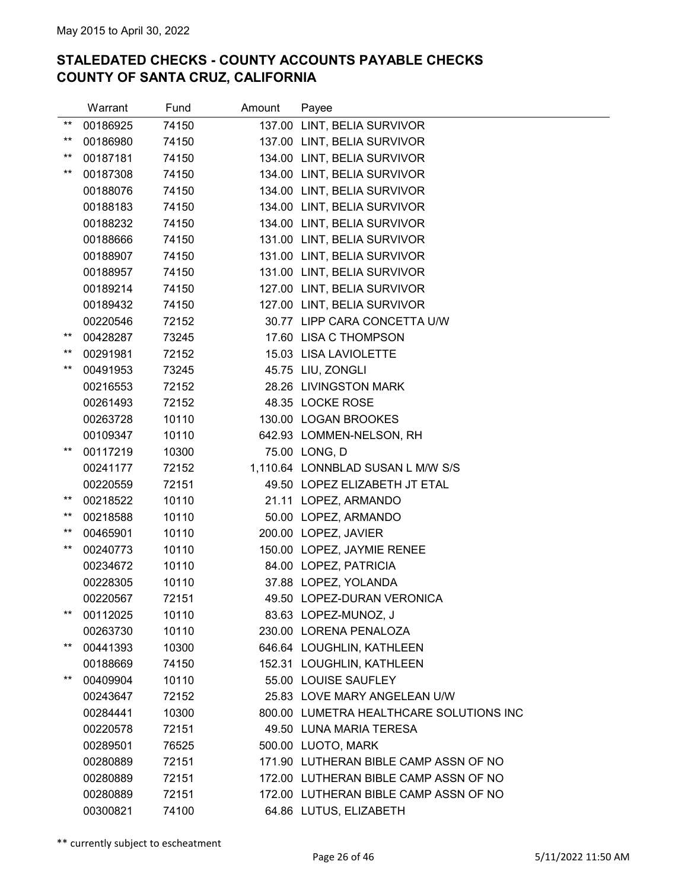|                 | Warrant  | Fund  | Amount | Payee                                   |
|-----------------|----------|-------|--------|-----------------------------------------|
| $***$           | 00186925 | 74150 |        | 137.00 LINT, BELIA SURVIVOR             |
| $***$           | 00186980 | 74150 |        | 137.00 LINT, BELIA SURVIVOR             |
| $^{\star\star}$ | 00187181 | 74150 |        | 134.00 LINT, BELIA SURVIVOR             |
| $***$           | 00187308 | 74150 |        | 134.00 LINT, BELIA SURVIVOR             |
|                 | 00188076 | 74150 |        | 134.00 LINT, BELIA SURVIVOR             |
|                 | 00188183 | 74150 |        | 134.00 LINT, BELIA SURVIVOR             |
|                 | 00188232 | 74150 |        | 134.00 LINT, BELIA SURVIVOR             |
|                 | 00188666 | 74150 |        | 131.00 LINT, BELIA SURVIVOR             |
|                 | 00188907 | 74150 |        | 131.00 LINT, BELIA SURVIVOR             |
|                 | 00188957 | 74150 |        | 131.00 LINT, BELIA SURVIVOR             |
|                 | 00189214 | 74150 |        | 127.00 LINT, BELIA SURVIVOR             |
|                 | 00189432 | 74150 |        | 127.00 LINT, BELIA SURVIVOR             |
|                 | 00220546 | 72152 |        | 30.77 LIPP CARA CONCETTA U/W            |
| $***$           | 00428287 | 73245 |        | 17.60 LISA C THOMPSON                   |
| $***$           | 00291981 | 72152 |        | 15.03 LISA LAVIOLETTE                   |
| $***$           | 00491953 | 73245 |        | 45.75 LIU, ZONGLI                       |
|                 | 00216553 | 72152 |        | 28.26 LIVINGSTON MARK                   |
|                 | 00261493 | 72152 |        | 48.35 LOCKE ROSE                        |
|                 | 00263728 | 10110 |        | 130.00 LOGAN BROOKES                    |
|                 | 00109347 | 10110 |        | 642.93 LOMMEN-NELSON, RH                |
| $***$           | 00117219 | 10300 |        | 75.00 LONG, D                           |
|                 | 00241177 | 72152 |        | 1,110.64 LONNBLAD SUSAN L M/W S/S       |
|                 | 00220559 | 72151 |        | 49.50 LOPEZ ELIZABETH JT ETAL           |
| $***$           | 00218522 | 10110 |        | 21.11 LOPEZ, ARMANDO                    |
| $***$           | 00218588 | 10110 |        | 50.00 LOPEZ, ARMANDO                    |
| $***$           | 00465901 | 10110 |        | 200.00 LOPEZ, JAVIER                    |
| $^{\star\star}$ | 00240773 | 10110 |        | 150.00 LOPEZ, JAYMIE RENEE              |
|                 | 00234672 | 10110 |        | 84.00 LOPEZ, PATRICIA                   |
|                 | 00228305 | 10110 |        | 37.88 LOPEZ, YOLANDA                    |
|                 | 00220567 | 72151 |        | 49.50 LOPEZ-DURAN VERONICA              |
| $***$           | 00112025 | 10110 |        | 83.63 LOPEZ-MUNOZ, J                    |
|                 | 00263730 | 10110 |        | 230.00 LORENA PENALOZA                  |
| $^{\star\star}$ | 00441393 | 10300 |        | 646.64 LOUGHLIN, KATHLEEN               |
|                 | 00188669 | 74150 |        | 152.31 LOUGHLIN, KATHLEEN               |
| $***$           | 00409904 | 10110 |        | 55.00 LOUISE SAUFLEY                    |
|                 | 00243647 | 72152 |        | 25.83 LOVE MARY ANGELEAN U/W            |
|                 | 00284441 | 10300 |        | 800.00 LUMETRA HEALTHCARE SOLUTIONS INC |
|                 | 00220578 | 72151 |        | 49.50 LUNA MARIA TERESA                 |
|                 | 00289501 | 76525 |        | 500.00 LUOTO, MARK                      |
|                 | 00280889 | 72151 |        | 171.90 LUTHERAN BIBLE CAMP ASSN OF NO   |
|                 | 00280889 | 72151 |        | 172.00 LUTHERAN BIBLE CAMP ASSN OF NO   |
|                 | 00280889 | 72151 |        | 172.00 LUTHERAN BIBLE CAMP ASSN OF NO   |
|                 | 00300821 | 74100 |        | 64.86 LUTUS, ELIZABETH                  |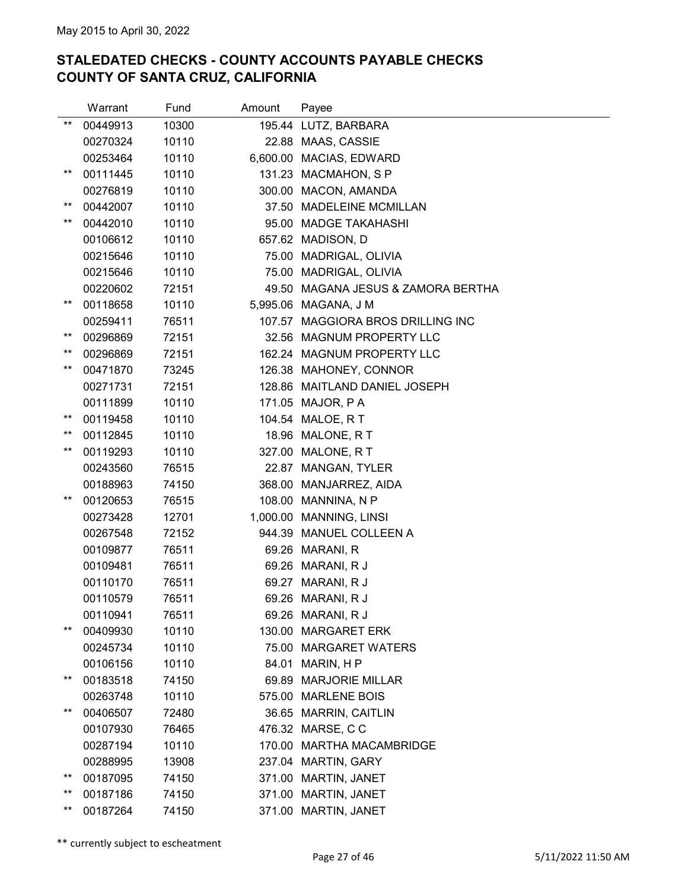|                 | Warrant  | Fund  | Amount   | Payee                         |
|-----------------|----------|-------|----------|-------------------------------|
| $***$           | 00449913 | 10300 |          | 195.44 LUTZ, BARBARA          |
|                 | 00270324 | 10110 |          | 22.88 MAAS, CASSIE            |
|                 | 00253464 | 10110 | 6,600.00 | MACIAS, EDWARD                |
| $***$           | 00111445 | 10110 |          | 131.23 MACMAHON, SP           |
|                 | 00276819 | 10110 | 300.00   | MACON, AMANDA                 |
| $***$           | 00442007 | 10110 | 37.50    | <b>MADELEINE MCMILLAN</b>     |
| $***$           | 00442010 | 10110 |          | 95.00 MADGE TAKAHASHI         |
|                 | 00106612 | 10110 |          | 657.62 MADISON, D             |
|                 | 00215646 | 10110 |          | 75.00 MADRIGAL, OLIVIA        |
|                 | 00215646 | 10110 |          | 75.00 MADRIGAL, OLIVIA        |
|                 | 00220602 | 72151 | 49.50    | MAGANA JESUS & ZAMORA BERTHA  |
| $^{\star\star}$ | 00118658 | 10110 |          | 5,995.06 MAGANA, J M          |
|                 | 00259411 | 76511 | 107.57   | MAGGIORA BROS DRILLING INC    |
| $***$           | 00296869 | 72151 |          | 32.56 MAGNUM PROPERTY LLC     |
| $***$           | 00296869 | 72151 |          | 162.24 MAGNUM PROPERTY LLC    |
| $***$           | 00471870 | 73245 |          | 126.38 MAHONEY, CONNOR        |
|                 | 00271731 | 72151 |          | 128.86 MAITLAND DANIEL JOSEPH |
|                 | 00111899 | 10110 | 171.05   | MAJOR, PA                     |
| $***$           | 00119458 | 10110 |          | 104.54 MALOE, R T             |
| $***$           | 00112845 | 10110 |          | 18.96 MALONE, RT              |
| $***$           | 00119293 | 10110 |          | 327.00 MALONE, R T            |
|                 | 00243560 | 76515 |          | 22.87 MANGAN, TYLER           |
|                 | 00188963 | 74150 | 368.00   | MANJARREZ, AIDA               |
| $***$           | 00120653 | 76515 | 108.00   | MANNINA, N P                  |
|                 | 00273428 | 12701 | 1,000.00 | MANNING, LINSI                |
|                 | 00267548 | 72152 |          | 944.39 MANUEL COLLEEN A       |
|                 | 00109877 | 76511 |          | 69.26 MARANI, R               |
|                 | 00109481 | 76511 |          | 69.26 MARANI, R J             |
|                 | 00110170 | 76511 |          | 69.27 MARANI, R J             |
|                 | 00110579 | 76511 |          | 69.26 MARANI, R J             |
|                 | 00110941 | 76511 |          | 69.26 MARANI, R J             |
| $***$           | 00409930 | 10110 | 130.00   | <b>MARGARET ERK</b>           |
|                 | 00245734 | 10110 | 75.00    | <b>MARGARET WATERS</b>        |
|                 | 00106156 | 10110 | 84.01    | MARIN, HP                     |
| $***$           | 00183518 | 74150 | 69.89    | <b>MARJORIE MILLAR</b>        |
|                 | 00263748 | 10110 | 575.00   | <b>MARLENE BOIS</b>           |
| $***$           | 00406507 | 72480 | 36.65    | <b>MARRIN, CAITLIN</b>        |
|                 | 00107930 | 76465 |          | 476.32 MARSE, C C             |
|                 | 00287194 | 10110 | 170.00   | <b>MARTHA MACAMBRIDGE</b>     |
|                 | 00288995 | 13908 |          | 237.04 MARTIN, GARY           |
| $***$           | 00187095 | 74150 | 371.00   | <b>MARTIN, JANET</b>          |
| $***$<br>$***$  | 00187186 | 74150 | 371.00   | MARTIN, JANET                 |
|                 | 00187264 | 74150 | 371.00   | MARTIN, JANET                 |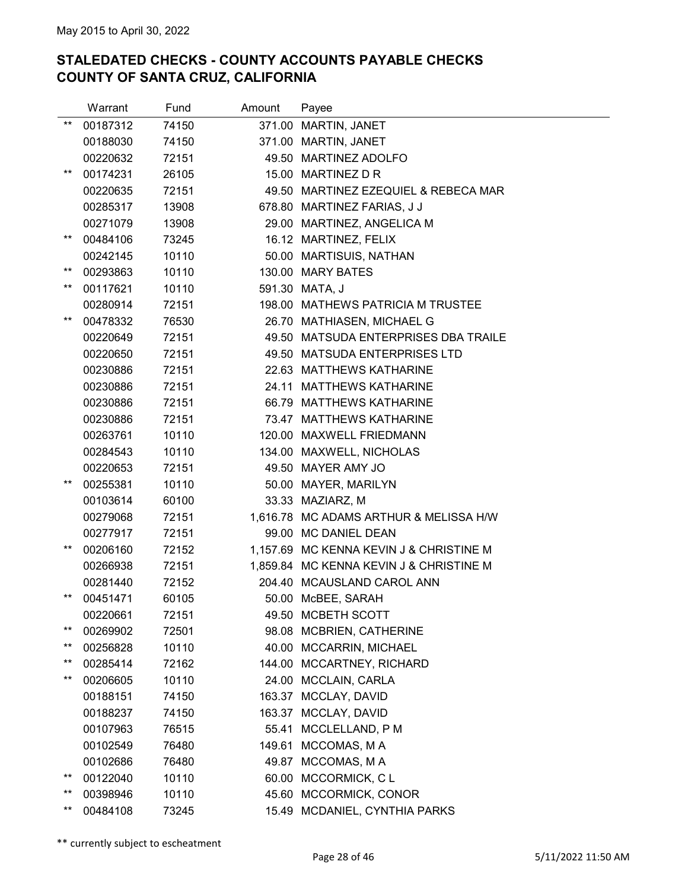|                 | Warrant  | Fund  | Amount | Payee                                   |
|-----------------|----------|-------|--------|-----------------------------------------|
| $***$           | 00187312 | 74150 |        | 371.00 MARTIN, JANET                    |
|                 | 00188030 | 74150 |        | 371.00 MARTIN, JANET                    |
|                 | 00220632 | 72151 |        | 49.50 MARTINEZ ADOLFO                   |
| $***$           | 00174231 | 26105 |        | 15.00 MARTINEZ D R                      |
|                 | 00220635 | 72151 |        | 49.50 MARTINEZ EZEQUIEL & REBECA MAR    |
|                 | 00285317 | 13908 |        | 678.80 MARTINEZ FARIAS, J J             |
|                 | 00271079 | 13908 |        | 29.00 MARTINEZ, ANGELICA M              |
| $^{\star\star}$ | 00484106 | 73245 |        | 16.12 MARTINEZ, FELIX                   |
|                 | 00242145 | 10110 |        | 50.00 MARTISUIS, NATHAN                 |
| $***$           | 00293863 | 10110 |        | 130.00 MARY BATES                       |
| $***$           | 00117621 | 10110 |        | 591.30 MATA, J                          |
|                 | 00280914 | 72151 |        | 198.00 MATHEWS PATRICIA M TRUSTEE       |
| $***$           | 00478332 | 76530 |        | 26.70 MATHIASEN, MICHAEL G              |
|                 | 00220649 | 72151 |        | 49.50 MATSUDA ENTERPRISES DBA TRAILE    |
|                 | 00220650 | 72151 |        | 49.50 MATSUDA ENTERPRISES LTD           |
|                 | 00230886 | 72151 |        | 22.63 MATTHEWS KATHARINE                |
|                 | 00230886 | 72151 |        | 24.11 MATTHEWS KATHARINE                |
|                 | 00230886 | 72151 |        | 66.79 MATTHEWS KATHARINE                |
|                 | 00230886 | 72151 |        | 73.47 MATTHEWS KATHARINE                |
|                 | 00263761 | 10110 |        | 120.00 MAXWELL FRIEDMANN                |
|                 | 00284543 | 10110 |        | 134.00 MAXWELL, NICHOLAS                |
|                 | 00220653 | 72151 |        | 49.50 MAYER AMY JO                      |
| $***$           | 00255381 | 10110 |        | 50.00 MAYER, MARILYN                    |
|                 | 00103614 | 60100 |        | 33.33 MAZIARZ, M                        |
|                 | 00279068 | 72151 |        | 1,616.78 MC ADAMS ARTHUR & MELISSA H/W  |
|                 | 00277917 | 72151 |        | 99.00 MC DANIEL DEAN                    |
| $***$           | 00206160 | 72152 |        | 1,157.69 MC KENNA KEVIN J & CHRISTINE M |
|                 | 00266938 | 72151 |        | 1,859.84 MC KENNA KEVIN J & CHRISTINE M |
|                 | 00281440 | 72152 |        | 204.40 MCAUSLAND CAROL ANN              |
| $***$           | 00451471 | 60105 |        | 50.00 McBEE, SARAH                      |
|                 | 00220661 | 72151 |        | 49.50 MCBETH SCOTT                      |
| $***$           | 00269902 | 72501 |        | 98.08 MCBRIEN, CATHERINE                |
| $***$           | 00256828 | 10110 |        | 40.00 MCCARRIN, MICHAEL                 |
| $***$           | 00285414 | 72162 | 144.00 | MCCARTNEY, RICHARD                      |
| $***$           | 00206605 | 10110 |        | 24.00 MCCLAIN, CARLA                    |
|                 | 00188151 | 74150 |        | 163.37 MCCLAY, DAVID                    |
|                 | 00188237 | 74150 |        | 163.37 MCCLAY, DAVID                    |
|                 | 00107963 | 76515 |        | 55.41 MCCLELLAND, P M                   |
|                 | 00102549 | 76480 | 149.61 | MCCOMAS, M A                            |
|                 | 00102686 | 76480 | 49.87  | MCCOMAS, M A                            |
| $***$           | 00122040 | 10110 | 60.00  | MCCORMICK, CL                           |
| $***$           | 00398946 | 10110 |        | 45.60 MCCORMICK, CONOR                  |
| $***$           | 00484108 | 73245 |        | 15.49 MCDANIEL, CYNTHIA PARKS           |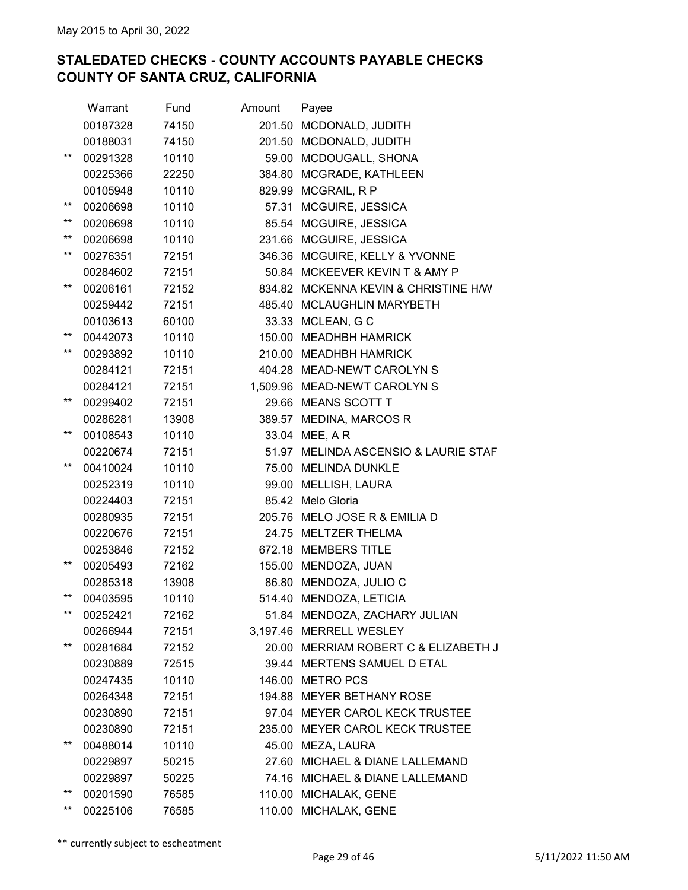|                 | Warrant  | Fund  | Amount | Payee                                |
|-----------------|----------|-------|--------|--------------------------------------|
|                 | 00187328 | 74150 |        | 201.50 MCDONALD, JUDITH              |
|                 | 00188031 | 74150 |        | 201.50 MCDONALD, JUDITH              |
| $***$           | 00291328 | 10110 |        | 59.00 MCDOUGALL, SHONA               |
|                 | 00225366 | 22250 | 384.80 | MCGRADE, KATHLEEN                    |
|                 | 00105948 | 10110 |        | 829.99 MCGRAIL, R P                  |
| $^{\star\star}$ | 00206698 | 10110 |        | 57.31 MCGUIRE, JESSICA               |
| $***$           | 00206698 | 10110 |        | 85.54 MCGUIRE, JESSICA               |
| $***$           | 00206698 | 10110 |        | 231.66 MCGUIRE, JESSICA              |
| $***$           | 00276351 | 72151 |        | 346.36 MCGUIRE, KELLY & YVONNE       |
|                 | 00284602 | 72151 |        | 50.84 MCKEEVER KEVIN T & AMY P       |
| $^{\star\star}$ | 00206161 | 72152 |        | 834.82 MCKENNA KEVIN & CHRISTINE H/W |
|                 | 00259442 | 72151 |        | 485.40 MCLAUGHLIN MARYBETH           |
|                 | 00103613 | 60100 |        | 33.33 MCLEAN, G C                    |
| $^{\star\star}$ | 00442073 | 10110 |        | 150.00 MEADHBH HAMRICK               |
| **              | 00293892 | 10110 |        | 210.00 MEADHBH HAMRICK               |
|                 | 00284121 | 72151 |        | 404.28 MEAD-NEWT CAROLYN S           |
|                 | 00284121 | 72151 |        | 1,509.96 MEAD-NEWT CAROLYN S         |
| $^{\star\star}$ | 00299402 | 72151 |        | 29.66 MEANS SCOTT T                  |
|                 | 00286281 | 13908 |        | 389.57 MEDINA, MARCOS R              |
| **              | 00108543 | 10110 |        | 33.04 MEE, AR                        |
|                 | 00220674 | 72151 |        | 51.97 MELINDA ASCENSIO & LAURIE STAF |
| $***$           | 00410024 | 10110 |        | 75.00 MELINDA DUNKLE                 |
|                 | 00252319 | 10110 |        | 99.00 MELLISH, LAURA                 |
|                 | 00224403 | 72151 |        | 85.42 Melo Gloria                    |
|                 | 00280935 | 72151 |        | 205.76 MELO JOSE R & EMILIA D        |
|                 | 00220676 | 72151 |        | 24.75 MELTZER THELMA                 |
|                 | 00253846 | 72152 |        | 672.18 MEMBERS TITLE                 |
| $^{\star\star}$ | 00205493 | 72162 | 155.00 | MENDOZA, JUAN                        |
|                 | 00285318 | 13908 |        | 86.80 MENDOZA, JULIO C               |
| $***$           | 00403595 | 10110 |        | 514.40 MENDOZA, LETICIA              |
| $^{\star\star}$ | 00252421 | 72162 |        | 51.84 MENDOZA, ZACHARY JULIAN        |
|                 | 00266944 | 72151 |        | 3,197.46 MERRELL WESLEY              |
| $^{\star\star}$ | 00281684 | 72152 |        | 20.00 MERRIAM ROBERT C & ELIZABETH J |
|                 | 00230889 | 72515 |        | 39.44 MERTENS SAMUEL D ETAL          |
|                 | 00247435 | 10110 |        | 146.00 METRO PCS                     |
|                 | 00264348 | 72151 |        | 194.88 MEYER BETHANY ROSE            |
|                 | 00230890 | 72151 |        | 97.04 MEYER CAROL KECK TRUSTEE       |
|                 | 00230890 | 72151 |        | 235.00 MEYER CAROL KECK TRUSTEE      |
| $^{\star\star}$ | 00488014 | 10110 |        | 45.00 MEZA, LAURA                    |
|                 | 00229897 | 50215 | 27.60  | MICHAEL & DIANE LALLEMAND            |
|                 | 00229897 | 50225 |        | 74.16 MICHAEL & DIANE LALLEMAND      |
| $^{\star\star}$ | 00201590 | 76585 |        | 110.00 MICHALAK, GENE                |
| $^{\star\star}$ | 00225106 | 76585 |        | 110.00 MICHALAK, GENE                |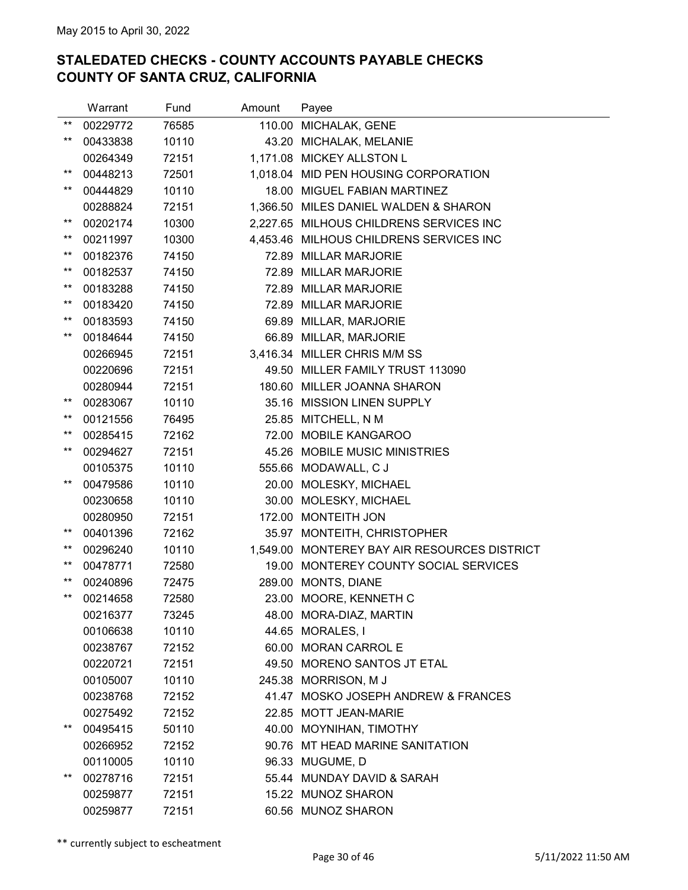|                 | Warrant  | Fund  | Amount | Payee                                        |
|-----------------|----------|-------|--------|----------------------------------------------|
| $***$           | 00229772 | 76585 |        | 110.00 MICHALAK, GENE                        |
| $***$           | 00433838 | 10110 |        | 43.20 MICHALAK, MELANIE                      |
|                 | 00264349 | 72151 |        | 1,171.08 MICKEY ALLSTON L                    |
| $^{\star\star}$ | 00448213 | 72501 |        | 1,018.04 MID PEN HOUSING CORPORATION         |
| **              | 00444829 | 10110 |        | 18.00 MIGUEL FABIAN MARTINEZ                 |
|                 | 00288824 | 72151 |        | 1,366.50 MILES DANIEL WALDEN & SHARON        |
| $***$           | 00202174 | 10300 |        | 2,227.65 MILHOUS CHILDRENS SERVICES INC      |
| $^{\star\star}$ | 00211997 | 10300 |        | 4,453.46 MILHOUS CHILDRENS SERVICES INC      |
| $^{\star\star}$ | 00182376 | 74150 |        | 72.89 MILLAR MARJORIE                        |
| $***$           | 00182537 | 74150 |        | 72.89 MILLAR MARJORIE                        |
| $***$           | 00183288 | 74150 |        | 72.89 MILLAR MARJORIE                        |
| $***$           | 00183420 | 74150 |        | 72.89 MILLAR MARJORIE                        |
| $***$           | 00183593 | 74150 |        | 69.89 MILLAR, MARJORIE                       |
| $***$           | 00184644 | 74150 |        | 66.89 MILLAR, MARJORIE                       |
|                 | 00266945 | 72151 |        | 3,416.34 MILLER CHRIS M/M SS                 |
|                 | 00220696 | 72151 |        | 49.50 MILLER FAMILY TRUST 113090             |
|                 | 00280944 | 72151 |        | 180.60 MILLER JOANNA SHARON                  |
| $***$           | 00283067 | 10110 |        | 35.16 MISSION LINEN SUPPLY                   |
| $***$           | 00121556 | 76495 |        | 25.85 MITCHELL, N M                          |
| $***$           | 00285415 | 72162 |        | 72.00 MOBILE KANGAROO                        |
| $***$           | 00294627 | 72151 |        | 45.26 MOBILE MUSIC MINISTRIES                |
|                 | 00105375 | 10110 |        | 555.66 MODAWALL, C J                         |
| $***$           | 00479586 | 10110 |        | 20.00 MOLESKY, MICHAEL                       |
|                 | 00230658 | 10110 |        | 30.00 MOLESKY, MICHAEL                       |
|                 | 00280950 | 72151 |        | 172.00 MONTEITH JON                          |
| $***$           | 00401396 | 72162 |        | 35.97 MONTEITH, CHRISTOPHER                  |
| $^{\star\star}$ | 00296240 | 10110 |        | 1,549.00 MONTEREY BAY AIR RESOURCES DISTRICT |
| $^{\star\star}$ | 00478771 | 72580 |        | 19.00 MONTEREY COUNTY SOCIAL SERVICES        |
| $***$           | 00240896 | 72475 |        | 289.00 MONTS, DIANE                          |
| $***$           | 00214658 | 72580 |        | 23.00 MOORE, KENNETH C                       |
|                 | 00216377 | 73245 |        | 48.00 MORA-DIAZ, MARTIN                      |
|                 | 00106638 | 10110 |        | 44.65 MORALES, I                             |
|                 | 00238767 | 72152 |        | 60.00 MORAN CARROL E                         |
|                 | 00220721 | 72151 |        | 49.50 MORENO SANTOS JT ETAL                  |
|                 | 00105007 | 10110 |        | 245.38 MORRISON, MJ                          |
|                 | 00238768 | 72152 |        | 41.47 MOSKO JOSEPH ANDREW & FRANCES          |
|                 | 00275492 | 72152 |        | 22.85 MOTT JEAN-MARIE                        |
| $***$           | 00495415 | 50110 |        | 40.00 MOYNIHAN, TIMOTHY                      |
|                 | 00266952 | 72152 |        | 90.76 MT HEAD MARINE SANITATION              |
|                 | 00110005 | 10110 |        | 96.33 MUGUME, D                              |
| $***$           | 00278716 | 72151 |        | 55.44 MUNDAY DAVID & SARAH                   |
|                 | 00259877 | 72151 |        | 15.22 MUNOZ SHARON                           |
|                 | 00259877 | 72151 |        | 60.56 MUNOZ SHARON                           |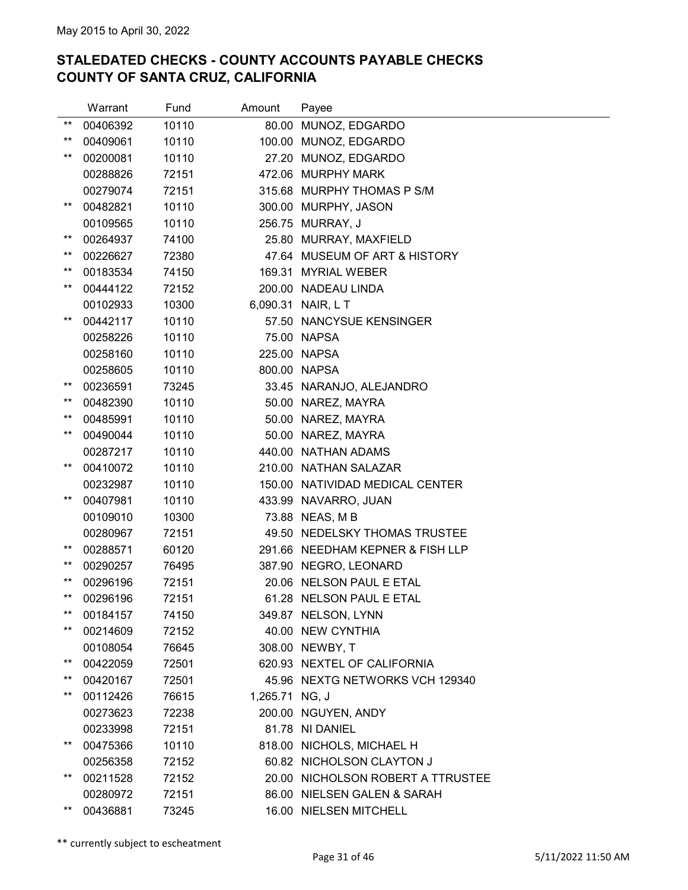|                 | Warrant  | Fund  | Amount         | Payee                             |
|-----------------|----------|-------|----------------|-----------------------------------|
| $***$           | 00406392 | 10110 | 80.00          | MUNOZ, EDGARDO                    |
| **              | 00409061 | 10110 |                | 100.00 MUNOZ, EDGARDO             |
| $***$           | 00200081 | 10110 |                | 27.20 MUNOZ, EDGARDO              |
|                 | 00288826 | 72151 |                | 472.06 MURPHY MARK                |
|                 | 00279074 | 72151 |                | 315.68 MURPHY THOMAS P S/M        |
| $^{\star\star}$ | 00482821 | 10110 |                | 300.00 MURPHY, JASON              |
|                 | 00109565 | 10110 |                | 256.75 MURRAY, J                  |
| $^{\star\star}$ | 00264937 | 74100 |                | 25.80 MURRAY, MAXFIELD            |
| $^{\star\star}$ | 00226627 | 72380 |                | 47.64 MUSEUM OF ART & HISTORY     |
| $***$           | 00183534 | 74150 |                | 169.31 MYRIAL WEBER               |
| $^{\star\star}$ | 00444122 | 72152 |                | 200.00 NADEAU LINDA               |
|                 | 00102933 | 10300 |                | 6,090.31 NAIR, L T                |
| $***$           | 00442117 | 10110 |                | 57.50 NANCYSUE KENSINGER          |
|                 | 00258226 | 10110 |                | 75.00 NAPSA                       |
|                 | 00258160 | 10110 |                | 225.00 NAPSA                      |
|                 | 00258605 | 10110 |                | 800.00 NAPSA                      |
| $^{\star\star}$ | 00236591 | 73245 |                | 33.45 NARANJO, ALEJANDRO          |
| $^{\star\star}$ | 00482390 | 10110 |                | 50.00 NAREZ, MAYRA                |
| $***$           | 00485991 | 10110 |                | 50.00 NAREZ, MAYRA                |
| $***$           | 00490044 | 10110 |                | 50.00 NAREZ, MAYRA                |
|                 | 00287217 | 10110 |                | 440.00 NATHAN ADAMS               |
| $***$           | 00410072 | 10110 |                | 210.00 NATHAN SALAZAR             |
|                 | 00232987 | 10110 |                | 150.00 NATIVIDAD MEDICAL CENTER   |
| $^{\star\star}$ | 00407981 | 10110 |                | 433.99 NAVARRO, JUAN              |
|                 | 00109010 | 10300 |                | 73.88 NEAS, M B                   |
|                 | 00280967 | 72151 |                | 49.50 NEDELSKY THOMAS TRUSTEE     |
| $^{\star\star}$ | 00288571 | 60120 |                | 291.66 NEEDHAM KEPNER & FISH LLP  |
| $^{\star\star}$ | 00290257 | 76495 |                | 387.90 NEGRO, LEONARD             |
| $^{\star\star}$ | 00296196 | 72151 |                | 20.06 NELSON PAUL E ETAL          |
| $***$           | 00296196 | 72151 |                | 61.28 NELSON PAUL E ETAL          |
| $***$           | 00184157 | 74150 |                | 349.87 NELSON, LYNN               |
| $***$           | 00214609 | 72152 |                | 40.00 NEW CYNTHIA                 |
|                 | 00108054 | 76645 |                | 308.00 NEWBY, T                   |
| **              | 00422059 | 72501 |                | 620.93 NEXTEL OF CALIFORNIA       |
| $***$           | 00420167 | 72501 |                | 45.96 NEXTG NETWORKS VCH 129340   |
| $^{\star\star}$ | 00112426 | 76615 | 1,265.71 NG, J |                                   |
|                 | 00273623 | 72238 |                | 200.00 NGUYEN, ANDY               |
|                 | 00233998 | 72151 |                | 81.78 NI DANIEL                   |
| $^{\star\star}$ | 00475366 | 10110 |                | 818.00 NICHOLS, MICHAEL H         |
|                 | 00256358 | 72152 |                | 60.82 NICHOLSON CLAYTON J         |
| $^{\star\star}$ | 00211528 | 72152 |                | 20.00 NICHOLSON ROBERT A TTRUSTEE |
|                 | 00280972 | 72151 |                | 86.00 NIELSEN GALEN & SARAH       |
| $***$           | 00436881 | 73245 |                | 16.00 NIELSEN MITCHELL            |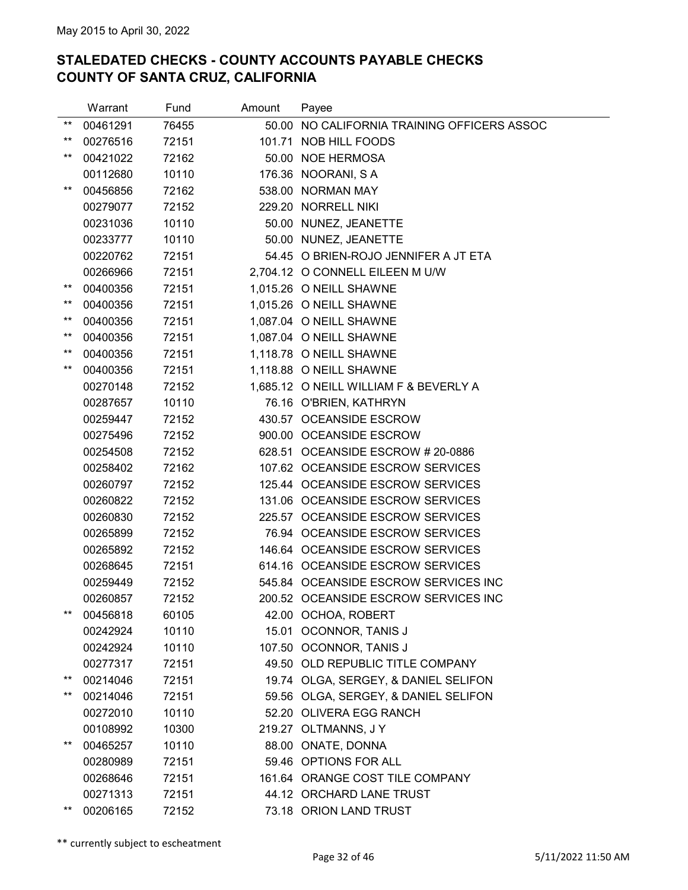|                 | Warrant  | Fund  | Amount | Payee                                  |
|-----------------|----------|-------|--------|----------------------------------------|
| $***$           | 00461291 | 76455 | 50.00  | NO CALIFORNIA TRAINING OFFICERS ASSOC  |
| $***$           | 00276516 | 72151 |        | 101.71 NOB HILL FOODS                  |
| $***$           | 00421022 | 72162 |        | 50.00 NOE HERMOSA                      |
|                 | 00112680 | 10110 |        | 176.36 NOORANI, SA                     |
| $^{\star\star}$ | 00456856 | 72162 |        | 538.00 NORMAN MAY                      |
|                 | 00279077 | 72152 |        | 229.20 NORRELL NIKI                    |
|                 | 00231036 | 10110 |        | 50.00 NUNEZ, JEANETTE                  |
|                 | 00233777 | 10110 |        | 50.00 NUNEZ, JEANETTE                  |
|                 | 00220762 | 72151 |        | 54.45 O BRIEN-ROJO JENNIFER A JT ETA   |
|                 | 00266966 | 72151 |        | 2,704.12 O CONNELL EILEEN M U/W        |
| $***$           | 00400356 | 72151 |        | 1,015.26 O NEILL SHAWNE                |
| $***$           | 00400356 | 72151 |        | 1,015.26 O NEILL SHAWNE                |
| $***$           | 00400356 | 72151 |        | 1,087.04 O NEILL SHAWNE                |
| $***$           | 00400356 | 72151 |        | 1,087.04 O NEILL SHAWNE                |
| $***$           | 00400356 | 72151 |        | 1,118.78 O NEILL SHAWNE                |
| $***$           | 00400356 | 72151 |        | 1,118.88 O NEILL SHAWNE                |
|                 | 00270148 | 72152 |        | 1,685.12 O NEILL WILLIAM F & BEVERLY A |
|                 | 00287657 | 10110 |        | 76.16 O'BRIEN, KATHRYN                 |
|                 | 00259447 | 72152 |        | 430.57 OCEANSIDE ESCROW                |
|                 | 00275496 | 72152 |        | 900.00 OCEANSIDE ESCROW                |
|                 | 00254508 | 72152 |        | 628.51 OCEANSIDE ESCROW # 20-0886      |
|                 | 00258402 | 72162 |        | 107.62 OCEANSIDE ESCROW SERVICES       |
|                 | 00260797 | 72152 |        | 125.44 OCEANSIDE ESCROW SERVICES       |
|                 | 00260822 | 72152 |        | 131.06 OCEANSIDE ESCROW SERVICES       |
|                 | 00260830 | 72152 |        | 225.57 OCEANSIDE ESCROW SERVICES       |
|                 | 00265899 | 72152 |        | 76.94 OCEANSIDE ESCROW SERVICES        |
|                 | 00265892 | 72152 |        | 146.64 OCEANSIDE ESCROW SERVICES       |
|                 | 00268645 | 72151 |        | 614.16 OCEANSIDE ESCROW SERVICES       |
|                 | 00259449 | 72152 |        | 545.84 OCEANSIDE ESCROW SERVICES INC   |
|                 | 00260857 | 72152 |        | 200.52 OCEANSIDE ESCROW SERVICES INC   |
| $***$           | 00456818 | 60105 |        | 42.00 OCHOA, ROBERT                    |
|                 | 00242924 | 10110 |        | 15.01 OCONNOR, TANIS J                 |
|                 | 00242924 | 10110 |        | 107.50 OCONNOR, TANIS J                |
|                 | 00277317 | 72151 |        | 49.50 OLD REPUBLIC TITLE COMPANY       |
| $***$           | 00214046 | 72151 |        | 19.74 OLGA, SERGEY, & DANIEL SELIFON   |
| $^{\star\star}$ | 00214046 | 72151 |        | 59.56 OLGA, SERGEY, & DANIEL SELIFON   |
|                 | 00272010 | 10110 |        | 52.20 OLIVERA EGG RANCH                |
|                 | 00108992 | 10300 |        | 219.27 OLTMANNS, JY                    |
| $***$           | 00465257 | 10110 |        | 88.00 ONATE, DONNA                     |
|                 | 00280989 | 72151 |        | 59.46 OPTIONS FOR ALL                  |
|                 | 00268646 | 72151 |        | 161.64 ORANGE COST TILE COMPANY        |
|                 | 00271313 | 72151 |        | 44.12 ORCHARD LANE TRUST               |
| $^{\star\star}$ | 00206165 | 72152 |        | 73.18 ORION LAND TRUST                 |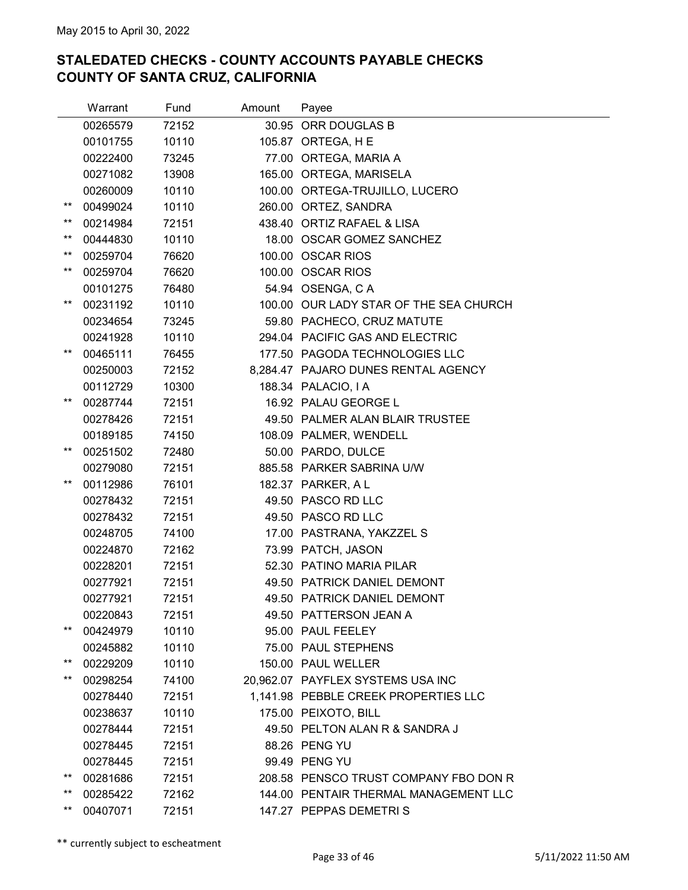|                 | Warrant  | Fund  | Amount | Payee                                  |
|-----------------|----------|-------|--------|----------------------------------------|
|                 | 00265579 | 72152 |        | 30.95 ORR DOUGLAS B                    |
|                 | 00101755 | 10110 |        | 105.87 ORTEGA, H E                     |
|                 | 00222400 | 73245 |        | 77.00 ORTEGA, MARIA A                  |
|                 | 00271082 | 13908 |        | 165.00 ORTEGA, MARISELA                |
|                 | 00260009 | 10110 |        | 100.00 ORTEGA-TRUJILLO, LUCERO         |
| $^{\star\star}$ | 00499024 | 10110 |        | 260.00 ORTEZ, SANDRA                   |
| $***$           | 00214984 | 72151 |        | 438.40 ORTIZ RAFAEL & LISA             |
| $***$           | 00444830 | 10110 |        | 18.00 OSCAR GOMEZ SANCHEZ              |
| $***$           | 00259704 | 76620 |        | 100.00 OSCAR RIOS                      |
| $***$           | 00259704 | 76620 |        | 100.00 OSCAR RIOS                      |
|                 | 00101275 | 76480 |        | 54.94 OSENGA, C A                      |
| $***$           | 00231192 | 10110 |        | 100.00 OUR LADY STAR OF THE SEA CHURCH |
|                 | 00234654 | 73245 |        | 59.80 PACHECO, CRUZ MATUTE             |
|                 | 00241928 | 10110 |        | 294.04 PACIFIC GAS AND ELECTRIC        |
| $^{\star\star}$ | 00465111 | 76455 |        | 177.50 PAGODA TECHNOLOGIES LLC         |
|                 | 00250003 | 72152 |        | 8,284.47 PAJARO DUNES RENTAL AGENCY    |
|                 | 00112729 | 10300 |        | 188.34 PALACIO, I A                    |
| $***$           | 00287744 | 72151 |        | 16.92 PALAU GEORGE L                   |
|                 | 00278426 | 72151 |        | 49.50 PALMER ALAN BLAIR TRUSTEE        |
|                 | 00189185 | 74150 |        | 108.09 PALMER, WENDELL                 |
| $***$           | 00251502 | 72480 |        | 50.00 PARDO, DULCE                     |
|                 | 00279080 | 72151 |        | 885.58 PARKER SABRINA U/W              |
| $^{\star\star}$ | 00112986 | 76101 |        | 182.37 PARKER, A L                     |
|                 | 00278432 | 72151 |        | 49.50 PASCO RD LLC                     |
|                 | 00278432 | 72151 |        | 49.50 PASCO RD LLC                     |
|                 | 00248705 | 74100 |        | 17.00 PASTRANA, YAKZZEL S              |
|                 | 00224870 | 72162 |        | 73.99 PATCH, JASON                     |
|                 | 00228201 | 72151 |        | 52.30 PATINO MARIA PILAR               |
|                 | 00277921 | 72151 |        | 49.50 PATRICK DANIEL DEMONT            |
|                 | 00277921 | 72151 |        | 49.50 PATRICK DANIEL DEMONT            |
|                 | 00220843 | 72151 |        | 49.50 PATTERSON JEAN A                 |
| $***$           | 00424979 | 10110 |        | 95.00 PAUL FEELEY                      |
|                 | 00245882 | 10110 |        | 75.00 PAUL STEPHENS                    |
| $***$           | 00229209 | 10110 |        | 150.00 PAUL WELLER                     |
| $***$           | 00298254 | 74100 |        | 20,962.07 PAYFLEX SYSTEMS USA INC      |
|                 | 00278440 | 72151 |        | 1,141.98 PEBBLE CREEK PROPERTIES LLC   |
|                 | 00238637 | 10110 |        | 175.00 PEIXOTO, BILL                   |
|                 | 00278444 | 72151 |        | 49.50 PELTON ALAN R & SANDRA J         |
|                 | 00278445 | 72151 |        | 88.26 PENG YU                          |
|                 | 00278445 | 72151 |        | 99.49 PENG YU                          |
| $^{\star\star}$ | 00281686 | 72151 |        | 208.58 PENSCO TRUST COMPANY FBO DON R  |
| $^{\star\star}$ | 00285422 | 72162 |        | 144.00 PENTAIR THERMAL MANAGEMENT LLC  |
| $***$           | 00407071 | 72151 |        | 147.27 PEPPAS DEMETRIS                 |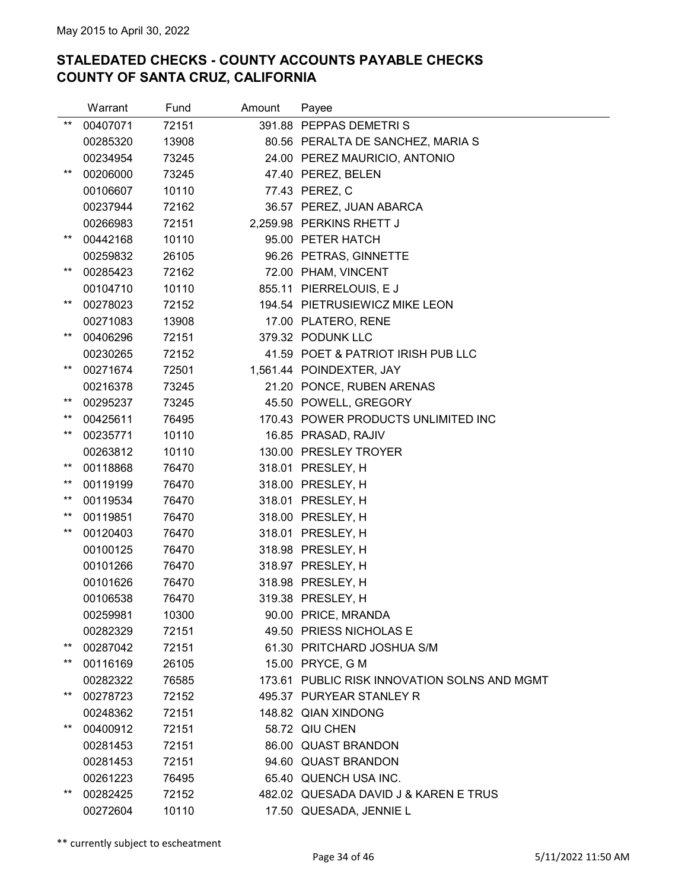|                 | Warrant  | Fund  | Amount | Payee                                        |
|-----------------|----------|-------|--------|----------------------------------------------|
| $***$           | 00407071 | 72151 |        | 391.88 PEPPAS DEMETRIS                       |
|                 | 00285320 | 13908 |        | 80.56 PERALTA DE SANCHEZ, MARIA S            |
|                 | 00234954 | 73245 |        | 24.00 PEREZ MAURICIO, ANTONIO                |
| $***$           | 00206000 | 73245 |        | 47.40 PEREZ, BELEN                           |
|                 | 00106607 | 10110 |        | 77.43 PEREZ, C                               |
|                 | 00237944 | 72162 |        | 36.57 PEREZ, JUAN ABARCA                     |
|                 | 00266983 | 72151 |        | 2,259.98 PERKINS RHETT J                     |
| $***$           | 00442168 | 10110 |        | 95.00 PETER HATCH                            |
|                 | 00259832 | 26105 |        | 96.26 PETRAS, GINNETTE                       |
| $***$           | 00285423 | 72162 |        | 72.00 PHAM, VINCENT                          |
|                 | 00104710 | 10110 |        | 855.11 PIERRELOUIS, EJ                       |
| $^{\star\star}$ | 00278023 | 72152 |        | 194.54 PIETRUSIEWICZ MIKE LEON               |
|                 | 00271083 | 13908 |        | 17.00 PLATERO, RENE                          |
| $***$           | 00406296 | 72151 |        | 379.32 PODUNK LLC                            |
|                 | 00230265 | 72152 |        | 41.59 POET & PATRIOT IRISH PUB LLC           |
| $***$           | 00271674 | 72501 |        | 1,561.44 POINDEXTER, JAY                     |
|                 | 00216378 | 73245 |        | 21.20 PONCE, RUBEN ARENAS                    |
| $***$           | 00295237 | 73245 |        | 45.50 POWELL, GREGORY                        |
| $***$           | 00425611 | 76495 |        | 170.43 POWER PRODUCTS UNLIMITED INC          |
| $***$           | 00235771 | 10110 |        | 16.85 PRASAD, RAJIV                          |
|                 | 00263812 | 10110 |        | 130.00 PRESLEY TROYER                        |
| $***$           | 00118868 | 76470 |        | 318.01 PRESLEY, H                            |
| $***$           | 00119199 | 76470 |        | 318.00 PRESLEY, H                            |
| $^{\star\star}$ | 00119534 | 76470 |        | 318.01 PRESLEY, H                            |
| $^{\star\star}$ | 00119851 | 76470 |        | 318.00 PRESLEY, H                            |
| $***$           | 00120403 | 76470 |        | 318.01 PRESLEY, H                            |
|                 | 00100125 | 76470 |        | 318.98 PRESLEY, H                            |
|                 | 00101266 | 76470 |        | 318.97 PRESLEY, H                            |
|                 | 00101626 | 76470 |        | 318.98 PRESLEY, H                            |
|                 | 00106538 | 76470 |        | 319.38 PRESLEY, H                            |
|                 | 00259981 | 10300 |        | 90.00 PRICE, MRANDA                          |
|                 | 00282329 | 72151 |        | 49.50 PRIESS NICHOLAS E                      |
| $^{\star\star}$ | 00287042 | 72151 |        | 61.30 PRITCHARD JOSHUA S/M                   |
| $^{\star\star}$ | 00116169 | 26105 |        | 15.00 PRYCE, G M                             |
|                 | 00282322 | 76585 |        | 173.61 PUBLIC RISK INNOVATION SOLNS AND MGMT |
| $^{\star\star}$ | 00278723 | 72152 |        | 495.37 PURYEAR STANLEY R                     |
|                 | 00248362 | 72151 |        | 148.82 QIAN XINDONG                          |
| $***$           | 00400912 | 72151 |        | 58.72 QIU CHEN                               |
|                 | 00281453 | 72151 |        | 86.00 QUAST BRANDON                          |
|                 | 00281453 | 72151 |        | 94.60 QUAST BRANDON                          |
|                 | 00261223 | 76495 |        | 65.40 QUENCH USA INC.                        |
| $^{\star\star}$ | 00282425 | 72152 |        | 482.02 QUESADA DAVID J & KAREN E TRUS        |
|                 | 00272604 | 10110 |        | 17.50 QUESADA, JENNIE L                      |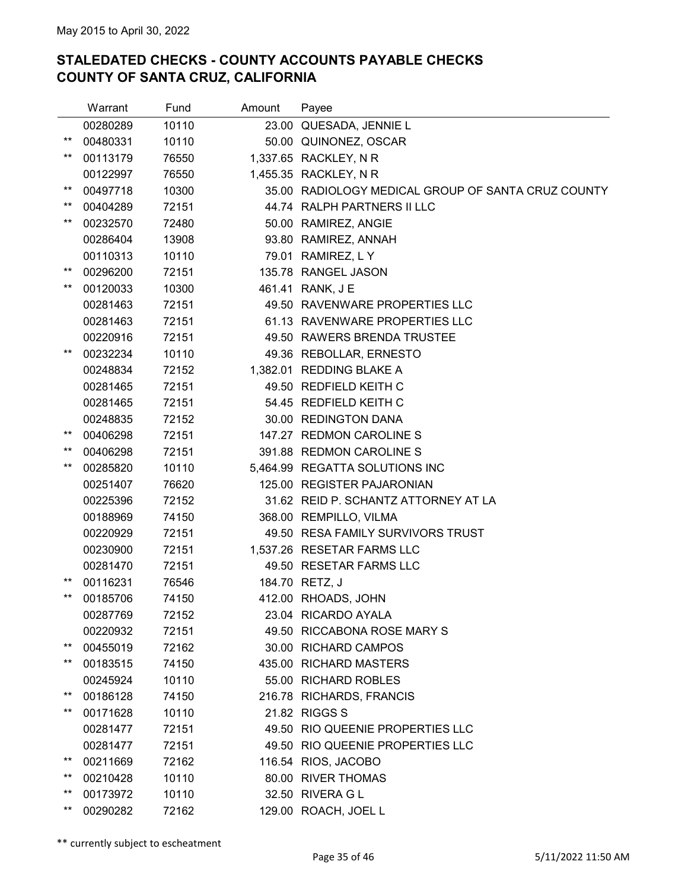|                 | Warrant  | Fund  | Amount | Payee                                              |
|-----------------|----------|-------|--------|----------------------------------------------------|
|                 | 00280289 | 10110 |        | 23.00 QUESADA, JENNIE L                            |
| $***$           | 00480331 | 10110 |        | 50.00 QUINONEZ, OSCAR                              |
| $***$           | 00113179 | 76550 |        | 1,337.65 RACKLEY, N R                              |
|                 | 00122997 | 76550 |        | 1,455.35 RACKLEY, N R                              |
| $***$           | 00497718 | 10300 |        | 35.00 RADIOLOGY MEDICAL GROUP OF SANTA CRUZ COUNTY |
| $***$           | 00404289 | 72151 |        | 44.74 RALPH PARTNERS II LLC                        |
| $^{\star\star}$ | 00232570 | 72480 |        | 50.00 RAMIREZ, ANGIE                               |
|                 | 00286404 | 13908 |        | 93.80 RAMIREZ, ANNAH                               |
|                 | 00110313 | 10110 |        | 79.01 RAMIREZ, L Y                                 |
| $^{\star\star}$ | 00296200 | 72151 |        | 135.78 RANGEL JASON                                |
| $^{\star\star}$ | 00120033 | 10300 |        | 461.41 RANK, J E                                   |
|                 | 00281463 | 72151 |        | 49.50 RAVENWARE PROPERTIES LLC                     |
|                 | 00281463 | 72151 |        | 61.13 RAVENWARE PROPERTIES LLC                     |
|                 | 00220916 | 72151 |        | 49.50 RAWERS BRENDA TRUSTEE                        |
| $***$           | 00232234 | 10110 |        | 49.36 REBOLLAR, ERNESTO                            |
|                 | 00248834 | 72152 |        | 1,382.01 REDDING BLAKE A                           |
|                 | 00281465 | 72151 |        | 49.50 REDFIELD KEITH C                             |
|                 | 00281465 | 72151 |        | 54.45 REDFIELD KEITH C                             |
|                 | 00248835 | 72152 |        | 30.00 REDINGTON DANA                               |
| $***$           | 00406298 | 72151 |        | 147.27 REDMON CAROLINE S                           |
| **              | 00406298 | 72151 |        | 391.88 REDMON CAROLINE S                           |
| $***$           | 00285820 | 10110 |        | 5,464.99 REGATTA SOLUTIONS INC                     |
|                 | 00251407 | 76620 |        | 125.00 REGISTER PAJARONIAN                         |
|                 | 00225396 | 72152 |        | 31.62 REID P. SCHANTZ ATTORNEY AT LA               |
|                 | 00188969 | 74150 |        | 368.00 REMPILLO, VILMA                             |
|                 | 00220929 | 72151 |        | 49.50 RESA FAMILY SURVIVORS TRUST                  |
|                 | 00230900 | 72151 |        | 1,537.26 RESETAR FARMS LLC                         |
|                 | 00281470 | 72151 |        | 49.50 RESETAR FARMS LLC                            |
| $^{\star\star}$ | 00116231 | 76546 |        | 184.70 RETZ, J                                     |
| $***$           | 00185706 | 74150 |        | 412.00 RHOADS, JOHN                                |
|                 | 00287769 | 72152 |        | 23.04 RICARDO AYALA                                |
|                 | 00220932 | 72151 |        | 49.50 RICCABONA ROSE MARY S                        |
| $***$           | 00455019 | 72162 |        | 30.00 RICHARD CAMPOS                               |
| $^{\star\star}$ | 00183515 | 74150 |        | 435.00 RICHARD MASTERS                             |
|                 | 00245924 | 10110 |        | 55.00 RICHARD ROBLES                               |
| $***$           | 00186128 | 74150 |        | 216.78 RICHARDS, FRANCIS                           |
| $***$           | 00171628 | 10110 |        | 21.82 RIGGS S                                      |
|                 | 00281477 | 72151 |        | 49.50 RIO QUEENIE PROPERTIES LLC                   |
|                 | 00281477 | 72151 |        | 49.50 RIO QUEENIE PROPERTIES LLC                   |
| $^{\star\star}$ | 00211669 | 72162 |        | 116.54 RIOS, JACOBO                                |
| $^{\star\star}$ | 00210428 | 10110 |        | 80.00 RIVER THOMAS                                 |
| $^{\star\star}$ | 00173972 | 10110 |        | 32.50 RIVERA G L                                   |
| $^{\star\star}$ | 00290282 | 72162 |        | 129.00 ROACH, JOEL L                               |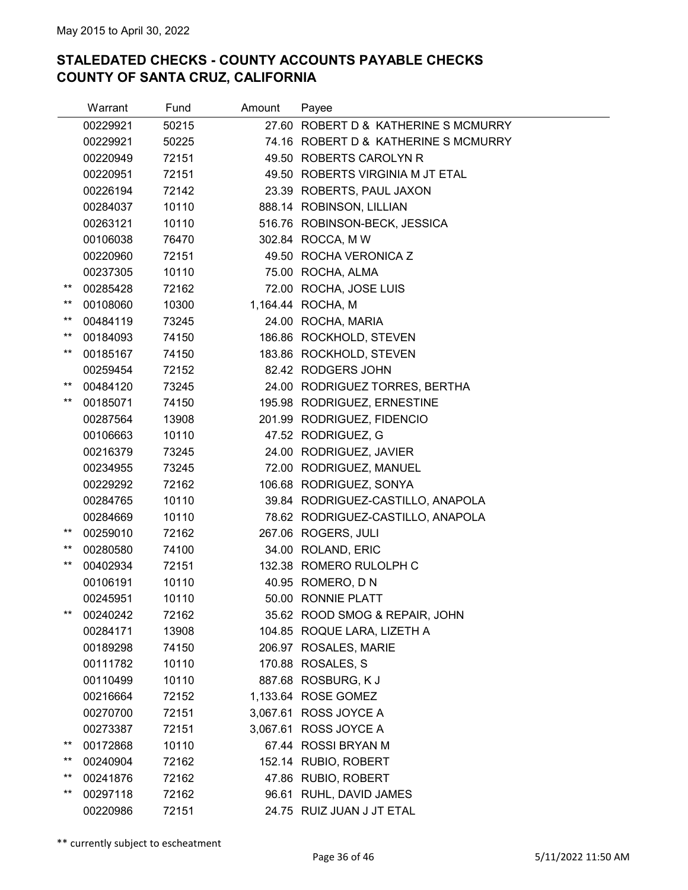|                 | Warrant  | Fund  | Amount | Payee                                |
|-----------------|----------|-------|--------|--------------------------------------|
|                 | 00229921 | 50215 |        | 27.60 ROBERT D & KATHERINE S MCMURRY |
|                 | 00229921 | 50225 |        | 74.16 ROBERT D & KATHERINE S MCMURRY |
|                 | 00220949 | 72151 |        | 49.50 ROBERTS CAROLYN R              |
|                 | 00220951 | 72151 |        | 49.50 ROBERTS VIRGINIA M JT ETAL     |
|                 | 00226194 | 72142 |        | 23.39 ROBERTS, PAUL JAXON            |
|                 | 00284037 | 10110 |        | 888.14 ROBINSON, LILLIAN             |
|                 | 00263121 | 10110 |        | 516.76 ROBINSON-BECK, JESSICA        |
|                 | 00106038 | 76470 |        | 302.84 ROCCA, M W                    |
|                 | 00220960 | 72151 |        | 49.50 ROCHA VERONICA Z               |
|                 | 00237305 | 10110 |        | 75.00 ROCHA, ALMA                    |
| $^{\star\star}$ | 00285428 | 72162 |        | 72.00 ROCHA, JOSE LUIS               |
| $^{\star\star}$ | 00108060 | 10300 |        | 1,164.44 ROCHA, M                    |
| $***$           | 00484119 | 73245 |        | 24.00 ROCHA, MARIA                   |
| $***$           | 00184093 | 74150 |        | 186.86 ROCKHOLD, STEVEN              |
| $***$           | 00185167 | 74150 |        | 183.86 ROCKHOLD, STEVEN              |
|                 | 00259454 | 72152 |        | 82.42 RODGERS JOHN                   |
| $***$           | 00484120 | 73245 |        | 24.00 RODRIGUEZ TORRES, BERTHA       |
| $***$           | 00185071 | 74150 |        | 195.98 RODRIGUEZ, ERNESTINE          |
|                 | 00287564 | 13908 |        | 201.99 RODRIGUEZ, FIDENCIO           |
|                 | 00106663 | 10110 |        | 47.52 RODRIGUEZ, G                   |
|                 | 00216379 | 73245 |        | 24.00 RODRIGUEZ, JAVIER              |
|                 | 00234955 | 73245 |        | 72.00 RODRIGUEZ, MANUEL              |
|                 | 00229292 | 72162 |        | 106.68 RODRIGUEZ, SONYA              |
|                 | 00284765 | 10110 |        | 39.84 RODRIGUEZ-CASTILLO, ANAPOLA    |
|                 | 00284669 | 10110 |        | 78.62 RODRIGUEZ-CASTILLO, ANAPOLA    |
| **              | 00259010 | 72162 |        | 267.06 ROGERS, JULI                  |
| $***$           | 00280580 | 74100 |        | 34.00 ROLAND, ERIC                   |
| $***$           | 00402934 | 72151 |        | 132.38 ROMERO RULOLPH C              |
|                 | 00106191 | 10110 |        | 40.95 ROMERO, D N                    |
|                 | 00245951 | 10110 |        | 50.00 RONNIE PLATT                   |
| $***$           | 00240242 | 72162 |        | 35.62 ROOD SMOG & REPAIR, JOHN       |
|                 | 00284171 | 13908 |        | 104.85 ROQUE LARA, LIZETH A          |
|                 | 00189298 | 74150 |        | 206.97 ROSALES, MARIE                |
|                 | 00111782 | 10110 |        | 170.88 ROSALES, S                    |
|                 | 00110499 | 10110 |        | 887.68 ROSBURG, KJ                   |
|                 | 00216664 | 72152 |        | 1,133.64 ROSE GOMEZ                  |
|                 | 00270700 | 72151 |        | 3,067.61 ROSS JOYCE A                |
|                 | 00273387 | 72151 |        | 3,067.61 ROSS JOYCE A                |
| $***$           | 00172868 | 10110 |        | 67.44 ROSSI BRYAN M                  |
| $^{\star\star}$ | 00240904 | 72162 |        | 152.14 RUBIO, ROBERT                 |
| $***$           | 00241876 | 72162 |        | 47.86 RUBIO, ROBERT                  |
| $***$           | 00297118 | 72162 |        | 96.61 RUHL, DAVID JAMES              |
|                 | 00220986 | 72151 |        | 24.75 RUIZ JUAN J JT ETAL            |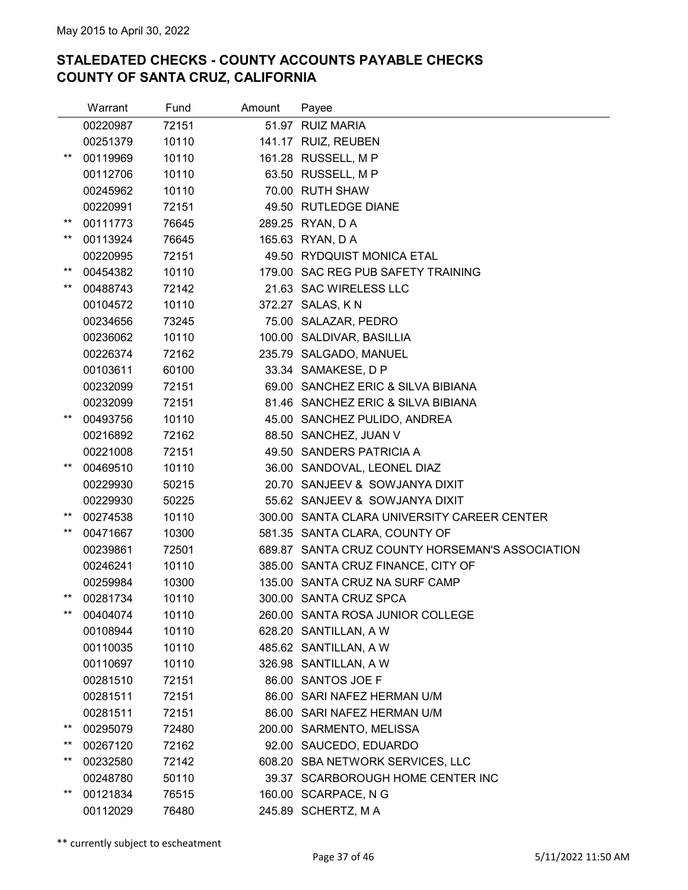|                 | Warrant  | Fund  | Amount | Payee                                           |
|-----------------|----------|-------|--------|-------------------------------------------------|
|                 | 00220987 | 72151 |        | 51.97 RUIZ MARIA                                |
|                 | 00251379 | 10110 |        | 141.17 RUIZ, REUBEN                             |
| $^{\star\star}$ | 00119969 | 10110 |        | 161.28 RUSSELL, M P                             |
|                 | 00112706 | 10110 |        | 63.50 RUSSELL, M P                              |
|                 | 00245962 | 10110 |        | 70.00 RUTH SHAW                                 |
|                 | 00220991 | 72151 |        | 49.50 RUTLEDGE DIANE                            |
| $***$           | 00111773 | 76645 |        | 289.25 RYAN, D A                                |
| $***$           | 00113924 | 76645 |        | 165.63 RYAN, D A                                |
|                 | 00220995 | 72151 |        | 49.50 RYDQUIST MONICA ETAL                      |
| $^{\star\star}$ | 00454382 | 10110 |        | 179.00 SAC REG PUB SAFETY TRAINING              |
| $***$           | 00488743 | 72142 |        | 21.63 SAC WIRELESS LLC                          |
|                 | 00104572 | 10110 |        | 372.27 SALAS, KN                                |
|                 | 00234656 | 73245 |        | 75.00 SALAZAR, PEDRO                            |
|                 | 00236062 | 10110 |        | 100.00 SALDIVAR, BASILLIA                       |
|                 | 00226374 | 72162 |        | 235.79 SALGADO, MANUEL                          |
|                 | 00103611 | 60100 |        | 33.34 SAMAKESE, D P                             |
|                 | 00232099 | 72151 |        | 69.00 SANCHEZ ERIC & SILVA BIBIANA              |
|                 | 00232099 | 72151 |        | 81.46 SANCHEZ ERIC & SILVA BIBIANA              |
| $^{\star\star}$ | 00493756 | 10110 |        | 45.00 SANCHEZ PULIDO, ANDREA                    |
|                 | 00216892 | 72162 |        | 88.50 SANCHEZ, JUAN V                           |
|                 | 00221008 | 72151 |        | 49.50 SANDERS PATRICIA A                        |
| $^{\star\star}$ | 00469510 | 10110 |        | 36.00 SANDOVAL, LEONEL DIAZ                     |
|                 | 00229930 | 50215 |        | 20.70 SANJEEV & SOWJANYA DIXIT                  |
|                 | 00229930 | 50225 |        | 55.62 SANJEEV & SOWJANYA DIXIT                  |
| $***$           | 00274538 | 10110 |        | 300.00 SANTA CLARA UNIVERSITY CAREER CENTER     |
| $***$           | 00471667 | 10300 |        | 581.35 SANTA CLARA, COUNTY OF                   |
|                 | 00239861 | 72501 |        | 689.87 SANTA CRUZ COUNTY HORSEMAN'S ASSOCIATION |
|                 | 00246241 | 10110 |        | 385.00 SANTA CRUZ FINANCE, CITY OF              |
|                 | 00259984 | 10300 |        | 135.00 SANTA CRUZ NA SURF CAMP                  |
| **              | 00281734 | 10110 |        | 300.00 SANTA CRUZ SPCA                          |
| $***$           | 00404074 | 10110 |        | 260.00 SANTA ROSA JUNIOR COLLEGE                |
|                 | 00108944 | 10110 |        | 628.20 SANTILLAN, A W                           |
|                 | 00110035 | 10110 |        | 485.62 SANTILLAN, A W                           |
|                 | 00110697 | 10110 |        | 326.98 SANTILLAN, A W                           |
|                 | 00281510 | 72151 |        | 86.00 SANTOS JOE F                              |
|                 | 00281511 | 72151 |        | 86.00 SARI NAFEZ HERMAN U/M                     |
|                 | 00281511 | 72151 |        | 86.00 SARI NAFEZ HERMAN U/M                     |
| $***$           | 00295079 | 72480 |        | 200.00 SARMENTO, MELISSA                        |
| $***$           | 00267120 | 72162 |        | 92.00 SAUCEDO, EDUARDO                          |
| $^{\star\star}$ | 00232580 | 72142 |        | 608.20 SBA NETWORK SERVICES, LLC                |
|                 | 00248780 | 50110 |        | 39.37 SCARBOROUGH HOME CENTER INC               |
| $***$           | 00121834 | 76515 |        | 160.00 SCARPACE, N G                            |
|                 | 00112029 | 76480 |        | 245.89 SCHERTZ, MA                              |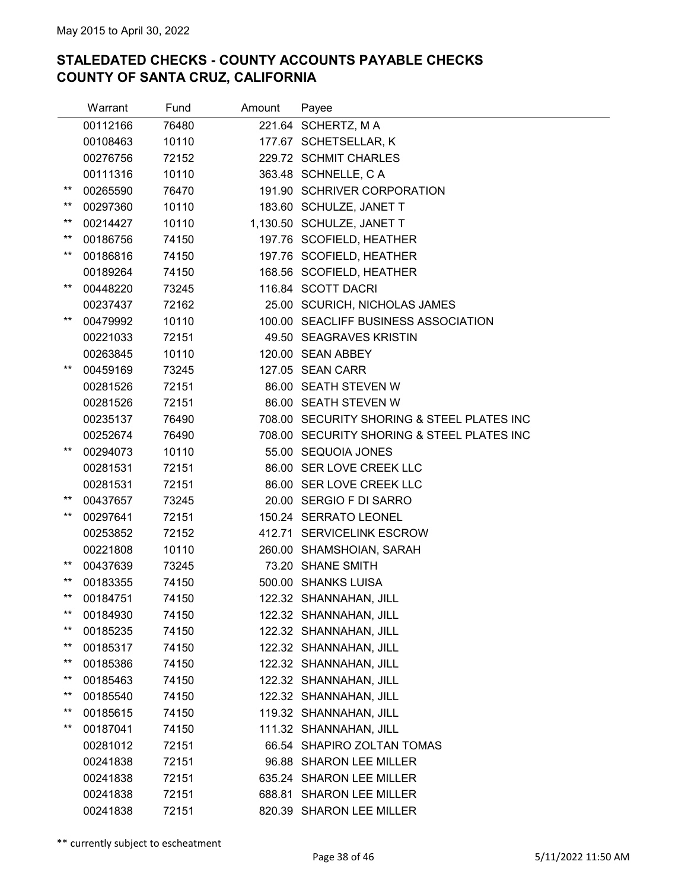|                 | Warrant  | Fund  | Amount | Payee                                      |
|-----------------|----------|-------|--------|--------------------------------------------|
|                 | 00112166 | 76480 |        | 221.64 SCHERTZ, MA                         |
|                 | 00108463 | 10110 |        | 177.67 SCHETSELLAR, K                      |
|                 | 00276756 | 72152 |        | 229.72 SCHMIT CHARLES                      |
|                 | 00111316 | 10110 |        | 363.48 SCHNELLE, C A                       |
| $^{\star\star}$ | 00265590 | 76470 |        | 191.90 SCHRIVER CORPORATION                |
| $***$           | 00297360 | 10110 |        | 183.60 SCHULZE, JANET T                    |
| $***$           | 00214427 | 10110 |        | 1,130.50 SCHULZE, JANET T                  |
| $***$           | 00186756 | 74150 |        | 197.76 SCOFIELD, HEATHER                   |
| $***$           | 00186816 | 74150 |        | 197.76 SCOFIELD, HEATHER                   |
|                 | 00189264 | 74150 |        | 168.56 SCOFIELD, HEATHER                   |
| $***$           | 00448220 | 73245 |        | 116.84 SCOTT DACRI                         |
|                 | 00237437 | 72162 |        | 25.00 SCURICH, NICHOLAS JAMES              |
| $***$           | 00479992 | 10110 |        | 100.00 SEACLIFF BUSINESS ASSOCIATION       |
|                 | 00221033 | 72151 |        | 49.50 SEAGRAVES KRISTIN                    |
|                 | 00263845 | 10110 |        | 120.00 SEAN ABBEY                          |
| $***$           | 00459169 | 73245 |        | 127.05 SEAN CARR                           |
|                 | 00281526 | 72151 |        | 86.00 SEATH STEVEN W                       |
|                 | 00281526 | 72151 |        | 86.00 SEATH STEVEN W                       |
|                 | 00235137 | 76490 |        | 708.00 SECURITY SHORING & STEEL PLATES INC |
|                 | 00252674 | 76490 |        | 708.00 SECURITY SHORING & STEEL PLATES INC |
| **              | 00294073 | 10110 |        | 55.00 SEQUOIA JONES                        |
|                 | 00281531 | 72151 |        | 86.00 SER LOVE CREEK LLC                   |
|                 | 00281531 | 72151 |        | 86.00 SER LOVE CREEK LLC                   |
| $^{\star\star}$ | 00437657 | 73245 |        | 20.00 SERGIO F DI SARRO                    |
| $***$           | 00297641 | 72151 |        | 150.24 SERRATO LEONEL                      |
|                 | 00253852 | 72152 |        | 412.71 SERVICELINK ESCROW                  |
|                 | 00221808 | 10110 |        | 260.00 SHAMSHOIAN, SARAH                   |
| $^{\star\star}$ | 00437639 | 73245 |        | 73.20 SHANE SMITH                          |
| $^{\star\star}$ | 00183355 | 74150 |        | 500.00 SHANKS LUISA                        |
| $***$           | 00184751 | 74150 |        | 122.32 SHANNAHAN, JILL                     |
| $^{\star\star}$ | 00184930 | 74150 |        | 122.32 SHANNAHAN, JILL                     |
| **              | 00185235 | 74150 |        | 122.32 SHANNAHAN, JILL                     |
| $^{\star\star}$ | 00185317 | 74150 |        | 122.32 SHANNAHAN, JILL                     |
| **              | 00185386 | 74150 |        | 122.32 SHANNAHAN, JILL                     |
| $***$           | 00185463 | 74150 |        | 122.32 SHANNAHAN, JILL                     |
| $^{\star\star}$ | 00185540 | 74150 |        | 122.32 SHANNAHAN, JILL                     |
| $***$           | 00185615 | 74150 |        | 119.32 SHANNAHAN, JILL                     |
| $^{\star\star}$ | 00187041 | 74150 |        | 111.32 SHANNAHAN, JILL                     |
|                 | 00281012 | 72151 |        | 66.54 SHAPIRO ZOLTAN TOMAS                 |
|                 | 00241838 | 72151 |        | 96.88 SHARON LEE MILLER                    |
|                 | 00241838 | 72151 |        | 635.24 SHARON LEE MILLER                   |
|                 | 00241838 | 72151 |        | 688.81 SHARON LEE MILLER                   |
|                 | 00241838 | 72151 |        | 820.39 SHARON LEE MILLER                   |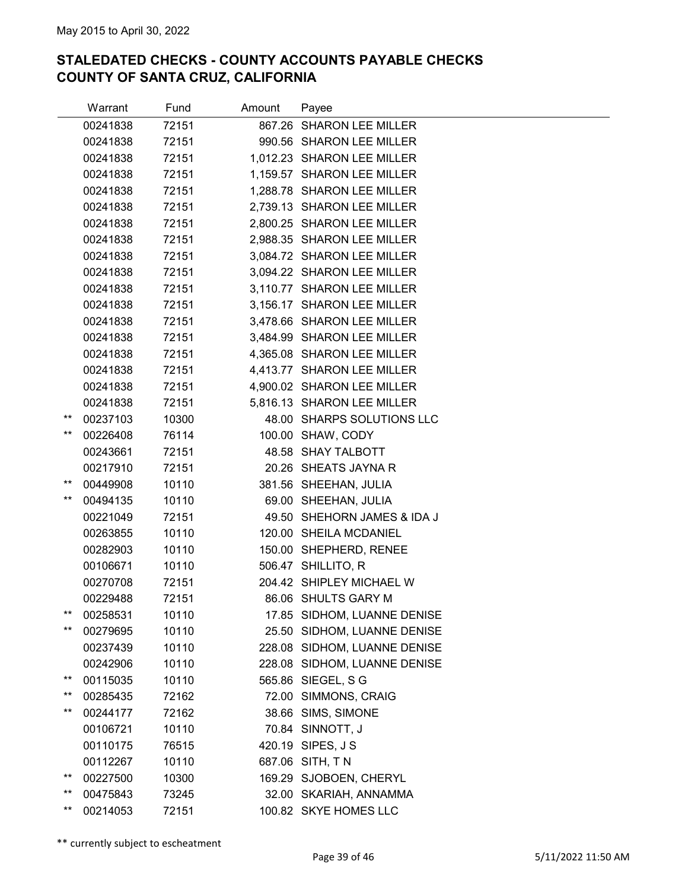|                 | Warrant  | Fund  | Amount | Payee                        |  |
|-----------------|----------|-------|--------|------------------------------|--|
|                 | 00241838 | 72151 |        | 867.26 SHARON LEE MILLER     |  |
|                 | 00241838 | 72151 |        | 990.56 SHARON LEE MILLER     |  |
|                 | 00241838 | 72151 |        | 1,012.23 SHARON LEE MILLER   |  |
|                 | 00241838 | 72151 |        | 1,159.57 SHARON LEE MILLER   |  |
|                 | 00241838 | 72151 |        | 1,288.78 SHARON LEE MILLER   |  |
|                 | 00241838 | 72151 |        | 2,739.13 SHARON LEE MILLER   |  |
|                 | 00241838 | 72151 |        | 2,800.25 SHARON LEE MILLER   |  |
|                 | 00241838 | 72151 |        | 2,988.35 SHARON LEE MILLER   |  |
|                 | 00241838 | 72151 |        | 3,084.72 SHARON LEE MILLER   |  |
|                 | 00241838 | 72151 |        | 3,094.22 SHARON LEE MILLER   |  |
|                 | 00241838 | 72151 |        | 3,110.77 SHARON LEE MILLER   |  |
|                 | 00241838 | 72151 |        | 3,156.17 SHARON LEE MILLER   |  |
|                 | 00241838 | 72151 |        | 3,478.66 SHARON LEE MILLER   |  |
|                 | 00241838 | 72151 |        | 3,484.99 SHARON LEE MILLER   |  |
|                 | 00241838 | 72151 |        | 4,365.08 SHARON LEE MILLER   |  |
|                 | 00241838 | 72151 |        | 4,413.77 SHARON LEE MILLER   |  |
|                 | 00241838 | 72151 |        | 4,900.02 SHARON LEE MILLER   |  |
|                 | 00241838 | 72151 |        | 5,816.13 SHARON LEE MILLER   |  |
| **              | 00237103 | 10300 |        | 48.00 SHARPS SOLUTIONS LLC   |  |
| $***$           | 00226408 | 76114 |        | 100.00 SHAW, CODY            |  |
|                 | 00243661 | 72151 |        | 48.58 SHAY TALBOTT           |  |
|                 | 00217910 | 72151 |        | 20.26 SHEATS JAYNA R         |  |
| **              | 00449908 | 10110 |        | 381.56 SHEEHAN, JULIA        |  |
| $***$           | 00494135 | 10110 |        | 69.00 SHEEHAN, JULIA         |  |
|                 | 00221049 | 72151 |        | 49.50 SHEHORN JAMES & IDA J  |  |
|                 | 00263855 | 10110 |        | 120.00 SHEILA MCDANIEL       |  |
|                 | 00282903 | 10110 |        | 150.00 SHEPHERD, RENEE       |  |
|                 | 00106671 | 10110 |        | 506.47 SHILLITO, R           |  |
|                 | 00270708 | 72151 |        | 204.42 SHIPLEY MICHAEL W     |  |
|                 | 00229488 | 72151 |        | 86.06 SHULTS GARY M          |  |
| $^{\star\star}$ | 00258531 | 10110 |        | 17.85 SIDHOM, LUANNE DENISE  |  |
| $***$           | 00279695 | 10110 |        | 25.50 SIDHOM, LUANNE DENISE  |  |
|                 | 00237439 | 10110 |        | 228.08 SIDHOM, LUANNE DENISE |  |
|                 | 00242906 | 10110 |        | 228.08 SIDHOM, LUANNE DENISE |  |
| **<br>**        | 00115035 | 10110 |        | 565.86 SIEGEL, S G           |  |
|                 | 00285435 | 72162 |        | 72.00 SIMMONS, CRAIG         |  |
| $^{\star\star}$ | 00244177 | 72162 |        | 38.66 SIMS, SIMONE           |  |
|                 | 00106721 | 10110 |        | 70.84 SINNOTT, J             |  |
|                 | 00110175 | 76515 |        | 420.19 SIPES, J S            |  |
| **              | 00112267 | 10110 |        | 687.06 SITH, TN              |  |
| $^{\star\star}$ | 00227500 | 10300 |        | 169.29 SJOBOEN, CHERYL       |  |
| $^{\star\star}$ | 00475843 | 73245 |        | 32.00 SKARIAH, ANNAMMA       |  |
|                 | 00214053 | 72151 |        | 100.82 SKYE HOMES LLC        |  |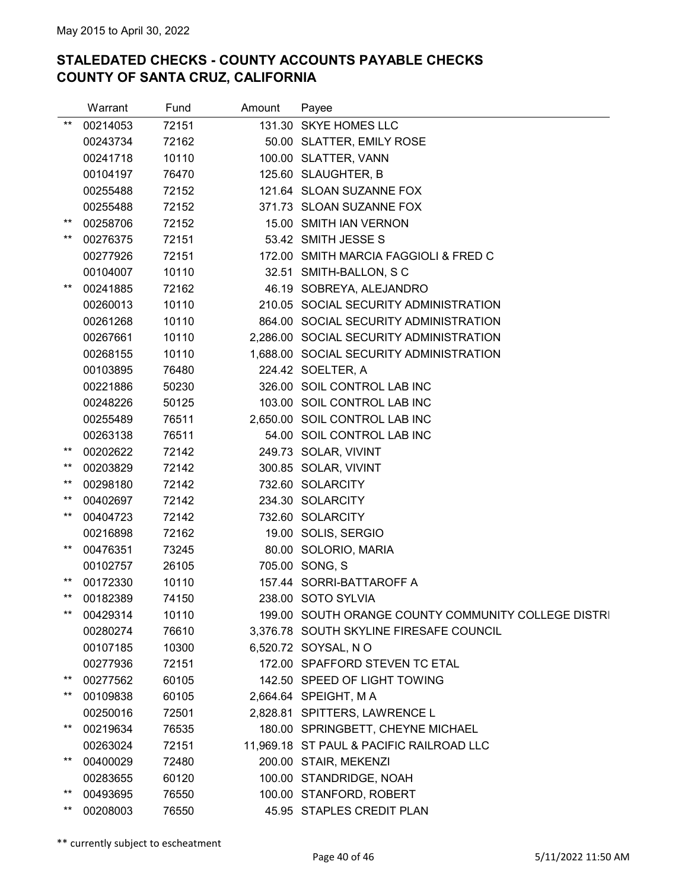|                 | Warrant  | Fund  | Amount | Payee                                               |  |
|-----------------|----------|-------|--------|-----------------------------------------------------|--|
| $***$           | 00214053 | 72151 |        | 131.30 SKYE HOMES LLC                               |  |
|                 | 00243734 | 72162 |        | 50.00 SLATTER, EMILY ROSE                           |  |
|                 | 00241718 | 10110 |        | 100.00 SLATTER, VANN                                |  |
|                 | 00104197 | 76470 |        | 125.60 SLAUGHTER, B                                 |  |
|                 | 00255488 | 72152 |        | 121.64 SLOAN SUZANNE FOX                            |  |
|                 | 00255488 | 72152 |        | 371.73 SLOAN SUZANNE FOX                            |  |
| $***$           | 00258706 | 72152 |        | 15.00 SMITH IAN VERNON                              |  |
| $***$           | 00276375 | 72151 |        | 53.42 SMITH JESSE S                                 |  |
|                 | 00277926 | 72151 |        | 172.00 SMITH MARCIA FAGGIOLI & FRED C               |  |
|                 | 00104007 | 10110 |        | 32.51 SMITH-BALLON, SC                              |  |
| $***$           | 00241885 | 72162 |        | 46.19 SOBREYA, ALEJANDRO                            |  |
|                 | 00260013 | 10110 |        | 210.05 SOCIAL SECURITY ADMINISTRATION               |  |
|                 | 00261268 | 10110 |        | 864.00 SOCIAL SECURITY ADMINISTRATION               |  |
|                 | 00267661 | 10110 |        | 2,286.00 SOCIAL SECURITY ADMINISTRATION             |  |
|                 | 00268155 | 10110 |        | 1,688.00 SOCIAL SECURITY ADMINISTRATION             |  |
|                 | 00103895 | 76480 |        | 224.42 SOELTER, A                                   |  |
|                 | 00221886 | 50230 |        | 326.00 SOIL CONTROL LAB INC                         |  |
|                 | 00248226 | 50125 |        | 103.00 SOIL CONTROL LAB INC                         |  |
|                 | 00255489 | 76511 |        | 2,650.00 SOIL CONTROL LAB INC                       |  |
|                 | 00263138 | 76511 |        | 54.00 SOIL CONTROL LAB INC                          |  |
| $***$           | 00202622 | 72142 |        | 249.73 SOLAR, VIVINT                                |  |
| $***$           | 00203829 | 72142 |        | 300.85 SOLAR, VIVINT                                |  |
| **              | 00298180 | 72142 |        | 732.60 SOLARCITY                                    |  |
| **              | 00402697 | 72142 |        | 234.30 SOLARCITY                                    |  |
| $***$           | 00404723 | 72142 |        | 732.60 SOLARCITY                                    |  |
|                 | 00216898 | 72162 |        | 19.00 SOLIS, SERGIO                                 |  |
| $***$           | 00476351 | 73245 |        | 80.00 SOLORIO, MARIA                                |  |
|                 | 00102757 | 26105 |        | 705.00 SONG, S                                      |  |
| $***$           | 00172330 | 10110 |        | 157.44 SORRI-BATTAROFF A                            |  |
| $***$           | 00182389 | 74150 |        | 238.00 SOTO SYLVIA                                  |  |
| $***$           | 00429314 | 10110 |        | 199.00 SOUTH ORANGE COUNTY COMMUNITY COLLEGE DISTRI |  |
|                 | 00280274 | 76610 |        | 3,376.78 SOUTH SKYLINE FIRESAFE COUNCIL             |  |
|                 | 00107185 | 10300 |        | 6,520.72 SOYSAL, NO                                 |  |
|                 | 00277936 | 72151 |        | 172.00 SPAFFORD STEVEN TC ETAL                      |  |
| $***$           | 00277562 | 60105 |        | 142.50 SPEED OF LIGHT TOWING                        |  |
| $^{\star\star}$ | 00109838 | 60105 |        | 2,664.64 SPEIGHT, MA                                |  |
|                 | 00250016 | 72501 |        | 2,828.81 SPITTERS, LAWRENCE L                       |  |
| $***$           | 00219634 | 76535 |        | 180.00 SPRINGBETT, CHEYNE MICHAEL                   |  |
|                 | 00263024 | 72151 |        | 11,969.18 ST PAUL & PACIFIC RAILROAD LLC            |  |
| $***$           | 00400029 | 72480 |        | 200.00 STAIR, MEKENZI                               |  |
|                 | 00283655 | 60120 |        | 100.00 STANDRIDGE, NOAH                             |  |
| $***$           | 00493695 | 76550 |        | 100.00 STANFORD, ROBERT                             |  |
| $***$           | 00208003 | 76550 |        | 45.95 STAPLES CREDIT PLAN                           |  |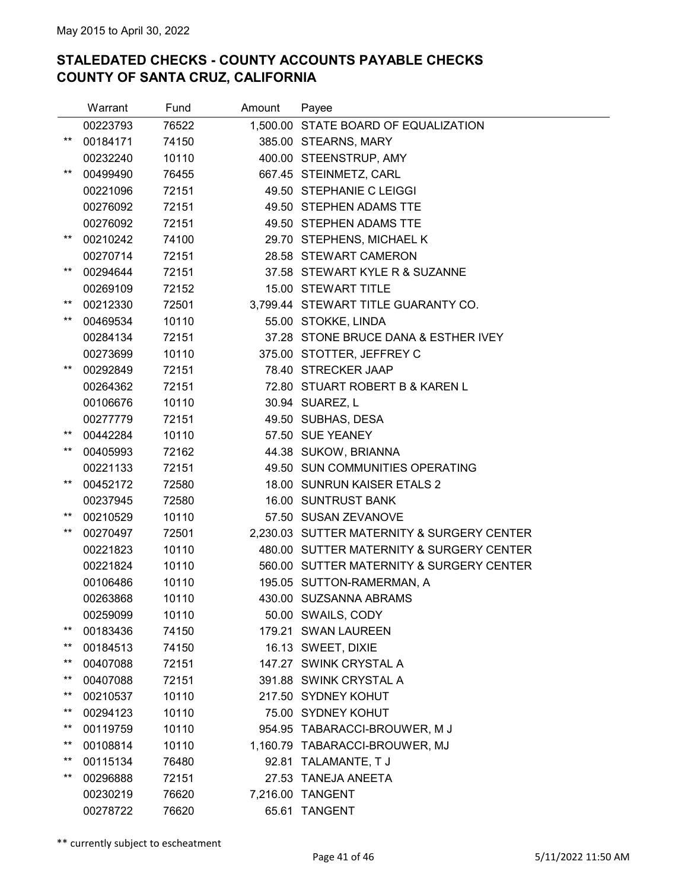|       | Warrant  | Fund  | Amount   | Payee                                      |
|-------|----------|-------|----------|--------------------------------------------|
|       | 00223793 | 76522 |          | 1,500.00 STATE BOARD OF EQUALIZATION       |
| **    | 00184171 | 74150 |          | 385.00 STEARNS, MARY                       |
|       | 00232240 | 10110 |          | 400.00 STEENSTRUP, AMY                     |
| **    | 00499490 | 76455 |          | 667.45 STEINMETZ, CARL                     |
|       | 00221096 | 72151 |          | 49.50 STEPHANIE C LEIGGI                   |
|       | 00276092 | 72151 |          | 49.50 STEPHEN ADAMS TTE                    |
|       | 00276092 | 72151 |          | 49.50 STEPHEN ADAMS TTE                    |
| **    | 00210242 | 74100 |          | 29.70 STEPHENS, MICHAEL K                  |
|       | 00270714 | 72151 |          | 28.58 STEWART CAMERON                      |
| **    | 00294644 | 72151 |          | 37.58 STEWART KYLE R & SUZANNE             |
|       | 00269109 | 72152 |          | 15.00 STEWART TITLE                        |
| **    | 00212330 | 72501 |          | 3,799.44 STEWART TITLE GUARANTY CO.        |
| **    | 00469534 | 10110 |          | 55.00 STOKKE, LINDA                        |
|       | 00284134 | 72151 |          | 37.28 STONE BRUCE DANA & ESTHER IVEY       |
|       | 00273699 | 10110 |          | 375.00 STOTTER, JEFFREY C                  |
| **    | 00292849 | 72151 |          | 78.40 STRECKER JAAP                        |
|       | 00264362 | 72151 |          | 72.80 STUART ROBERT B & KAREN L            |
|       | 00106676 | 10110 |          | 30.94 SUAREZ, L                            |
|       | 00277779 | 72151 |          | 49.50 SUBHAS, DESA                         |
| $***$ | 00442284 | 10110 |          | 57.50 SUE YEANEY                           |
| **    | 00405993 | 72162 |          | 44.38 SUKOW, BRIANNA                       |
|       | 00221133 | 72151 |          | 49.50 SUN COMMUNITIES OPERATING            |
| **    | 00452172 | 72580 |          | 18.00 SUNRUN KAISER ETALS 2                |
|       | 00237945 | 72580 |          | 16.00 SUNTRUST BANK                        |
| **    | 00210529 | 10110 |          | 57.50 SUSAN ZEVANOVE                       |
| **    | 00270497 | 72501 |          | 2,230.03 SUTTER MATERNITY & SURGERY CENTER |
|       | 00221823 | 10110 |          | 480.00 SUTTER MATERNITY & SURGERY CENTER   |
|       | 00221824 | 10110 |          | 560.00 SUTTER MATERNITY & SURGERY CENTER   |
|       | 00106486 | 10110 |          | 195.05 SUTTON-RAMERMAN, A                  |
|       | 00263868 | 10110 |          | 430.00 SUZSANNA ABRAMS                     |
|       | 00259099 | 10110 |          | 50.00 SWAILS, CODY                         |
| $***$ | 00183436 | 74150 |          | 179.21 SWAN LAUREEN                        |
| **    | 00184513 | 74150 |          | 16.13 SWEET, DIXIE                         |
| **    | 00407088 | 72151 |          | 147.27 SWINK CRYSTAL A                     |
| **    | 00407088 | 72151 |          | 391.88 SWINK CRYSTAL A                     |
| **    | 00210537 | 10110 |          | 217.50 SYDNEY KOHUT                        |
| **    | 00294123 | 10110 |          | 75.00 SYDNEY KOHUT                         |
| **    | 00119759 | 10110 |          | 954.95 TABARACCI-BROUWER, M J              |
| **    | 00108814 | 10110 |          | 1,160.79 TABARACCI-BROUWER, MJ             |
| **    | 00115134 | 76480 | 92.81    | TALAMANTE, T J                             |
| **    | 00296888 | 72151 | 27.53    | <b>TANEJA ANEETA</b>                       |
|       | 00230219 | 76620 | 7,216.00 | TANGENT                                    |
|       | 00278722 | 76620 | 65.61    | <b>TANGENT</b>                             |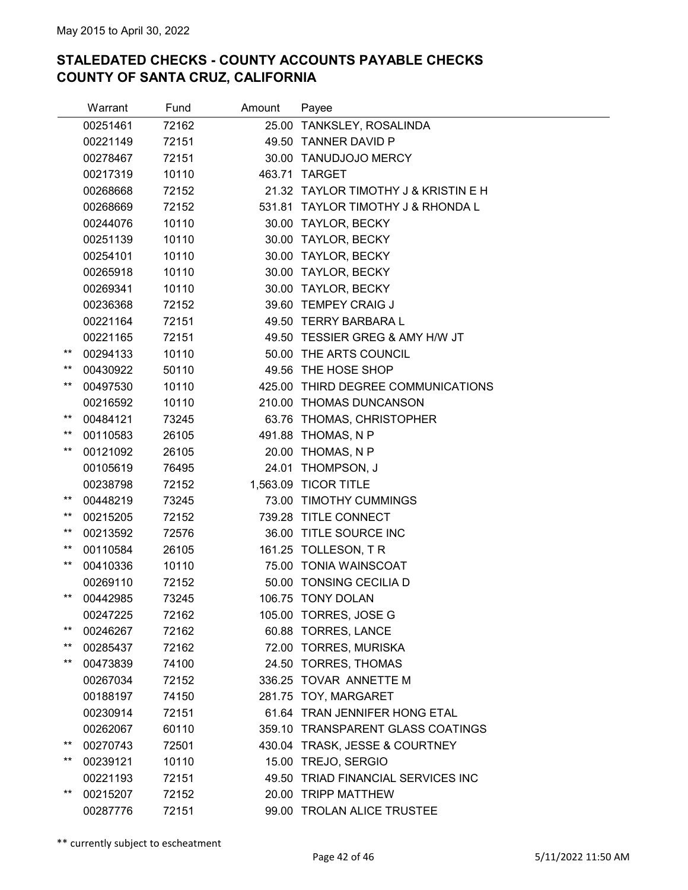|                 | Warrant  | Fund  | Amount | Payee                                |
|-----------------|----------|-------|--------|--------------------------------------|
|                 | 00251461 | 72162 |        | 25.00 TANKSLEY, ROSALINDA            |
|                 | 00221149 | 72151 |        | 49.50 TANNER DAVID P                 |
|                 | 00278467 | 72151 |        | 30.00 TANUDJOJO MERCY                |
|                 | 00217319 | 10110 |        | 463.71 TARGET                        |
|                 | 00268668 | 72152 |        | 21.32 TAYLOR TIMOTHY J & KRISTIN E H |
|                 | 00268669 | 72152 |        | 531.81 TAYLOR TIMOTHY J & RHONDA L   |
|                 | 00244076 | 10110 |        | 30.00 TAYLOR, BECKY                  |
|                 | 00251139 | 10110 |        | 30.00 TAYLOR, BECKY                  |
|                 | 00254101 | 10110 |        | 30.00 TAYLOR, BECKY                  |
|                 | 00265918 | 10110 |        | 30.00 TAYLOR, BECKY                  |
|                 | 00269341 | 10110 |        | 30.00 TAYLOR, BECKY                  |
|                 | 00236368 | 72152 |        | 39.60 TEMPEY CRAIG J                 |
|                 | 00221164 | 72151 |        | 49.50 TERRY BARBARA L                |
|                 | 00221165 | 72151 |        | 49.50 TESSIER GREG & AMY H/W JT      |
| $^{\star\star}$ | 00294133 | 10110 |        | 50.00 THE ARTS COUNCIL               |
| $***$           | 00430922 | 50110 |        | 49.56 THE HOSE SHOP                  |
| $^{\star\star}$ | 00497530 | 10110 |        | 425.00 THIRD DEGREE COMMUNICATIONS   |
|                 | 00216592 | 10110 |        | 210.00 THOMAS DUNCANSON              |
| $***$           | 00484121 | 73245 |        | 63.76 THOMAS, CHRISTOPHER            |
| $^{\star\star}$ | 00110583 | 26105 |        | 491.88 THOMAS, N P                   |
| $***$           | 00121092 | 26105 |        | 20.00 THOMAS, N P                    |
|                 | 00105619 | 76495 |        | 24.01 THOMPSON, J                    |
|                 | 00238798 | 72152 |        | 1,563.09 TICOR TITLE                 |
| $^{\star\star}$ | 00448219 | 73245 |        | 73.00 TIMOTHY CUMMINGS               |
| $***$           | 00215205 | 72152 |        | 739.28 TITLE CONNECT                 |
| $^{\star\star}$ | 00213592 | 72576 |        | 36.00 TITLE SOURCE INC               |
| $^{\star\star}$ | 00110584 | 26105 |        | 161.25 TOLLESON, TR                  |
| **              | 00410336 | 10110 |        | 75.00 TONIA WAINSCOAT                |
|                 | 00269110 | 72152 |        | 50.00 TONSING CECILIA D              |
| $***$           | 00442985 | 73245 |        | 106.75 TONY DOLAN                    |
|                 | 00247225 | 72162 |        | 105.00 TORRES, JOSE G                |
| $***$           | 00246267 | 72162 |        | 60.88 TORRES, LANCE                  |
| $^{\star\star}$ | 00285437 | 72162 |        | 72.00 TORRES, MURISKA                |
| $^{\star\star}$ | 00473839 | 74100 |        | 24.50 TORRES, THOMAS                 |
|                 | 00267034 | 72152 |        | 336.25 TOVAR ANNETTE M               |
|                 | 00188197 | 74150 |        | 281.75 TOY, MARGARET                 |
|                 | 00230914 | 72151 |        | 61.64 TRAN JENNIFER HONG ETAL        |
|                 | 00262067 | 60110 |        | 359.10 TRANSPARENT GLASS COATINGS    |
| $^{\star\star}$ | 00270743 | 72501 |        | 430.04 TRASK, JESSE & COURTNEY       |
| $^{\star\star}$ | 00239121 | 10110 |        | 15.00 TREJO, SERGIO                  |
|                 | 00221193 | 72151 |        | 49.50 TRIAD FINANCIAL SERVICES INC   |
| $***$           | 00215207 | 72152 |        | 20.00 TRIPP MATTHEW                  |
|                 | 00287776 | 72151 |        | 99.00 TROLAN ALICE TRUSTEE           |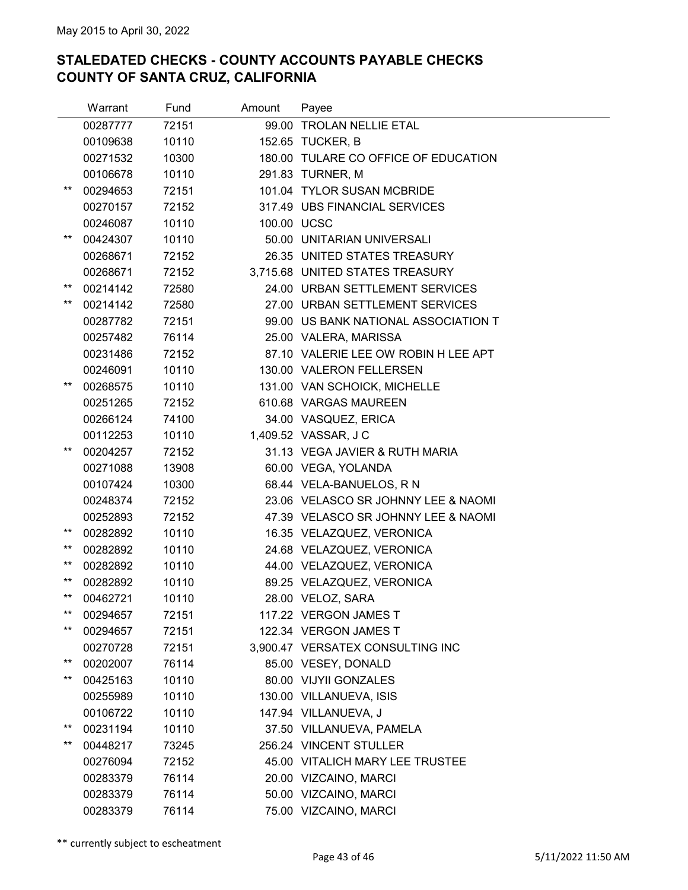|                 | Warrant  | Fund  | Amount      | Payee                                |
|-----------------|----------|-------|-------------|--------------------------------------|
|                 | 00287777 | 72151 |             | 99.00 TROLAN NELLIE ETAL             |
|                 | 00109638 | 10110 |             | 152.65 TUCKER, B                     |
|                 | 00271532 | 10300 |             | 180.00 TULARE CO OFFICE OF EDUCATION |
|                 | 00106678 | 10110 |             | 291.83 TURNER, M                     |
| $***$           | 00294653 | 72151 |             | 101.04 TYLOR SUSAN MCBRIDE           |
|                 | 00270157 | 72152 |             | 317.49 UBS FINANCIAL SERVICES        |
|                 | 00246087 | 10110 | 100.00 UCSC |                                      |
| $***$           | 00424307 | 10110 |             | 50.00 UNITARIAN UNIVERSALI           |
|                 | 00268671 | 72152 |             | 26.35 UNITED STATES TREASURY         |
|                 | 00268671 | 72152 |             | 3,715.68 UNITED STATES TREASURY      |
| $***$           | 00214142 | 72580 |             | 24.00 URBAN SETTLEMENT SERVICES      |
| $***$           | 00214142 | 72580 |             | 27.00 URBAN SETTLEMENT SERVICES      |
|                 | 00287782 | 72151 |             | 99.00 US BANK NATIONAL ASSOCIATION T |
|                 | 00257482 | 76114 |             | 25.00 VALERA, MARISSA                |
|                 | 00231486 | 72152 |             | 87.10 VALERIE LEE OW ROBIN H LEE APT |
|                 | 00246091 | 10110 |             | 130.00 VALERON FELLERSEN             |
| $***$           | 00268575 | 10110 |             | 131.00 VAN SCHOICK, MICHELLE         |
|                 | 00251265 | 72152 |             | 610.68 VARGAS MAUREEN                |
|                 | 00266124 | 74100 |             | 34.00 VASQUEZ, ERICA                 |
|                 | 00112253 | 10110 |             | 1,409.52 VASSAR, J C                 |
| $***$           | 00204257 | 72152 |             | 31.13 VEGA JAVIER & RUTH MARIA       |
|                 | 00271088 | 13908 |             | 60.00 VEGA, YOLANDA                  |
|                 | 00107424 | 10300 |             | 68.44 VELA-BANUELOS, RN              |
|                 | 00248374 | 72152 |             | 23.06 VELASCO SR JOHNNY LEE & NAOMI  |
|                 | 00252893 | 72152 |             | 47.39 VELASCO SR JOHNNY LEE & NAOMI  |
| $***$           | 00282892 | 10110 |             | 16.35 VELAZQUEZ, VERONICA            |
| $***$           | 00282892 | 10110 |             | 24.68 VELAZQUEZ, VERONICA            |
| **              | 00282892 | 10110 |             | 44.00 VELAZQUEZ, VERONICA            |
| $***$           | 00282892 | 10110 |             | 89.25 VELAZQUEZ, VERONICA            |
| $***$           | 00462721 | 10110 |             | 28.00 VELOZ, SARA                    |
| $***$           | 00294657 | 72151 |             | 117.22 VERGON JAMES T                |
| $***$           | 00294657 | 72151 |             | 122.34 VERGON JAMES T                |
|                 | 00270728 | 72151 |             | 3,900.47 VERSATEX CONSULTING INC     |
| $***$           | 00202007 | 76114 |             | 85.00 VESEY, DONALD                  |
| $***$           | 00425163 | 10110 |             | 80.00 VIJYII GONZALES                |
|                 | 00255989 | 10110 |             | 130.00 VILLANUEVA, ISIS              |
|                 | 00106722 | 10110 |             | 147.94 VILLANUEVA, J                 |
| $^{\star\star}$ | 00231194 | 10110 |             | 37.50 VILLANUEVA, PAMELA             |
| $***$           | 00448217 | 73245 |             | 256.24 VINCENT STULLER               |
|                 | 00276094 | 72152 |             | 45.00 VITALICH MARY LEE TRUSTEE      |
|                 | 00283379 | 76114 |             | 20.00 VIZCAINO, MARCI                |
|                 | 00283379 | 76114 |             | 50.00 VIZCAINO, MARCI                |
|                 | 00283379 | 76114 |             | 75.00 VIZCAINO, MARCI                |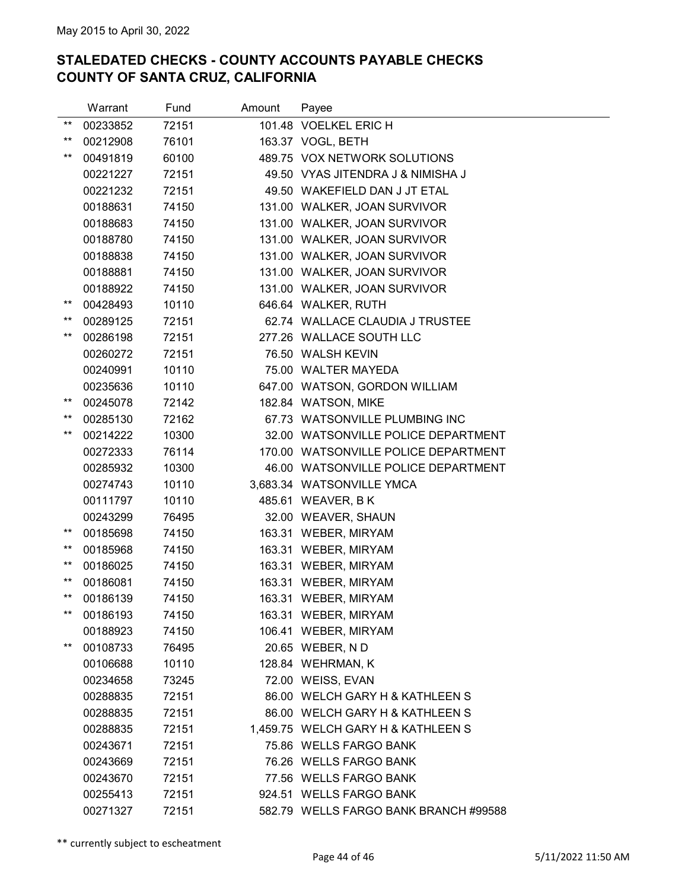|                 | Warrant  | Fund  | Amount | Payee                                 |
|-----------------|----------|-------|--------|---------------------------------------|
| $***$           | 00233852 | 72151 |        | 101.48 VOELKEL ERIC H                 |
| $***$           | 00212908 | 76101 |        | 163.37 VOGL, BETH                     |
| $***$           | 00491819 | 60100 |        | 489.75 VOX NETWORK SOLUTIONS          |
|                 | 00221227 | 72151 |        | 49.50 VYAS JITENDRA J & NIMISHA J     |
|                 | 00221232 | 72151 |        | 49.50 WAKEFIELD DAN J JT ETAL         |
|                 | 00188631 | 74150 |        | 131.00 WALKER, JOAN SURVIVOR          |
|                 | 00188683 | 74150 |        | 131.00 WALKER, JOAN SURVIVOR          |
|                 | 00188780 | 74150 |        | 131.00 WALKER, JOAN SURVIVOR          |
|                 | 00188838 | 74150 |        | 131.00 WALKER, JOAN SURVIVOR          |
|                 | 00188881 | 74150 |        | 131.00 WALKER, JOAN SURVIVOR          |
|                 | 00188922 | 74150 |        | 131.00 WALKER, JOAN SURVIVOR          |
| $^{\star\star}$ | 00428493 | 10110 |        | 646.64 WALKER, RUTH                   |
| $***$           | 00289125 | 72151 |        | 62.74 WALLACE CLAUDIA J TRUSTEE       |
| $***$           | 00286198 | 72151 |        | 277.26 WALLACE SOUTH LLC              |
|                 | 00260272 | 72151 |        | 76.50 WALSH KEVIN                     |
|                 | 00240991 | 10110 |        | 75.00 WALTER MAYEDA                   |
|                 | 00235636 | 10110 |        | 647.00 WATSON, GORDON WILLIAM         |
| $***$           | 00245078 | 72142 |        | 182.84 WATSON, MIKE                   |
| $***$           | 00285130 | 72162 |        | 67.73 WATSONVILLE PLUMBING INC        |
| $***$           | 00214222 | 10300 |        | 32.00 WATSONVILLE POLICE DEPARTMENT   |
|                 | 00272333 | 76114 |        | 170.00 WATSONVILLE POLICE DEPARTMENT  |
|                 | 00285932 | 10300 |        | 46.00 WATSONVILLE POLICE DEPARTMENT   |
|                 | 00274743 | 10110 |        | 3,683.34 WATSONVILLE YMCA             |
|                 | 00111797 | 10110 |        | 485.61 WEAVER, B K                    |
|                 | 00243299 | 76495 |        | 32.00 WEAVER, SHAUN                   |
| $***$           | 00185698 | 74150 |        | 163.31 WEBER, MIRYAM                  |
| $***$           | 00185968 | 74150 |        | 163.31 WEBER, MIRYAM                  |
| $***$           | 00186025 | 74150 |        | 163.31 WEBER, MIRYAM                  |
| $***$           | 00186081 | 74150 |        | 163.31 WEBER, MIRYAM                  |
| $***$           | 00186139 | 74150 |        | 163.31 WEBER, MIRYAM                  |
| $***$           | 00186193 | 74150 |        | 163.31 WEBER, MIRYAM                  |
|                 | 00188923 | 74150 |        | 106.41 WEBER, MIRYAM                  |
| $***$           | 00108733 | 76495 |        | 20.65 WEBER, ND                       |
|                 | 00106688 | 10110 |        | 128.84 WEHRMAN, K                     |
|                 | 00234658 | 73245 |        | 72.00 WEISS, EVAN                     |
|                 | 00288835 | 72151 |        | 86.00 WELCH GARY H & KATHLEEN S       |
|                 | 00288835 | 72151 |        | 86.00 WELCH GARY H & KATHLEEN S       |
|                 | 00288835 | 72151 |        | 1,459.75 WELCH GARY H & KATHLEEN S    |
|                 | 00243671 | 72151 |        | 75.86 WELLS FARGO BANK                |
|                 | 00243669 | 72151 |        | 76.26 WELLS FARGO BANK                |
|                 | 00243670 | 72151 |        | 77.56 WELLS FARGO BANK                |
|                 | 00255413 | 72151 |        | 924.51 WELLS FARGO BANK               |
|                 | 00271327 | 72151 |        | 582.79 WELLS FARGO BANK BRANCH #99588 |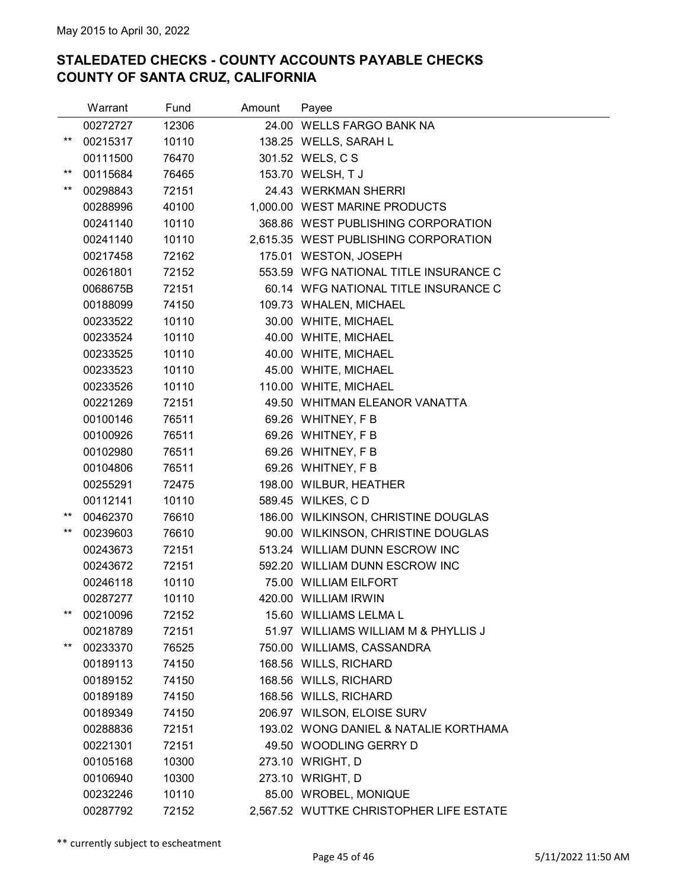|       | Warrant  | Fund  | Amount | Payee                                   |
|-------|----------|-------|--------|-----------------------------------------|
|       | 00272727 | 12306 |        | 24.00 WELLS FARGO BANK NA               |
| **    | 00215317 | 10110 |        | 138.25 WELLS, SARAH L                   |
|       | 00111500 | 76470 |        | 301.52 WELS, C S                        |
| $***$ | 00115684 | 76465 |        | 153.70 WELSH, T J                       |
| **    | 00298843 | 72151 |        | 24.43 WERKMAN SHERRI                    |
|       | 00288996 | 40100 |        | 1,000.00 WEST MARINE PRODUCTS           |
|       | 00241140 | 10110 |        | 368.86 WEST PUBLISHING CORPORATION      |
|       | 00241140 | 10110 |        | 2,615.35 WEST PUBLISHING CORPORATION    |
|       | 00217458 | 72162 |        | 175.01 WESTON, JOSEPH                   |
|       | 00261801 | 72152 |        | 553.59 WFG NATIONAL TITLE INSURANCE C   |
|       | 0068675B | 72151 |        | 60.14 WFG NATIONAL TITLE INSURANCE C    |
|       | 00188099 | 74150 |        | 109.73 WHALEN, MICHAEL                  |
|       | 00233522 | 10110 |        | 30.00 WHITE, MICHAEL                    |
|       | 00233524 | 10110 |        | 40.00 WHITE, MICHAEL                    |
|       | 00233525 | 10110 |        | 40.00 WHITE, MICHAEL                    |
|       | 00233523 | 10110 |        | 45.00 WHITE, MICHAEL                    |
|       | 00233526 | 10110 |        | 110.00 WHITE, MICHAEL                   |
|       | 00221269 | 72151 |        | 49.50 WHITMAN ELEANOR VANATTA           |
|       | 00100146 | 76511 |        | 69.26 WHITNEY, F B                      |
|       | 00100926 | 76511 |        | 69.26 WHITNEY, F B                      |
|       | 00102980 | 76511 |        | 69.26 WHITNEY, F B                      |
|       | 00104806 | 76511 |        | 69.26 WHITNEY, F B                      |
|       | 00255291 | 72475 |        | 198.00 WILBUR, HEATHER                  |
|       | 00112141 | 10110 |        | 589.45 WILKES, CD                       |
| $***$ | 00462370 | 76610 |        | 186.00 WILKINSON, CHRISTINE DOUGLAS     |
| **    | 00239603 | 76610 |        | 90.00 WILKINSON, CHRISTINE DOUGLAS      |
|       | 00243673 | 72151 |        | 513.24 WILLIAM DUNN ESCROW INC          |
|       | 00243672 | 72151 |        | 592.20 WILLIAM DUNN ESCROW INC          |
|       | 00246118 | 10110 |        | 75.00 WILLIAM EILFORT                   |
|       | 00287277 | 10110 |        | 420.00 WILLIAM IRWIN                    |
| **    | 00210096 | 72152 |        | 15.60 WILLIAMS LELMA L                  |
|       | 00218789 | 72151 |        | 51.97 WILLIAMS WILLIAM M & PHYLLIS J    |
| **    | 00233370 | 76525 |        | 750.00 WILLIAMS, CASSANDRA              |
|       | 00189113 | 74150 |        | 168.56 WILLS, RICHARD                   |
|       | 00189152 | 74150 |        | 168.56 WILLS, RICHARD                   |
|       | 00189189 | 74150 |        | 168.56 WILLS, RICHARD                   |
|       | 00189349 | 74150 |        | 206.97 WILSON, ELOISE SURV              |
|       | 00288836 | 72151 |        | 193.02 WONG DANIEL & NATALIE KORTHAMA   |
|       | 00221301 | 72151 |        | 49.50 WOODLING GERRY D                  |
|       | 00105168 | 10300 |        | 273.10 WRIGHT, D                        |
|       | 00106940 | 10300 |        | 273.10 WRIGHT, D                        |
|       | 00232246 | 10110 |        | 85.00 WROBEL, MONIQUE                   |
|       | 00287792 | 72152 |        | 2,567.52 WUTTKE CHRISTOPHER LIFE ESTATE |